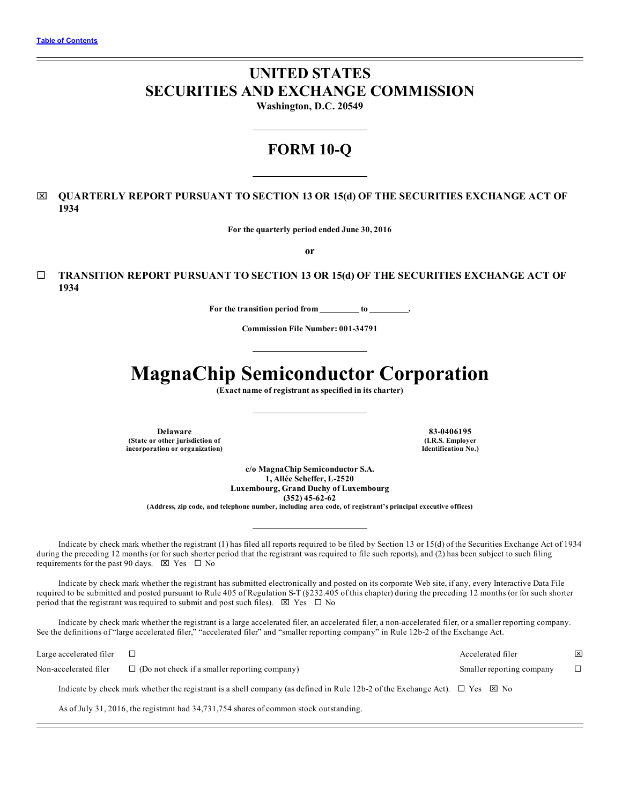# **UNITED STATES SECURITIES AND EXCHANGE COMMISSION**

**Washington, D.C. 20549**

# **FORM 10-Q**

# x **QUARTERLY REPORT PURSUANT TO SECTION 13 OR 15(d) OF THE SECURITIES EXCHANGE ACT OF 1934**

**For the quarterly period ended June 30, 2016**

**or**

¨ **TRANSITION REPORT PURSUANT TO SECTION 13 OR 15(d) OF THE SECURITIES EXCHANGE ACT OF 1934**

**For the transition period from to .**

**Commission File Number: 001-34791**

# **MagnaChip Semiconductor Corporation**

**(Exact name of registrant as specified in its charter)**

**Delaware 83-0406195 (State or other jurisdiction of incorporation or organization)**

**(I.R.S. Employer Identification No.)**

**c/o MagnaChip Semiconductor S.A. 1, Allée Scheffer, L-2520 Luxembourg, Grand Duchy of Luxembourg (352) 45-62-62**

**(Address, zip code, and telephone number, including area code, of registrant's principal executive offices)**

Indicate by check mark whether the registrant (1) has filed all reports required to be filed by Section 13 or 15(d) of the Securities Exchange Act of 1934 during the preceding 12 months (or for such shorter period that the registrant was required to file such reports), and (2) has been subject to such filing requirements for the past 90 days.  $\boxtimes$  Yes  $\Box$  No

Indicate by check mark whether the registrant has submitted electronically and posted on its corporate Web site, if any, every Interactive Data File required to be submitted and posted pursuant to Rule 405 of Regulation S-T (§232.405 of this chapter) during the preceding 12 months (or for such shorter period that the registrant was required to submit and post such files).  $\boxtimes$  Yes  $\Box$  No

Indicate by check mark whether the registrant is a large accelerated filer, an accelerated filer, a non-accelerated filer, or a smaller reporting company. See the definitions of "large accelerated filer," "accelerated filer" and "smaller reporting company" in Rule 12b-2 of the Exchange Act.

| Large accelerated filer |                                                                                                                                            | Accelerated filer         | ⊠ |
|-------------------------|--------------------------------------------------------------------------------------------------------------------------------------------|---------------------------|---|
| Non-accelerated filer   | $\Box$ (Do not check if a smaller reporting company)                                                                                       | Smaller reporting company |   |
|                         | Indicate by check mark whether the registrant is a shell company (as defined in Rule 12b-2 of the Exchange Act). $\Box$ Yes $\boxtimes$ No |                           |   |

As of July 31, 2016, the registrant had 34,731,754 shares of common stock outstanding.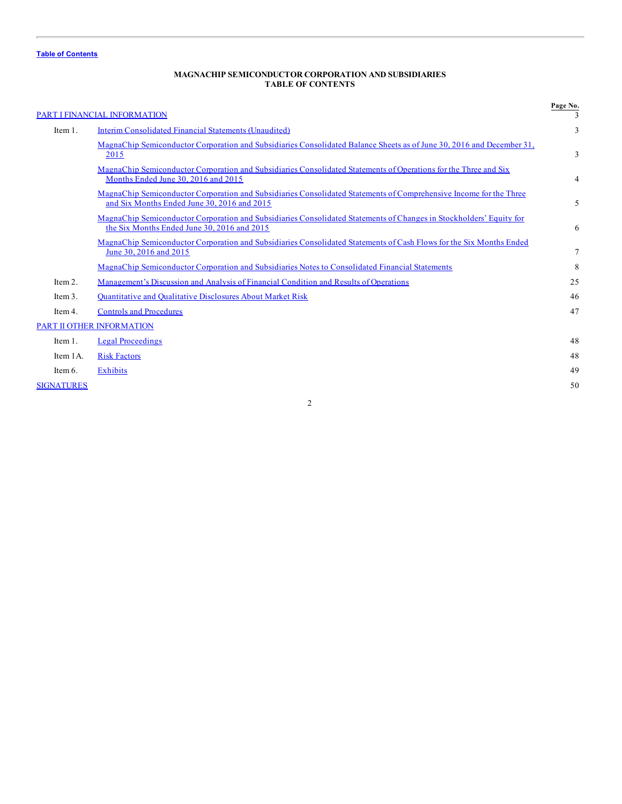# **MAGNACHIP SEMICONDUCTOR CORPORATION AND SUBSIDIARIES TABLE OF CONTENTS**

<span id="page-1-0"></span>

|                   | PART I FINANCIAL INFORMATION                                                                                                                                       | Page No. |
|-------------------|--------------------------------------------------------------------------------------------------------------------------------------------------------------------|----------|
| Item 1.           | Interim Consolidated Financial Statements (Unaudited)                                                                                                              | 3        |
|                   | MagnaChip Semiconductor Corporation and Subsidiaries Consolidated Balance Sheets as of June 30, 2016 and December 31,<br>2015                                      | 3        |
|                   | MagnaChip Semiconductor Corporation and Subsidiaries Consolidated Statements of Operations for the Three and Six<br>Months Ended June 30, 2016 and 2015            | 4        |
|                   | MagnaChip Semiconductor Corporation and Subsidiaries Consolidated Statements of Comprehensive Income for the Three<br>and Six Months Ended June 30, 2016 and 2015  | 5        |
|                   | MagnaChip Semiconductor Corporation and Subsidiaries Consolidated Statements of Changes in Stockholders' Equity for<br>the Six Months Ended June 30, 2016 and 2015 | 6        |
|                   | MagnaChip Semiconductor Corporation and Subsidiaries Consolidated Statements of Cash Flows for the Six Months Ended<br>June 30, 2016 and 2015                      | 7        |
|                   | MagnaChip Semiconductor Corporation and Subsidiaries Notes to Consolidated Financial Statements                                                                    | 8        |
| Item 2.           | Management's Discussion and Analysis of Financial Condition and Results of Operations                                                                              | 25       |
| Item 3.           | <b>Quantitative and Qualitative Disclosures About Market Risk</b>                                                                                                  | 46       |
| Item 4.           | <b>Controls and Procedures</b>                                                                                                                                     | 47       |
|                   | PART II OTHER INFORMATION                                                                                                                                          |          |
| Item 1.           | <b>Legal Proceedings</b>                                                                                                                                           | 48       |
| Item 1A.          | <b>Risk Factors</b>                                                                                                                                                | 48       |
| Item 6.           | Exhibits                                                                                                                                                           | 49       |
| <b>SIGNATURES</b> |                                                                                                                                                                    | 50       |
|                   |                                                                                                                                                                    |          |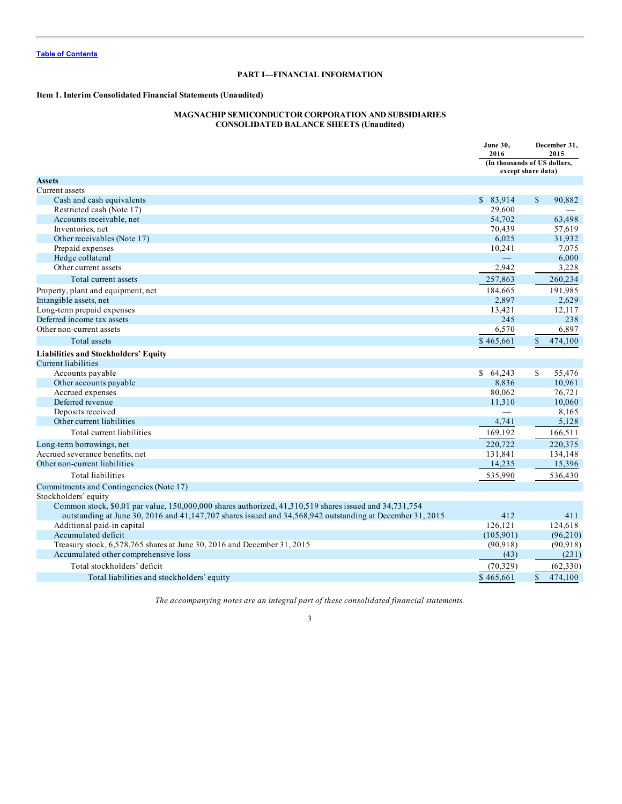# **PART I—FINANCIAL INFORMATION**

# <span id="page-2-0"></span>**Item 1. Interim Consolidated Financial Statements (Unaudited)**

# **MAGNACHIP SEMICONDUCTOR CORPORATION AND SUBSIDIARIES CONSOLIDATED BALANCE SHEETS (Unaudited)**

|                                                                                                           | <b>June 30.</b><br>2016 | December 31,<br>2015                               |       |
|-----------------------------------------------------------------------------------------------------------|-------------------------|----------------------------------------------------|-------|
|                                                                                                           |                         | (In thousands of US dollars,<br>except share data) |       |
| <b>Assets</b>                                                                                             |                         |                                                    |       |
| Current assets                                                                                            |                         |                                                    |       |
| Cash and cash equivalents                                                                                 | \$83,914                | $\mathbf S$<br>90.882                              |       |
| Restricted cash (Note 17)                                                                                 | 29,600                  |                                                    |       |
| Accounts receivable, net                                                                                  | 54,702                  | 63,498                                             |       |
| Inventories, net                                                                                          | 70,439                  | 57,619                                             |       |
| Other receivables (Note 17)                                                                               | 6.025                   | 31,932                                             |       |
| Prepaid expenses                                                                                          | 10,241                  | 7,075                                              |       |
| Hedge collateral                                                                                          |                         | 6,000                                              |       |
| Other current assets                                                                                      | 2,942                   | 3,228                                              |       |
| Total current assets                                                                                      | 257,863                 | 260,234                                            |       |
| Property, plant and equipment, net                                                                        | 184,665                 | 191.985                                            |       |
| Intangible assets, net                                                                                    | 2,897                   | 2,629                                              |       |
| Long-term prepaid expenses                                                                                | 13,421                  | 12,117                                             |       |
| Deferred income tax assets                                                                                | 245                     |                                                    | 238   |
| Other non-current assets                                                                                  | 6.570                   | 6.897                                              |       |
| Total assets                                                                                              | \$465,661               | $\mathbf S$<br>474,100                             |       |
| <b>Liabilities and Stockholders' Equity</b>                                                               |                         |                                                    |       |
| Current liabilities                                                                                       |                         |                                                    |       |
| Accounts payable                                                                                          | \$64,243                | \$.<br>55,476                                      |       |
| Other accounts payable                                                                                    | 8,836                   | 10,961                                             |       |
| Accrued expenses                                                                                          | 80,062                  | 76,721                                             |       |
| Deferred revenue                                                                                          | 11,310                  | 10,060                                             |       |
| Deposits received                                                                                         |                         | 8.165                                              |       |
| Other current liabilities                                                                                 | 4,741                   | 5,128                                              |       |
| Total current liabilities                                                                                 | 169.192                 | 166,511                                            |       |
| Long-term borrowings, net                                                                                 | 220,722                 | 220,375                                            |       |
| Accrued severance benefits, net                                                                           | 131,841                 | 134,148                                            |       |
| Other non-current liabilities                                                                             | 14,235                  | 15,396                                             |       |
| <b>Total liabilities</b>                                                                                  | 535,990                 | 536,430                                            |       |
| Commitments and Contingencies (Note 17)                                                                   |                         |                                                    |       |
| Stockholders' equity                                                                                      |                         |                                                    |       |
| Common stock, \$0.01 par value, 150,000,000 shares authorized, 41,310,519 shares issued and 34,731,754    |                         |                                                    |       |
| outstanding at June 30, 2016 and 41,147,707 shares issued and 34,568,942 outstanding at December 31, 2015 | 412                     |                                                    | 411   |
| Additional paid-in capital                                                                                | 126.121                 | 124,618                                            |       |
| Accumulated deficit                                                                                       | (105,901)               | (96,210)                                           |       |
| Treasury stock, 6,578,765 shares at June 30, 2016 and December 31, 2015                                   | (90, 918)               | (90, 918)                                          |       |
| Accumulated other comprehensive loss                                                                      | (43)                    |                                                    | (231) |
| Total stockholders' deficit                                                                               | (70, 329)               | (62, 330)                                          |       |
| Total liabilities and stockholders' equity                                                                | \$465,661               | \$<br>474,100                                      |       |

*The accompanying notes are an integral part of these consolidated financial statements.*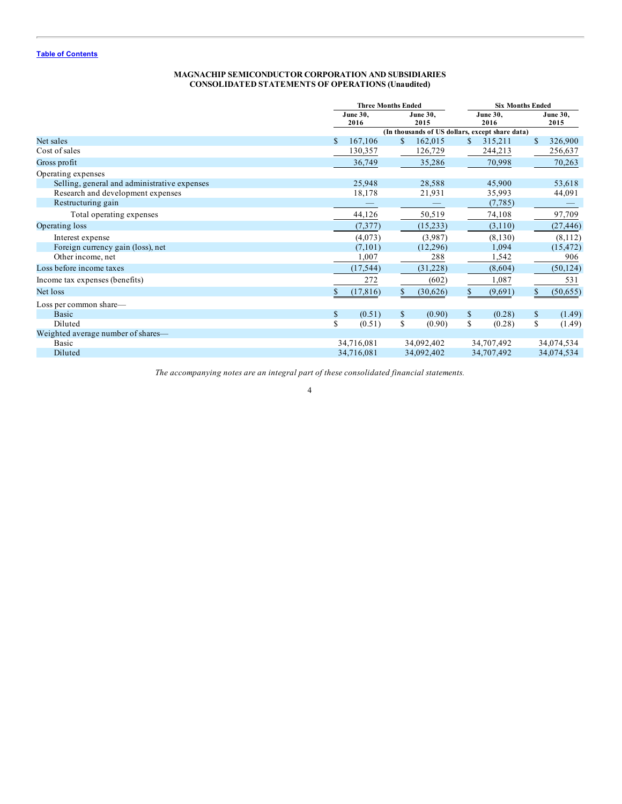# **MAGNACHIP SEMICONDUCTOR CORPORATION AND SUBSIDIARIES CONSOLIDATED STATEMENTS OF OPERATIONS (Unaudited)**

<span id="page-3-0"></span>

|                                              |    | <b>Three Months Ended</b>                       |                | <b>Six Months Ended</b> |               |                  |               |                         |
|----------------------------------------------|----|-------------------------------------------------|----------------|-------------------------|---------------|------------------|---------------|-------------------------|
|                                              |    | <b>June 30,</b><br>2016                         |                | June 30,<br>2015        |               | June 30,<br>2016 |               | <b>June 30,</b><br>2015 |
|                                              |    | (In thousands of US dollars, except share data) |                |                         |               |                  |               |                         |
| Net sales                                    | S. | 167,106                                         | $\mathbb{S}^-$ | 162,015                 | <sup>\$</sup> | 315,211          | <sup>\$</sup> | 326,900                 |
| Cost of sales                                |    | 130,357                                         |                | 126,729                 |               | 244,213          |               | 256,637                 |
| Gross profit                                 |    | 36,749                                          |                | 35,286                  |               | 70,998           |               | 70,263                  |
| Operating expenses                           |    |                                                 |                |                         |               |                  |               |                         |
| Selling, general and administrative expenses |    | 25,948                                          |                | 28,588                  |               | 45,900           |               | 53,618                  |
| Research and development expenses            |    | 18,178                                          |                | 21,931                  |               | 35,993           |               | 44,091                  |
| Restructuring gain                           |    |                                                 |                |                         |               | (7,785)          |               |                         |
| Total operating expenses                     |    | 44,126                                          |                | 50,519                  |               | 74,108           |               | 97,709                  |
| Operating loss                               |    | (7, 377)                                        |                | (15, 233)               |               | (3,110)          |               | (27, 446)               |
| Interest expense                             |    | (4,073)                                         |                | (3,987)                 |               | (8,130)          |               | (8,112)                 |
| Foreign currency gain (loss), net            |    | (7,101)                                         |                | (12,296)                |               | 1,094            |               | (15, 472)               |
| Other income, net                            |    | 1,007                                           |                | 288                     |               | 1,542            |               | 906                     |
| Loss before income taxes                     |    | (17, 544)                                       |                | (31,228)                |               | (8,604)          |               | (50, 124)               |
| Income tax expenses (benefits)               |    | 272                                             |                | (602)                   |               | 1,087            |               | 531                     |
| Net loss                                     |    | (17, 816)                                       | \$             | (30,626)                |               | (9,691)          | \$            | (50,655)                |
| Loss per common share—                       |    |                                                 |                |                         |               |                  |               |                         |
| <b>Basic</b>                                 | \$ | (0.51)                                          | \$             | (0.90)                  | $\mathbb{S}$  | (0.28)           | \$            | (1.49)                  |
| Diluted                                      | \$ | (0.51)                                          | \$             | (0.90)                  | \$            | (0.28)           | \$            | (1.49)                  |
| Weighted average number of shares-           |    |                                                 |                |                         |               |                  |               |                         |
| Basic                                        |    | 34,716,081                                      |                | 34,092,402              |               | 34,707,492       |               | 34,074,534              |
| Diluted                                      |    | 34,716,081                                      |                | 34,092,402              |               | 34,707,492       |               | 34,074,534              |

*The accompanying notes are an integral part of these consolidated financial statements.*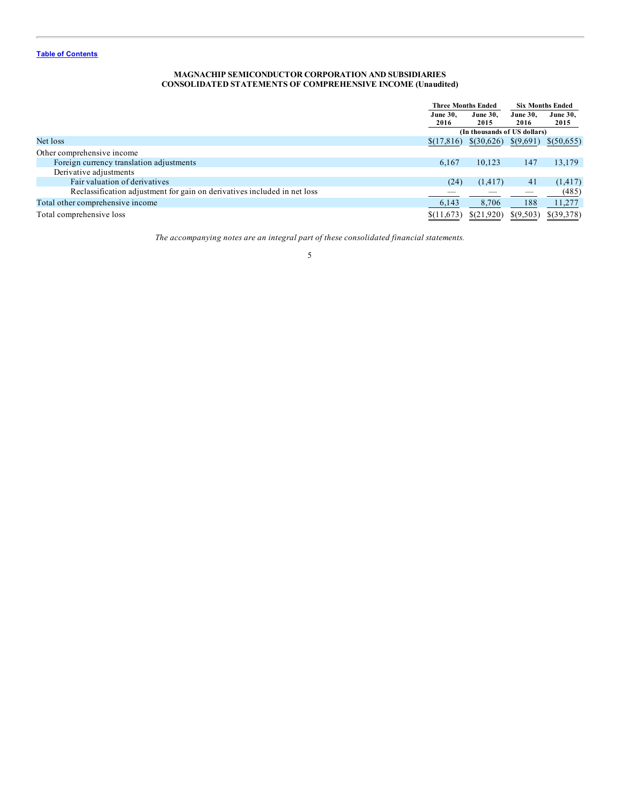# **MAGNACHIP SEMICONDUCTOR CORPORATION AND SUBSIDIARIES CONSOLIDATED STATEMENTS OF COMPREHENSIVE INCOME (Unaudited)**

<span id="page-4-0"></span>

|                                                                          | <b>Three Months Ended</b> |                              | <b>Six Months Ended</b> |                 |
|--------------------------------------------------------------------------|---------------------------|------------------------------|-------------------------|-----------------|
|                                                                          | <b>June 30.</b><br>2016   | <b>June 30.</b><br>2015      | <b>June 30.</b><br>2016 | <b>June 30,</b> |
|                                                                          |                           |                              |                         | 2015            |
|                                                                          |                           | (In thousands of US dollars) |                         |                 |
| Net loss                                                                 |                           | $$(17,816) \quad $(30,626)$  | \$(9,691)               | \$ (50,655)     |
| Other comprehensive income                                               |                           |                              |                         |                 |
| Foreign currency translation adjustments                                 | 6.167                     | 10,123                       | 147                     | 13,179          |
| Derivative adjustments                                                   |                           |                              |                         |                 |
| Fair valuation of derivatives                                            | (24)                      | (1, 417)                     | 41                      | (1, 417)        |
| Reclassification adjustment for gain on derivatives included in net loss |                           |                              |                         | (485)           |
| Total other comprehensive income                                         | 6,143                     | 8,706                        | 188                     | 11,277          |
| Total comprehensive loss                                                 | \$(11,673)                | $$^{(21,920)}$               | \$(9,503)               | $$$ (39,378)    |

*The accompanying notes are an integral part of these consolidated financial statements.*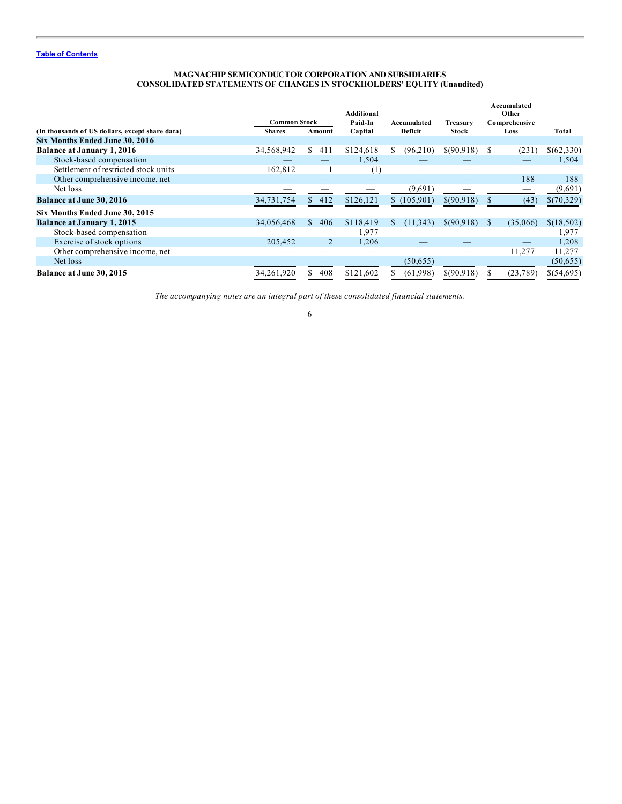# **MAGNACHIP SEMICONDUCTOR CORPORATION AND SUBSIDIARIES CONSOLIDATED STATEMENTS OF CHANGES IN STOCKHOLDERS' EQUITY (Unaudited)**

<span id="page-5-0"></span>

|                                                 | <b>Common Stock</b> |                | Additional<br>Paid-In | Accumulated    | Treasury    | Accumulated<br>Other<br>Comprehensive |            |
|-------------------------------------------------|---------------------|----------------|-----------------------|----------------|-------------|---------------------------------------|------------|
| (In thousands of US dollars, except share data) | <b>Shares</b>       | Amount         | Capital               | Deficit        | Stock       | Loss                                  | Total      |
| Six Months Ended June 30, 2016                  |                     |                |                       |                |             |                                       |            |
| <b>Balance at January 1, 2016</b>               | 34,568,942          | \$<br>411      | \$124,618             | (96,210)<br>S. | \$(90,918)  | S<br>(231)                            | \$(62,330) |
| Stock-based compensation                        |                     |                | 1,504                 |                |             |                                       | 1,504      |
| Settlement of restricted stock units            | 162,812             |                | (1)                   |                |             |                                       |            |
| Other comprehensive income, net                 |                     |                |                       |                |             | 188                                   | 188        |
| Net loss                                        |                     |                |                       | (9,691)        |             |                                       | (9,691)    |
| <b>Balance at June 30, 2016</b>                 | 34,731,754          | \$412          | \$126,121             | \$(105,901)    | \$(90,918)  | (43)                                  | \$(70,329) |
| Six Months Ended June 30, 2015                  |                     |                |                       |                |             |                                       |            |
| <b>Balance at January 1, 2015</b>               | 34,056,468          | \$<br>406      | \$118,419             | (11, 343)      | \$(90, 918) | (35,066)<br>S.                        | \$(18,502) |
| Stock-based compensation                        |                     |                | 1,977                 |                |             |                                       | 1,977      |
| Exercise of stock options                       | 205,452             | $\overline{2}$ | 1,206                 |                |             |                                       | 1,208      |
| Other comprehensive income, net                 |                     |                |                       |                |             | 11,277                                | 11,277     |
| Net loss                                        |                     |                |                       | (50,655)       |             |                                       | (50,655)   |
| Balance at June 30, 2015                        | 34,261,920          | 408            | \$121,602             | (61,998)       | \$(90,918)  | (23, 789)                             | \$(54,695) |

*The accompanying notes are an integral part of these consolidated financial statements.*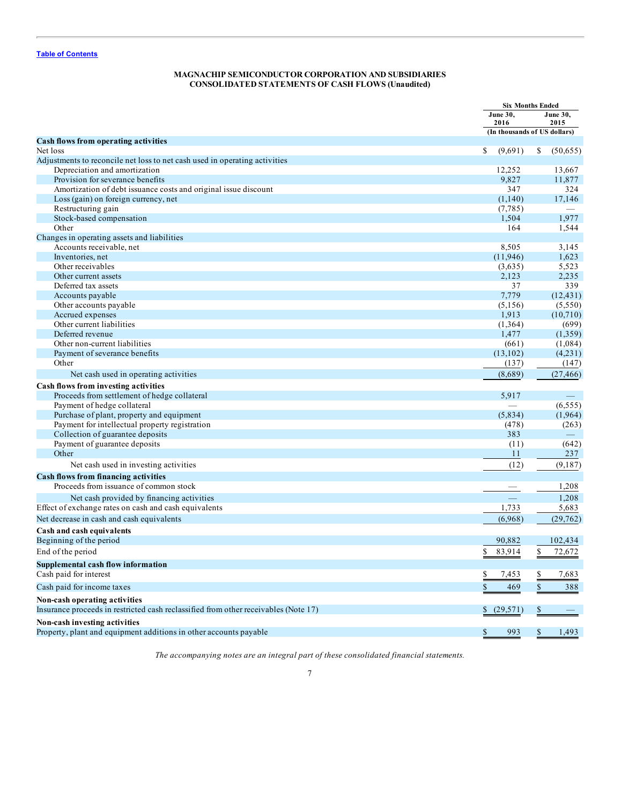# **MAGNACHIP SEMICONDUCTOR CORPORATION AND SUBSIDIARIES CONSOLIDATED STATEMENTS OF CASH FLOWS (Unaudited)**

<span id="page-6-0"></span>

|                                                                                     |                         | <b>Six Months Ended</b>      |
|-------------------------------------------------------------------------------------|-------------------------|------------------------------|
|                                                                                     | <b>June 30,</b><br>2016 | June 30,<br>2015             |
|                                                                                     |                         | (In thousands of US dollars) |
| Cash flows from operating activities                                                |                         |                              |
| Net loss                                                                            | (9,691)<br>S.           | S<br>(50,655)                |
| Adjustments to reconcile net loss to net cash used in operating activities          |                         |                              |
| Depreciation and amortization                                                       | 12,252                  | 13,667                       |
| Provision for severance benefits                                                    | 9,827                   | 11,877                       |
| Amortization of debt issuance costs and original issue discount                     | 347                     | 324                          |
| Loss (gain) on foreign currency, net                                                | (1,140)                 | 17,146                       |
| Restructuring gain                                                                  | (7,785)                 |                              |
| Stock-based compensation                                                            | 1,504                   | 1,977                        |
| Other                                                                               | 164                     | 1,544                        |
| Changes in operating assets and liabilities                                         |                         |                              |
| Accounts receivable, net                                                            | 8,505                   | 3,145                        |
| Inventories, net                                                                    | (11,946)                | 1,623                        |
| Other receivables                                                                   | (3,635)                 | 5,523                        |
| Other current assets                                                                | 2,123                   | 2,235                        |
| Deferred tax assets                                                                 | 37                      | 339                          |
| Accounts payable                                                                    | 7,779                   | (12, 431)                    |
| Other accounts payable                                                              | (5,156)                 | (5,550)                      |
| Accrued expenses                                                                    | 1,913                   | (10,710)                     |
| Other current liabilities                                                           | (1,364)                 | (699)                        |
| Deferred revenue                                                                    | 1,477                   | (1,359)                      |
| Other non-current liabilities                                                       | (661)                   | (1,084)                      |
| Payment of severance benefits                                                       | (13,102)                | (4,231)                      |
| Other                                                                               | (137)                   | (147)                        |
| Net cash used in operating activities                                               | (8,689)                 | (27, 466)                    |
| Cash flows from investing activities                                                |                         |                              |
| Proceeds from settlement of hedge collateral                                        | 5,917                   |                              |
| Payment of hedge collateral                                                         |                         | (6, 555)                     |
| Purchase of plant, property and equipment                                           | (5,834)                 | (1,964)                      |
| Payment for intellectual property registration                                      | (478)                   | (263)                        |
| Collection of guarantee deposits                                                    | 383                     |                              |
| Payment of guarantee deposits                                                       | (11)                    | (642)                        |
| Other                                                                               | 11                      | 237                          |
| Net cash used in investing activities                                               | (12)                    | (9,187)                      |
| <b>Cash flows from financing activities</b>                                         |                         |                              |
| Proceeds from issuance of common stock                                              |                         | 1,208                        |
| Net cash provided by financing activities                                           |                         | 1,208                        |
| Effect of exchange rates on cash and cash equivalents                               | 1,733                   | 5,683                        |
| Net decrease in cash and cash equivalents                                           | (6,968)                 | (29, 762)                    |
|                                                                                     |                         |                              |
| Cash and cash equivalents                                                           |                         |                              |
| Beginning of the period                                                             | 90,882                  | 102,434                      |
| End of the period                                                                   | \$<br>83,914            | \$<br>72,672                 |
| Supplemental cash flow information                                                  |                         |                              |
| Cash paid for interest                                                              | 7,453<br>S              | 7,683<br>S                   |
| Cash paid for income taxes                                                          | \$<br>469               | \$<br>388                    |
| Non-cash operating activities                                                       |                         |                              |
| Insurance proceeds in restricted cash reclassified from other receivables (Note 17) | (29, 571)<br>\$         | \$                           |
| Non-cash investing activities                                                       |                         |                              |
| Property, plant and equipment additions in other accounts payable                   | 993<br>\$               | S<br>1,493                   |

*The accompanying notes are an integral part of these consolidated financial statements.*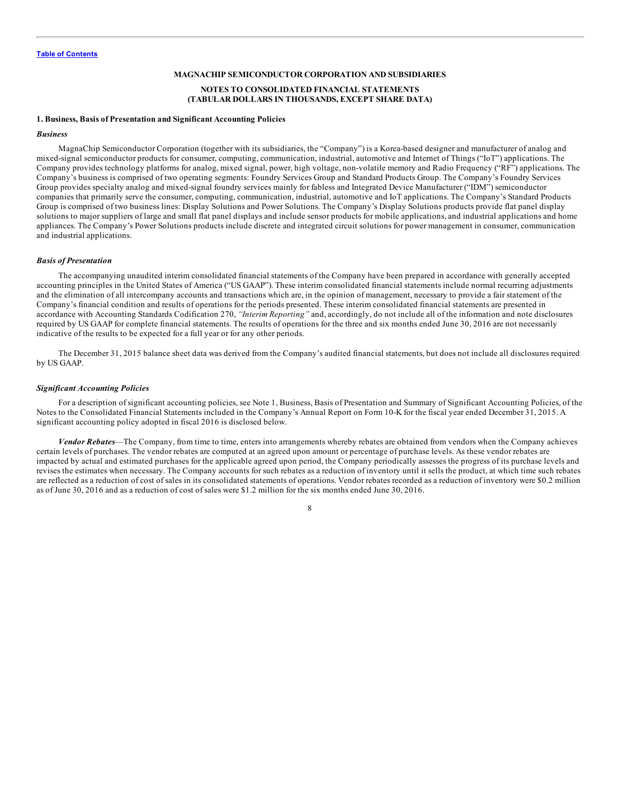# **MAGNACHIP SEMICONDUCTOR CORPORATION AND SUBSIDIARIES NOTES TO CONSOLIDATED FINANCIAL STATEMENTS (TABULAR DOLLARS IN THOUSANDS, EXCEPT SHARE DATA)**

#### <span id="page-7-0"></span>**1. Business, Basis of Presentation and Significant Accounting Policies**

### *Business*

MagnaChip Semiconductor Corporation (together with its subsidiaries, the "Company") is a Korea-based designer and manufacturer of analog and mixed-signal semiconductor products for consumer, computing, communication, industrial, automotive and Internet of Things ("IoT") applications. The Company provides technology platforms for analog, mixed signal, power, high voltage, non-volatile memory and Radio Frequency ("RF") applications. The Company's business is comprised of two operating segments: Foundry Services Group and Standard Products Group. The Company's Foundry Services Group provides specialty analog and mixed-signal foundry services mainly for fabless and Integrated Device Manufacturer ("IDM") semiconductor companies that primarily serve the consumer, computing, communication, industrial, automotive and IoT applications. The Company's Standard Products Group is comprised of two business lines: Display Solutions and Power Solutions. The Company's Display Solutions products provide flat panel display solutions to major suppliers of large and small flat panel displays and include sensor products for mobile applications, and industrial applications and home appliances. The Company's Power Solutions products include discrete and integrated circuit solutions for power management in consumer, communication and industrial applications.

#### *Basis of Presentation*

The accompanying unaudited interim consolidated financial statements of the Company have been prepared in accordance with generally accepted accounting principles in the United States of America ("US GAAP"). These interim consolidated financial statements include normal recurring adjustments and the elimination of all intercompany accounts and transactions which are, in the opinion of management, necessary to provide a fair statement of the Company's financial condition and results of operations for the periods presented. These interim consolidated financial statements are presented in accordance with Accounting Standards Codification 270, *"Interim Reporting"* and, accordingly, do not include all of the information and note disclosures required by US GAAP for complete financial statements. The results of operations for the three and six months ended June 30, 2016 are not necessarily indicative of the results to be expected for a full year or for any other periods.

The December 31, 2015 balance sheet data was derived from the Company's audited financial statements, but does not include all disclosures required by US GAAP.

#### *Significant Accounting Policies*

For a description of significant accounting policies, see Note 1, Business, Basis of Presentation and Summary of Significant Accounting Policies, of the Notes to the Consolidated Financial Statements included in the Company's Annual Report on Form 10-K for the fiscal year ended December 31, 2015. A significant accounting policy adopted in fiscal 2016 is disclosed below.

*Vendor Rebates*—The Company, from time to time, enters into arrangements whereby rebates are obtained from vendors when the Company achieves certain levels of purchases. The vendor rebates are computed at an agreed upon amount or percentage of purchase levels. As these vendor rebates are impacted by actual and estimated purchases for the applicable agreed upon period, the Company periodically assesses the progress of its purchase levels and revises the estimates when necessary. The Company accounts for such rebates as a reduction of inventory until it sells the product, at which time such rebates are reflected as a reduction of cost of sales in its consolidated statements of operations. Vendor rebates recorded as a reduction of inventory were \$0.2 million as of June 30, 2016 and as a reduction of cost of sales were \$1.2 million for the six months ended June 30, 2016.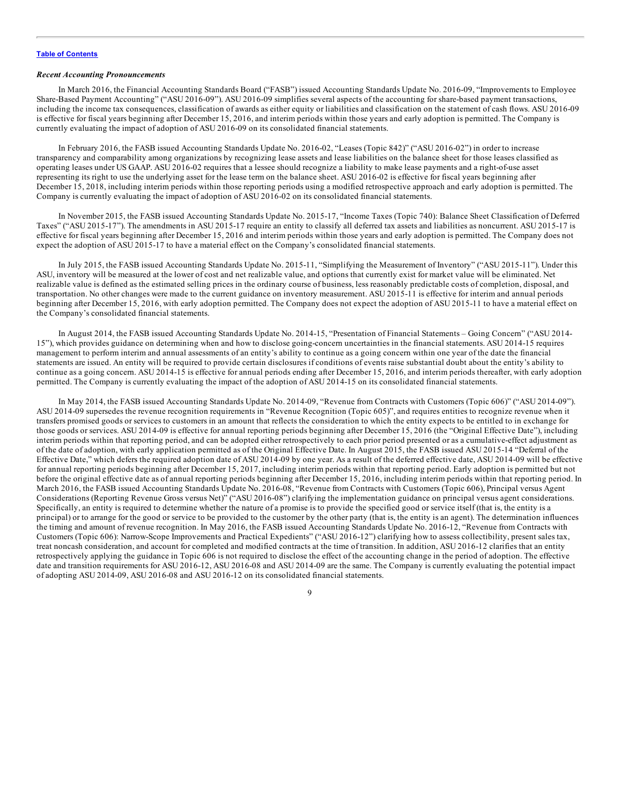#### *Recent Accounting Pronouncements*

In March 2016, the Financial Accounting Standards Board ("FASB") issued Accounting Standards Update No. 2016-09, "Improvements to Employee Share-Based Payment Accounting" ("ASU 2016-09"). ASU 2016-09 simplifies several aspects of the accounting for share-based payment transactions, including the income tax consequences, classification of awards as either equity or liabilities and classification on the statement of cash flows. ASU 2016-09 is effective for fiscal years beginning after December 15, 2016, and interim periods within those years and early adoption is permitted. The Company is currently evaluating the impact of adoption of ASU 2016-09 on its consolidated financial statements.

In February 2016, the FASB issued Accounting Standards Update No. 2016-02, "Leases (Topic 842)" ("ASU 2016-02") in order to increase transparency and comparability among organizations by recognizing lease assets and lease liabilities on the balance sheet for those leases classified as operating leases under US GAAP. ASU 2016-02 requires that a lessee should recognize a liability to make lease payments and a right-of-use asset representing its right to use the underlying asset for the lease term on the balance sheet. ASU 2016-02 is effective for fiscal years beginning after December 15, 2018, including interim periods within those reporting periods using a modified retrospective approach and early adoption is permitted. The Company is currently evaluating the impact of adoption of ASU 2016-02 on its consolidated financial statements.

In November 2015, the FASB issued Accounting Standards Update No. 2015-17, "Income Taxes (Topic 740): Balance Sheet Classification of Deferred Taxes" ("ASU 2015-17"). The amendments in ASU 2015-17 require an entity to classify all deferred tax assets and liabilities as noncurrent. ASU 2015-17 is effective for fiscal years beginning after December 15, 2016 and interim periods within those years and early adoption is permitted. The Company does not expect the adoption of ASU 2015-17 to have a material effect on the Company's consolidated financial statements.

In July 2015, the FASB issued Accounting Standards Update No. 2015-11, "Simplifying the Measurement of Inventory" ("ASU 2015-11"). Under this ASU, inventory will be measured at the lower of cost and net realizable value, and options that currently exist for market value will be eliminated. Net realizable value is defined as the estimated selling prices in the ordinary course of business, less reasonably predictable costs of completion, disposal, and transportation. No other changes were made to the current guidance on inventory measurement. ASU 2015-11 is effective for interim and annual periods beginning after December 15, 2016, with early adoption permitted. The Company does not expect the adoption of ASU 2015-11 to have a material effect on the Company's consolidated financial statements.

In August 2014, the FASB issued Accounting Standards Update No. 2014-15, "Presentation of Financial Statements – Going Concern" ("ASU 2014- 15"), which provides guidance on determining when and how to disclose going-concern uncertainties in the financial statements. ASU 2014-15 requires management to perform interim and annual assessments of an entity's ability to continue as a going concern within one year of the date the financial statements are issued. An entity will be required to provide certain disclosures if conditions of events raise substantial doubt about the entity's ability to continue as a going concern. ASU 2014-15 is effective for annual periods ending after December 15, 2016, and interim periods thereafter, with early adoption permitted. The Company is currently evaluating the impact of the adoption of ASU 2014-15 on its consolidated financial statements.

In May 2014, the FASB issued Accounting Standards Update No. 2014-09, "Revenue from Contracts with Customers (Topic 606)" ("ASU 2014-09"). ASU 2014-09 supersedes the revenue recognition requirements in "Revenue Recognition (Topic 605)", and requires entities to recognize revenue when it transfers promised goods or services to customers in an amount that reflects the consideration to which the entity expects to be entitled to in exchange for those goods or services. ASU 2014-09 is effective for annual reporting periods beginning after December 15, 2016 (the "Original Effective Date"), including interim periods within that reporting period, and can be adopted either retrospectively to each prior period presented or as a cumulative-effect adjustment as of the date of adoption, with early application permitted as of the Original Effective Date. In August 2015, the FASB issued ASU 2015-14 "Deferral of the Effective Date," which defers the required adoption date of ASU 2014-09 by one year. As a result of the deferred effective date, ASU 2014-09 will be effective for annual reporting periods beginning after December 15, 2017, including interim periods within that reporting period. Early adoption is permitted but not before the original effective date as of annual reporting periods beginning after December 15, 2016, including interim periods within that reporting period. In March 2016, the FASB issued Accounting Standards Update No. 2016-08, "Revenue from Contracts with Customers (Topic 606), Principal versus Agent Considerations (Reporting Revenue Gross versus Net)" ("ASU 2016-08") clarifying the implementation guidance on principal versus agent considerations. Specifically, an entity is required to determine whether the nature of a promise is to provide the specified good or service itself (that is, the entity is a principal) or to arrange for the good or service to be provided to the customer by the other party (that is, the entity is an agent). The determination influences the timing and amount of revenue recognition. In May 2016, the FASB issued Accounting Standards Update No. 2016-12, "Revenue from Contracts with Customers (Topic 606): Narrow-Scope Improvements and Practical Expedients" ("ASU 2016-12") clarifying how to assess collectibility, present sales tax, treat noncash consideration, and account for completed and modified contracts at the time of transition. In addition, ASU 2016-12 clarifies that an entity retrospectively applying the guidance in Topic 606 is not required to disclose the effect of the accounting change in the period of adoption. The effective date and transition requirements for ASU 2016-12, ASU 2016-08 and ASU 2014-09 are the same. The Company is currently evaluating the potential impact of adopting ASU 2014-09, ASU 2016-08 and ASU 2016-12 on its consolidated financial statements.

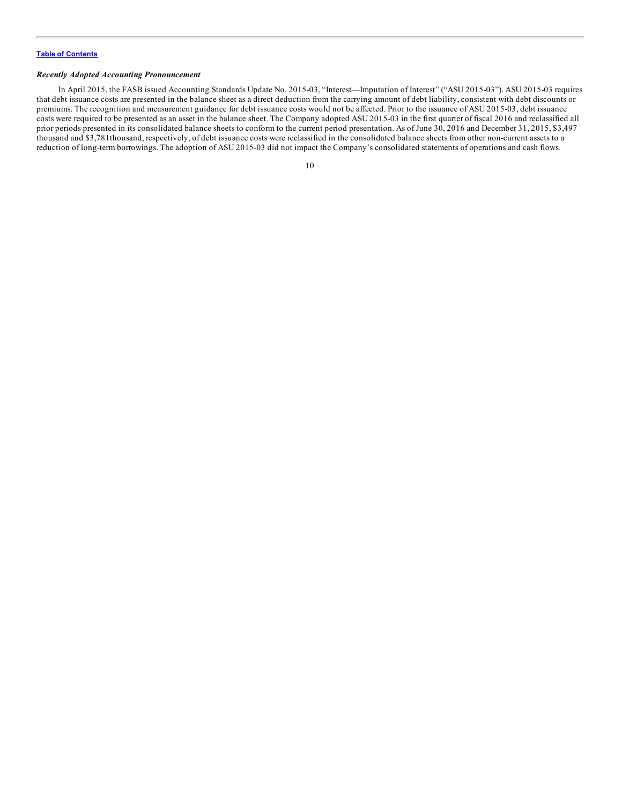### *Recently Adopted Accounting Pronouncement*

In April 2015, the FASB issued Accounting Standards Update No. 2015-03, "Interest—Imputation of Interest" ("ASU 2015-03"). ASU 2015-03 requires that debt issuance costs are presented in the balance sheet as a direct deduction from the carrying amount of debt liability, consistent with debt discounts or premiums. The recognition and measurement guidance for debt issuance costs would not be affected. Prior to the issuance of ASU 2015-03, debt issuance costs were required to be presented as an asset in the balance sheet. The Company adopted ASU 2015-03 in the first quarter of fiscal 2016 and reclassified all prior periods presented in its consolidated balance sheets to conform to the current period presentation. As of June 30, 2016 and December 31, 2015, \$3,497 thousand and \$3,781thousand, respectively, of debt issuance costs were reclassified in the consolidated balance sheets from other non-current assets to a reduction of long-term borrowings. The adoption of ASU 2015-03 did not impact the Company's consolidated statements of operations and cash flows.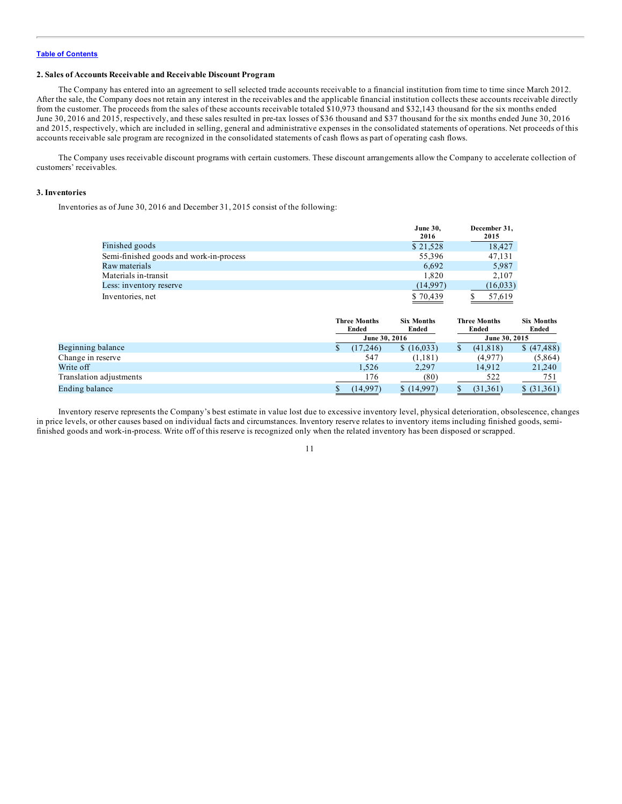### **2. Sales of Accounts Receivable and Receivable Discount Program**

The Company has entered into an agreement to sell selected trade accounts receivable to a financial institution from time to time since March 2012. After the sale, the Company does not retain any interest in the receivables and the applicable financial institution collects these accounts receivable directly from the customer. The proceeds from the sales of these accounts receivable totaled \$10,973 thousand and \$32,143 thousand for the six months ended June 30, 2016 and 2015, respectively, and these sales resulted in pre-tax losses of \$36 thousand and \$37 thousand for the six months ended June 30, 2016 and 2015, respectively, which are included in selling, general and administrative expenses in the consolidated statements of operations. Net proceeds of this accounts receivable sale program are recognized in the consolidated statements of cash flows as part of operating cash flows.

The Company uses receivable discount programs with certain customers. These discount arrangements allow the Company to accelerate collection of customers' receivables.

#### **3. Inventories**

Inventories as of June 30, 2016 and December 31, 2015 consist of the following:

|                                         | <b>June 30,</b><br>2016 | December 31,<br>2015 |
|-----------------------------------------|-------------------------|----------------------|
| Finished goods                          | \$21,528                | 18.427               |
| Semi-finished goods and work-in-process | 55,396                  | 47,131               |
| Raw materials                           | 6,692                   | 5,987                |
| Materials in-transit                    | 1.820                   | 2.107                |
| Less: inventory reserve                 | (14,997)                | (16, 033)            |
| Inventories, net                        | \$70,439                | 57.619               |

|                         | <b>Three Months</b><br>Ended | <b>Six Months</b><br>Ended | <b>Three Months</b><br>Ended | <b>Six Months</b><br>Ended |
|-------------------------|------------------------------|----------------------------|------------------------------|----------------------------|
|                         | June 30, 2016                |                            | June 30, 2015                |                            |
| Beginning balance       | (17.246)                     | \$(16,033)                 | (41, 818)                    | \$ (47, 488)               |
| Change in reserve       | 547                          | (1,181)                    | (4,977)                      | (5,864)                    |
| Write off               | 1.526                        | 2,297                      | 14.912                       | 21,240                     |
| Translation adjustments | 176                          | (80)                       | 522                          | 751                        |
| Ending balance          | (14.997)                     | \$(14,997)                 | (31,361)                     | \$ (31,361)                |

Inventory reserve represents the Company's best estimate in value lost due to excessive inventory level, physical deterioration, obsolescence, changes in price levels, or other causes based on individual facts and circumstances. Inventory reserve relates to inventory items including finished goods, semifinished goods and work-in-process. Write off of this reserve is recognized only when the related inventory has been disposed or scrapped.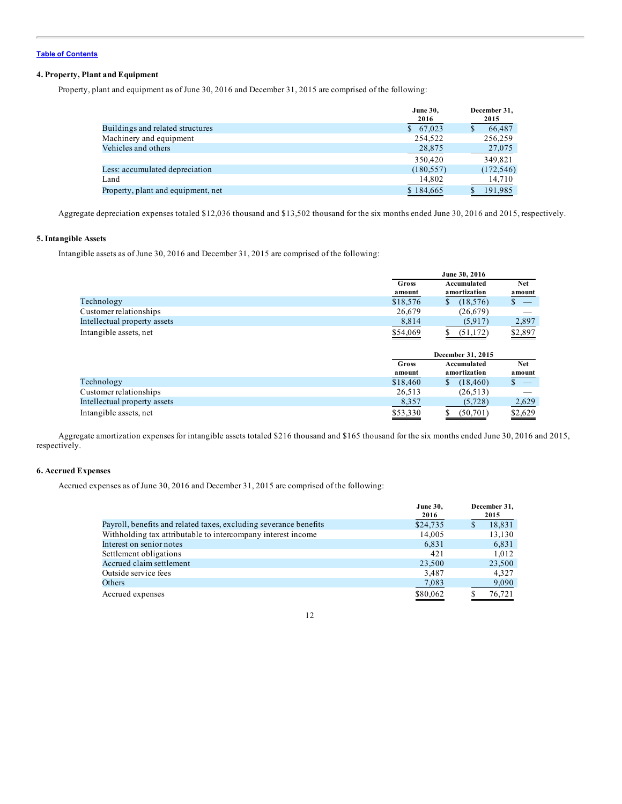# **4. Property, Plant and Equipment**

Property, plant and equipment as of June 30, 2016 and December 31, 2015 are comprised of the following:

|                                    | <b>June 30,</b><br>2016 | December 31,<br>2015 |
|------------------------------------|-------------------------|----------------------|
| Buildings and related structures   | \$67,023                | 66,487               |
| Machinery and equipment            | 254,522                 | 256,259              |
| Vehicles and others                | 28,875                  | 27,075               |
|                                    | 350,420                 | 349.821              |
| Less: accumulated depreciation     | (180, 557)              | (172, 546)           |
| Land                               | 14,802                  | 14,710               |
| Property, plant and equipment, net | \$184,665               | 191,985              |
|                                    |                         |                      |

Aggregate depreciation expenses totaled \$12,036 thousand and \$13,502 thousand for the six months ended June 30, 2016 and 2015, respectively.

### **5. Intangible Assets**

Intangible assets as of June 30, 2016 and December 31, 2015 are comprised of the following:

|                              |                 | June 30, 2016               |                      |  |
|------------------------------|-----------------|-----------------------------|----------------------|--|
|                              | Gross<br>amount | Accumulated<br>amortization | <b>Net</b><br>amount |  |
| Technology                   | \$18,576        | (18, 576)                   |                      |  |
| Customer relationships       | 26,679          | (26,679)                    |                      |  |
| Intellectual property assets | 8,814           | (5,917)                     | 2,897                |  |
| Intangible assets, net       | \$54,069        | (51, 172)                   | \$2,897              |  |
|                              |                 | December 31, 2015           |                      |  |
|                              | Gross<br>amount | Accumulated<br>amortization | <b>Net</b><br>amount |  |
| Technology                   | \$18,460        | (18, 460)<br>S              | \$                   |  |
| Customer relationships       | 26,513          | (26, 513)                   |                      |  |
| Intellectual property assets | 8,357           | (5,728)                     | 2,629                |  |
| Intangible assets, net       | \$53,330        | (50, 701)<br>S              | \$2,629              |  |

Aggregate amortization expenses for intangible assets totaled \$216 thousand and \$165 thousand for the six months ended June 30, 2016 and 2015, respectively.

# **6. Accrued Expenses**

Accrued expenses as of June 30, 2016 and December 31, 2015 are comprised of the following:

|                                                                   | June 30,<br>2016 | December 31,<br>2015 |
|-------------------------------------------------------------------|------------------|----------------------|
| Payroll, benefits and related taxes, excluding severance benefits | \$24,735         | 18,831               |
| Withholding tax attributable to intercompany interest income      | 14,005           | 13,130               |
| Interest on senior notes                                          | 6,831            | 6,831                |
| Settlement obligations                                            | 421              | 1.012                |
| Accrued claim settlement                                          | 23,500           | 23,500               |
| Outside service fees                                              | 3.487            | 4.327                |
| Others                                                            | 7,083            | 9,090                |
| Accrued expenses                                                  | \$80,062         | 76.721               |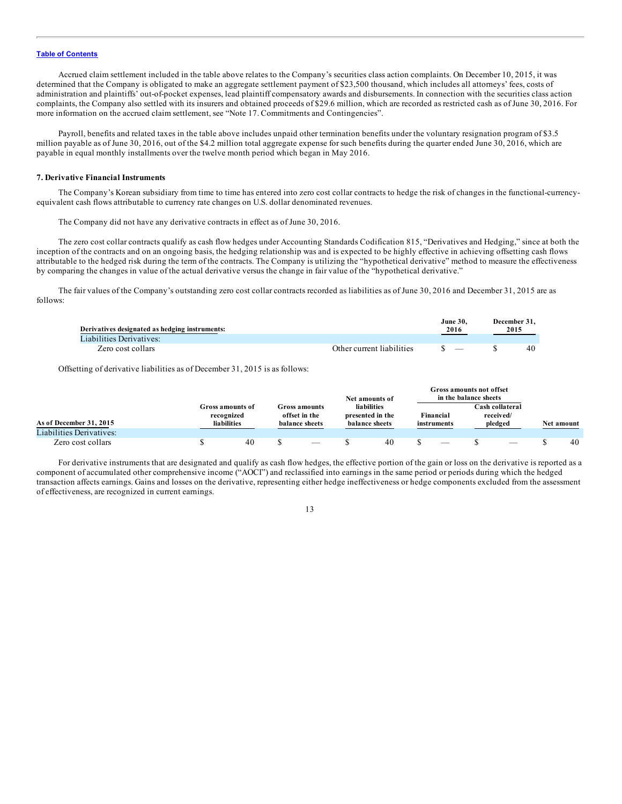Accrued claim settlement included in the table above relates to the Company's securities class action complaints. On December 10, 2015, it was determined that the Company is obligated to make an aggregate settlement payment of \$23,500 thousand, which includes all attorneys' fees, costs of administration and plaintiffs' out-of-pocket expenses, lead plaintiff compensatory awards and disbursements. In connection with the securities class action complaints, the Company also settled with its insurers and obtained proceeds of \$29.6 million, which are recorded as restricted cash as of June 30, 2016. For more information on the accrued claim settlement, see "Note 17. Commitments and Contingencies".

Payroll, benefits and related taxes in the table above includes unpaid other termination benefits under the voluntary resignation program of \$3.5 million payable as of June 30, 2016, out of the \$4.2 million total aggregate expense for such benefits during the quarter ended June 30, 2016, which are payable in equal monthly installments over the twelve month period which began in May 2016.

#### **7. Derivative Financial Instruments**

The Company's Korean subsidiary from time to time has entered into zero cost collar contracts to hedge the risk of changes in the functional-currencyequivalent cash flows attributable to currency rate changes on U.S. dollar denominated revenues.

The Company did not have any derivative contracts in effect as of June 30, 2016.

The zero cost collar contracts qualify as cash flow hedges under Accounting Standards Codification 815, "Derivatives and Hedging," since at both the inception of the contracts and on an ongoing basis, the hedging relationship was and is expected to be highly effective in achieving offsetting cash flows attributable to the hedged risk during the term of the contracts. The Company is utilizing the "hypothetical derivative" method to measure the effectiveness by comparing the changes in value of the actual derivative versus the change in fair value of the "hypothetical derivative."

The fair values of the Company's outstanding zero cost collar contracts recorded as liabilities as of June 30, 2016 and December 31, 2015 are as follows:

| Derivatives designated as hedging instruments: |                           | <b>June 30.</b><br>2016  | December 31.<br>2015 |                 |
|------------------------------------------------|---------------------------|--------------------------|----------------------|-----------------|
| Liabilities Derivatives:                       |                           |                          |                      |                 |
| Zero cost collars                              | Other current liabilities | $\overline{\phantom{a}}$ |                      | 40 <sup>-</sup> |

Offsetting of derivative liabilities as of December 31, 2015 is as follows:

|                          |                                               |                                                  | Net amounts of                                           |                                 | in the balance sheets |                                         |            |
|--------------------------|-----------------------------------------------|--------------------------------------------------|----------------------------------------------------------|---------------------------------|-----------------------|-----------------------------------------|------------|
| As of December 31, 2015  | Gross amounts of<br>recognized<br>liabilities | Gross amounts<br>offset in the<br>balance sheets | <b>liabilities</b><br>presented in the<br>balance sheets | Financial<br>instruments        |                       | Cash collateral<br>received/<br>pledged | Net amount |
| Liabilities Derivatives: |                                               |                                                  |                                                          |                                 |                       |                                         |            |
| Zero cost collars        | 40                                            |                                                  | 40                                                       | $\hspace{0.1mm}-\hspace{0.1mm}$ |                       | $\hspace{0.1mm}-\hspace{0.1mm}$         | 40         |

**Gross amounts not offset**

For derivative instruments that are designated and qualify as cash flow hedges, the effective portion of the gain or loss on the derivative is reported as a component of accumulated other comprehensive income ("AOCI") and reclassified into earnings in the same period or periods during which the hedged transaction affects earnings. Gains and losses on the derivative, representing either hedge ineffectiveness or hedge components excluded from the assessment of effectiveness, are recognized in current earnings.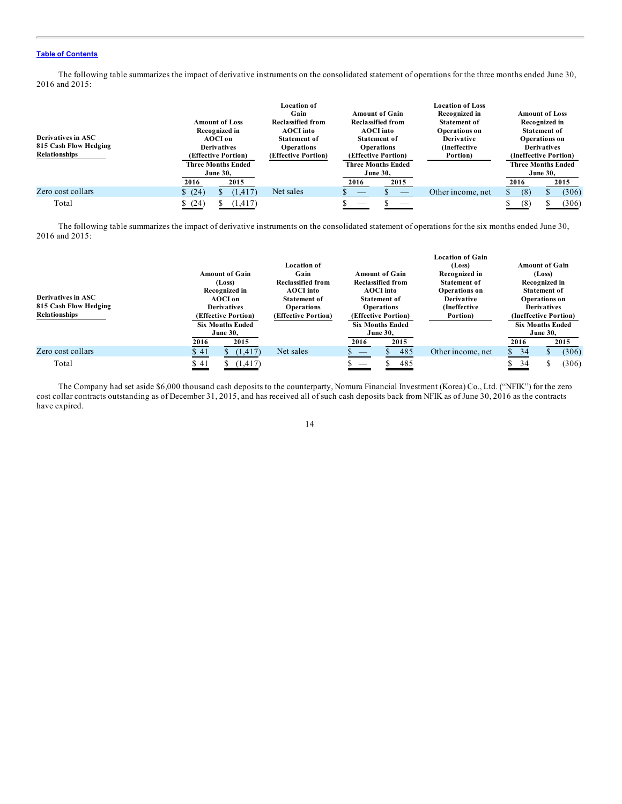The following table summarizes the impact of derivative instruments on the consolidated statement of operations for the three months ended June 30, 2016 and 2015:

| Derivatives in ASC<br>815 Cash Flow Hedging |        | <b>Amount of Loss</b><br>Recognized in<br>AOCI on<br><b>Derivatives</b> | Location of<br>Gain<br><b>Reclassified from</b><br><b>AOCI</b> into<br><b>Statement of</b><br><b>Operations</b> |                          | <b>Amount of Gain</b><br>Reclassified from<br><b>AOCI</b> into<br><b>Statement of</b><br><b>Operations</b> | <b>Location of Loss</b><br>Recognized in<br><b>Statement of</b><br>Operations on<br><b>Derivative</b><br>(Ineffective |      | <b>Amount of Loss</b><br>Recognized in<br><b>Statement of</b><br><b>Operations on</b><br><b>Derivatives</b> |
|---------------------------------------------|--------|-------------------------------------------------------------------------|-----------------------------------------------------------------------------------------------------------------|--------------------------|------------------------------------------------------------------------------------------------------------|-----------------------------------------------------------------------------------------------------------------------|------|-------------------------------------------------------------------------------------------------------------|
| Relationships                               |        | (Effective Portion)                                                     | (Effective Portion)                                                                                             |                          | (Effective Portion)                                                                                        | Portion)                                                                                                              |      | (Ineffective Portion)                                                                                       |
|                                             |        | <b>Three Months Ended</b>                                               |                                                                                                                 |                          | Three Months Ended                                                                                         |                                                                                                                       |      | <b>Three Months Ended</b>                                                                                   |
|                                             |        | <b>June 30,</b>                                                         |                                                                                                                 |                          | <b>June 30,</b>                                                                                            |                                                                                                                       |      | <b>June 30,</b>                                                                                             |
|                                             | 2016   | 2015                                                                    |                                                                                                                 | 2016                     | 2015                                                                                                       |                                                                                                                       | 2016 | 2015                                                                                                        |
| Zero cost collars                           | \$(24) | (1, 417)                                                                | Net sales                                                                                                       | $\qquad \qquad -$        | $\qquad \qquad -$                                                                                          | Other income, net                                                                                                     | (8)  | (306)                                                                                                       |
| Total                                       | \$(24) | (1, 417)                                                                |                                                                                                                 | $\overline{\phantom{a}}$ | ---                                                                                                        |                                                                                                                       | (8)  | (306)                                                                                                       |

The following table summarizes the impact of derivative instruments on the consolidated statement of operations for the six months ended June 30, 2016 and 2015:

|                       |      |                         |                          |                          |                         | <b>Location of Gain</b> |      |                         |
|-----------------------|------|-------------------------|--------------------------|--------------------------|-------------------------|-------------------------|------|-------------------------|
|                       |      |                         | <b>Location of</b>       |                          |                         | (Loss)                  |      | <b>Amount of Gain</b>   |
|                       |      | <b>Amount of Gain</b>   | Gain                     |                          | <b>Amount of Gain</b>   | Recognized in           |      | (Loss)                  |
|                       |      | (Loss)                  | <b>Reclassified from</b> |                          | Reclassified from       | <b>Statement of</b>     |      | Recognized in           |
|                       |      | Recognized in           | <b>AOCI</b> into         |                          | <b>AOCI</b> into        | Operations on           |      | <b>Statement of</b>     |
| Derivatives in ASC    |      | AOCI on                 | <b>Statement of</b>      |                          | <b>Statement of</b>     | <b>Derivative</b>       |      | Operations on           |
| 815 Cash Flow Hedging |      | <b>Derivatives</b>      | <b>Operations</b>        |                          | <b>Operations</b>       | <i>(Ineffective)</i>    |      | <b>Derivatives</b>      |
| <b>Relationships</b>  |      | (Effective Portion)     | (Effective Portion)      |                          | (Effective Portion)     | Portion)                |      | (Ineffective Portion)   |
|                       |      | <b>Six Months Ended</b> |                          |                          | <b>Six Months Ended</b> |                         |      | <b>Six Months Ended</b> |
|                       |      | <b>June 30,</b>         |                          |                          | <b>June 30,</b>         |                         |      | <b>June 30,</b>         |
|                       | 2016 | 2015                    |                          | 2016                     | 2015                    |                         | 2016 | 2015                    |
| Zero cost collars     | \$41 | (1, 417)                | Net sales                | $\overline{\phantom{a}}$ | 485                     | Other income, net       | \$34 | (306)<br>S              |
| Total                 | \$41 | (1, 417)                |                          | $\overline{\phantom{m}}$ | 485                     |                         | 34   | (306)                   |

The Company had set aside \$6,000 thousand cash deposits to the counterparty, Nomura Financial Investment (Korea) Co., Ltd. ("NFIK") for the zero cost collar contracts outstanding as of December 31, 2015, and has received all of such cash deposits back from NFIK as of June 30, 2016 as the contracts have expired.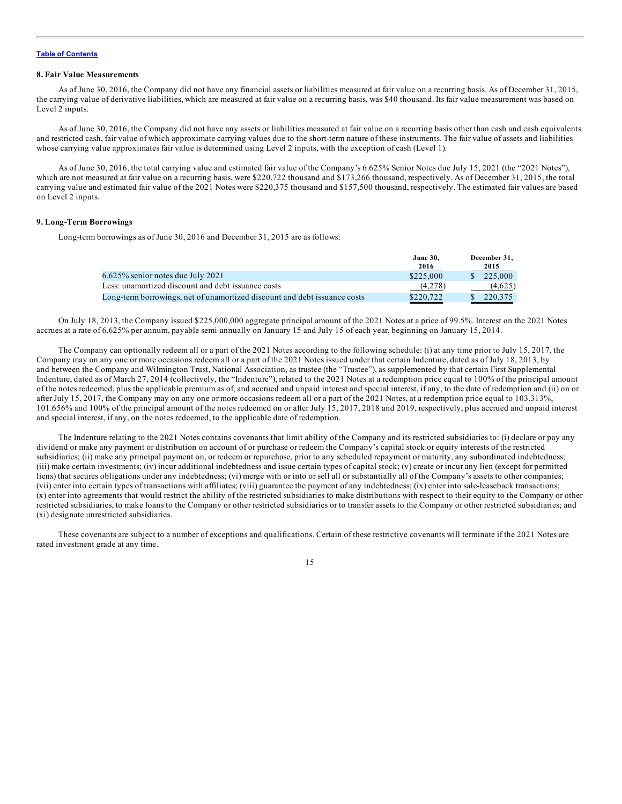#### **8. Fair Value Measurements**

As of June 30, 2016, the Company did not have any financial assets or liabilities measured at fair value on a recurring basis. As of December 31, 2015, the carrying value of derivative liabilities, which are measured at fair value on a recurring basis, was \$40 thousand. Its fair value measurement was based on Level 2 inputs.

As of June 30, 2016, the Company did not have any assets or liabilities measured at fair value on a recurring basis other than cash and cash equivalents and restricted cash, fair value of which approximate carrying values due to the short-term nature of these instruments. The fair value of assets and liabilities whose carrying value approximates fair value is determined using Level 2 inputs, with the exception of cash (Level 1).

As of June 30, 2016, the total carrying value and estimated fair value of the Company's 6.625% Senior Notes due July 15, 2021 (the "2021 Notes"), which are not measured at fair value on a recurring basis, were \$220,722 thousand and \$173,266 thousand, respectively. As of December 31, 2015, the total carrying value and estimated fair value of the 2021 Notes were \$220,375 thousand and \$157,500 thousand, respectively. The estimated fair values are based on Level 2 inputs.

### **9. Long-Term Borrowings**

Long-term borrowings as of June 30, 2016 and December 31, 2015 are as follows:

|                                                                           | <b>June 30.</b> | December 31.  |  |  |
|---------------------------------------------------------------------------|-----------------|---------------|--|--|
|                                                                           | 2016            | 2015          |  |  |
| $6.625\%$ senior notes due July 2021                                      | \$225,000       | 225,000<br>S. |  |  |
| Less: unamortized discount and debt issuance costs                        | (4,278)         | (4,625)       |  |  |
| Long-term borrowings, net of unamortized discount and debt issuance costs | \$220,722       | 220.375       |  |  |

On July 18, 2013, the Company issued \$225,000,000 aggregate principal amount of the 2021 Notes at a price of 99.5%. Interest on the 2021 Notes accrues at a rate of 6.625% per annum, payable semi-annually on January 15 and July 15 of each year, beginning on January 15, 2014.

The Company can optionally redeem all or a part of the 2021 Notes according to the following schedule: (i) at any time prior to July 15, 2017, the Company may on any one or more occasions redeem all or a part of the 2021 Notes issued under that certain Indenture, dated as of July 18, 2013, by and between the Company and Wilmington Trust, National Association, as trustee (the "Trustee"), as supplemented by that certain First Supplemental Indenture, dated as of March 27, 2014 (collectively, the "Indenture"), related to the 2021 Notes at a redemption price equal to 100% of the principal amount of the notes redeemed, plus the applicable premium as of, and accrued and unpaid interest and special interest, if any, to the date of redemption and (ii) on or after July 15, 2017, the Company may on any one or more occasions redeem all or a part of the 2021 Notes, at a redemption price equal to 103.313%, 101.656% and 100% of the principal amount of the notes redeemed on or after July 15, 2017, 2018 and 2019, respectively, plus accrued and unpaid interest and special interest, if any, on the notes redeemed, to the applicable date of redemption.

The Indenture relating to the 2021 Notes contains covenants that limit ability of the Company and its restricted subsidiaries to: (i) declare or pay any dividend or make any payment or distribution on account of or purchase or redeem the Company's capital stock or equity interests of the restricted subsidiaries; (ii) make any principal payment on, or redeem or repurchase, prior to any scheduled repayment or maturity, any subordinated indebtedness; (iii) make certain investments; (iv) incur additional indebtedness and issue certain types of capital stock; (v) create or incur any lien (except for permitted liens) that secures obligations under any indebtedness; (vi) merge with or into or sell all or substantially all of the Company's assets to other companies; (vii) enter into certain types of transactions with affiliates; (viii) guarantee the payment of any indebtedness; (ix) enter into sale-leaseback transactions; (x) enter into agreements that would restrict the ability of the restricted subsidiaries to make distributions with respect to their equity to the Company or other restricted subsidiaries, to make loans to the Company or other restricted subsidiaries or to transfer assets to the Company or other restricted subsidiaries; and (xi) designate unrestricted subsidiaries.

These covenants are subject to a number of exceptions and qualifications. Certain of these restrictive covenants will terminate if the 2021 Notes are rated investment grade at any time.

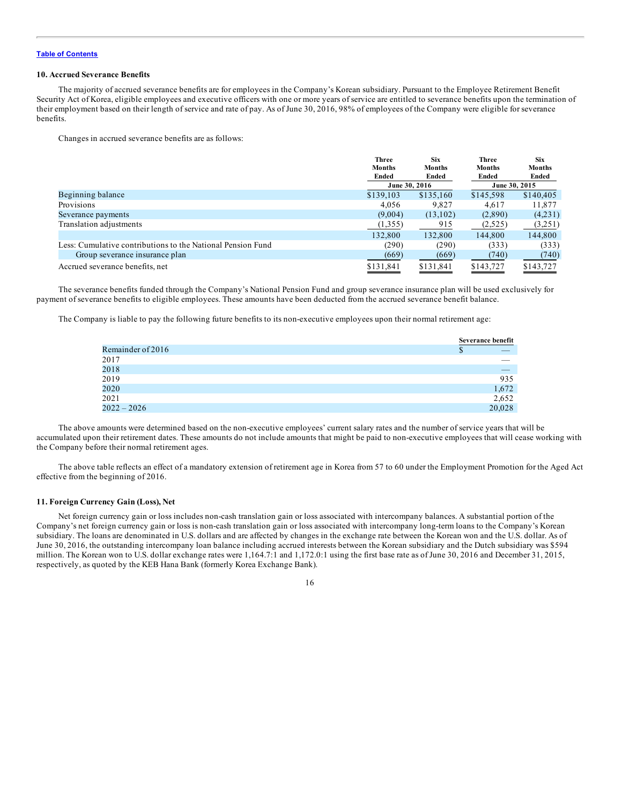### **10. Accrued Severance Benefits**

The majority of accrued severance benefits are for employees in the Company's Korean subsidiary. Pursuant to the Employee Retirement Benefit Security Act of Korea, eligible employees and executive officers with one or more years of service are entitled to severance benefits upon the termination of their employment based on their length of service and rate of pay. As of June 30, 2016, 98% of employees of the Company were eligible for severance benefits.

Changes in accrued severance benefits are as follows:

|                                                             | <b>Three</b>  | <b>Six</b>    | <b>Three</b>  | <b>Six</b>    |
|-------------------------------------------------------------|---------------|---------------|---------------|---------------|
|                                                             | <b>Months</b> | <b>Months</b> | <b>Months</b> | <b>Months</b> |
|                                                             | <b>Ended</b>  | Ended         | Ended         | Ended         |
|                                                             | June 30, 2016 |               | June 30, 2015 |               |
| Beginning balance                                           | \$139,103     | \$135,160     | \$145,598     | \$140,405     |
| Provisions                                                  | 4,056         | 9,827         | 4,617         | 11,877        |
| Severance payments                                          | (9,004)       | (13,102)      | (2,890)       | (4,231)       |
| Translation adjustments                                     | (1,355)       | 915           | (2,525)       | (3,251)       |
|                                                             | 132,800       | 132,800       | 144,800       | 144,800       |
| Less: Cumulative contributions to the National Pension Fund | (290)         | (290)         | (333)         | (333)         |
| Group severance insurance plan                              | (669)         | (669)         | (740)         | (740)         |
| Accrued severance benefits, net                             | \$131,841     | \$131,841     | \$143,727     | \$143,727     |

The severance benefits funded through the Company's National Pension Fund and group severance insurance plan will be used exclusively for payment of severance benefits to eligible employees. These amounts have been deducted from the accrued severance benefit balance.

The Company is liable to pay the following future benefits to its non-executive employees upon their normal retirement age:

|                   |   | <b>Severance benefit</b> |
|-------------------|---|--------------------------|
| Remainder of 2016 | Ф |                          |
| 2017              |   |                          |
| 2018              |   |                          |
| 2019              |   | 935                      |
| 2020              |   | 1,672                    |
| 2021              |   | 2,652                    |
| $2022 - 2026$     |   | 20,028                   |

The above amounts were determined based on the non-executive employees' current salary rates and the number of service years that will be accumulated upon their retirement dates. These amounts do not include amounts that might be paid to non-executive employees that will cease working with the Company before their normal retirement ages.

The above table reflects an effect of a mandatory extension of retirement age in Korea from 57 to 60 under the Employment Promotion for the Aged Act effective from the beginning of 2016.

# **11. Foreign Currency Gain (Loss), Net**

Net foreign currency gain or loss includes non-cash translation gain or loss associated with intercompany balances. A substantial portion of the Company's net foreign currency gain or loss is non-cash translation gain or loss associated with intercompany long-term loans to the Company's Korean subsidiary. The loans are denominated in U.S. dollars and are affected by changes in the exchange rate between the Korean won and the U.S. dollar. As of June 30, 2016, the outstanding intercompany loan balance including accrued interests between the Korean subsidiary and the Dutch subsidiary was \$594 million. The Korean won to U.S. dollar exchange rates were 1,164.7:1 and 1,172.0:1 using the first base rate as of June 30, 2016 and December 31, 2015, respectively, as quoted by the KEB Hana Bank (formerly Korea Exchange Bank).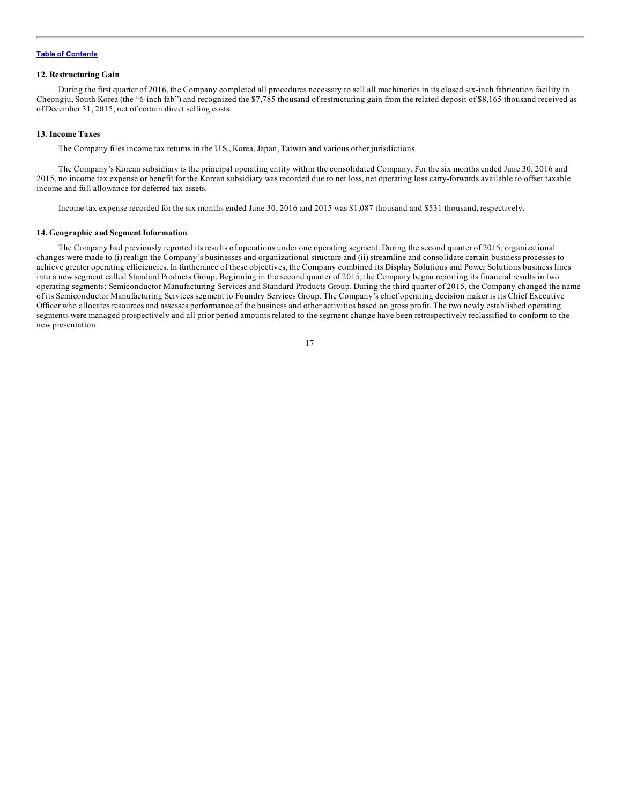### **12. Restructuring Gain**

During the first quarter of 2016, the Company completed all procedures necessary to sell all machineries in its closed six-inch fabrication facility in Cheongju, South Korea (the "6-inch fab") and recognized the \$7,785 thousand of restructuring gain from the related deposit of \$8,165 thousand received as of December 31, 2015, net of certain direct selling costs.

### **13. Income Taxes**

The Company files income tax returns in the U.S., Korea, Japan, Taiwan and various other jurisdictions.

The Company's Korean subsidiary is the principal operating entity within the consolidated Company. For the six months ended June 30, 2016 and 2015, no income tax expense or benefit for the Korean subsidiary was recorded due to net loss, net operating loss carry-forwards available to offset taxable income and full allowance for deferred tax assets.

Income tax expense recorded for the six months ended June 30, 2016 and 2015 was \$1,087 thousand and \$531 thousand, respectively.

### **14. Geographic and Segment Information**

The Company had previously reported its results of operations under one operating segment. During the second quarter of 2015, organizational changes were made to (i) realign the Company's businesses and organizational structure and (ii) streamline and consolidate certain business processes to achieve greater operating efficiencies. In furtherance of these objectives, the Company combined its Display Solutions and Power Solutions business lines into a new segment called Standard Products Group. Beginning in the second quarter of 2015, the Company began reporting its financial results in two operating segments: Semiconductor Manufacturing Services and Standard Products Group. During the third quarter of 2015, the Company changed the name of its Semiconductor Manufacturing Services segment to Foundry Services Group. The Company's chief operating decision maker is its Chief Executive Officer who allocates resources and assesses performance of the business and other activities based on gross profit. The two newly established operating segments were managed prospectively and all prior period amounts related to the segment change have been retrospectively reclassified to conform to the new presentation.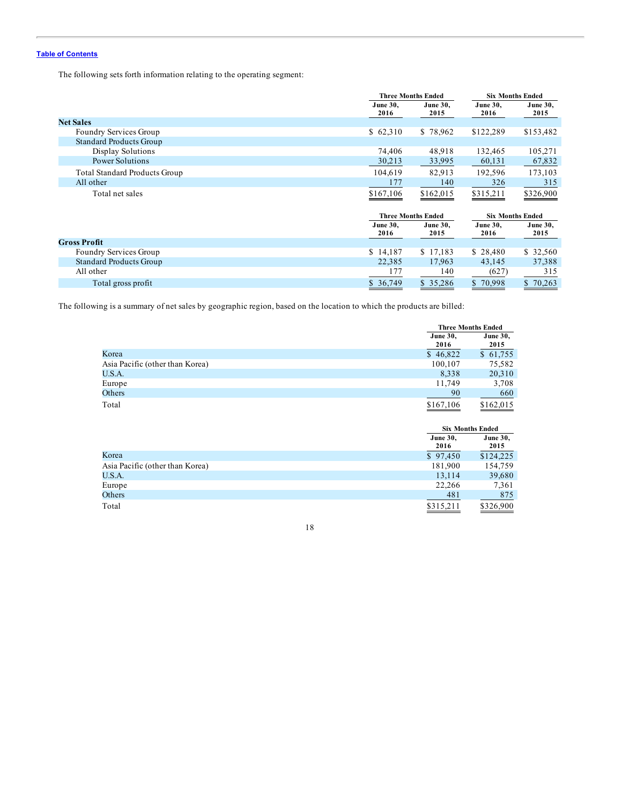The following sets forth information relating to the operating segment:

|                                      |                         | <b>Three Months Ended</b> |                         | <b>Six Months Ended</b> |
|--------------------------------------|-------------------------|---------------------------|-------------------------|-------------------------|
|                                      | <b>June 30,</b><br>2016 | <b>June 30,</b><br>2015   | June 30,<br>2016        | <b>June 30,</b><br>2015 |
| <b>Net Sales</b>                     |                         |                           |                         |                         |
| Foundry Services Group               | \$62,310                | \$78,962                  | \$122,289               | \$153,482               |
| <b>Standard Products Group</b>       |                         |                           |                         |                         |
| Display Solutions                    | 74,406                  | 48,918                    | 132,465                 | 105,271                 |
| Power Solutions                      | 30,213                  | 33,995                    | 60,131                  | 67,832                  |
| <b>Total Standard Products Group</b> | 104,619                 | 82,913                    | 192,596                 | 173,103                 |
| All other                            | 177                     | 140                       | 326                     | 315                     |
| Total net sales                      | \$167,106               | \$162,015                 | \$315,211               | \$326,900               |
|                                      |                         | <b>Three Months Ended</b> |                         | <b>Six Months Ended</b> |
|                                      | <b>June 30,</b><br>2016 | <b>June 30,</b><br>2015   | <b>June 30,</b><br>2016 | <b>June 30,</b><br>2015 |
| <b>Gross Profit</b>                  |                         |                           |                         |                         |
| Foundry Services Group               | \$14,187                | \$17,183                  | \$28,480                | \$ 32,560               |
| <b>Standard Products Group</b>       | 22,385                  | 17,963                    | 43,145                  | 37,388                  |
| All other                            | 177                     | 140                       | (627)                   | 315                     |

The following is a summary of net sales by geographic region, based on the location to which the products are billed:

|                                 |                         | <b>Three Months Ended</b> |
|---------------------------------|-------------------------|---------------------------|
|                                 | <b>June 30,</b><br>2016 | <b>June 30,</b><br>2015   |
| Korea                           | \$46,822                | \$61,755                  |
| Asia Pacific (other than Korea) | 100,107                 | 75,582                    |
| U.S.A.                          | 8.338                   | 20,310                    |
| Europe                          | 11.749                  | 3,708                     |
| Others                          | 90                      | 660                       |
| Total                           | \$167,106               | \$162,015                 |

Total gross profit 8 36,749 \$ 36,749 \$ 35,286 \$ 70,998 \$ 70,263

|                                 |                         | <b>Six Months Ended</b> |
|---------------------------------|-------------------------|-------------------------|
|                                 | <b>June 30,</b><br>2016 | <b>June 30,</b><br>2015 |
| Korea                           | \$97,450                | \$124,225               |
| Asia Pacific (other than Korea) | 181,900                 | 154,759                 |
| U.S.A.                          | 13,114                  | 39,680                  |
| Europe                          | 22,266                  | 7,361                   |
| Others                          | 481                     | 875                     |
| Total                           | \$315,211               | \$326,900               |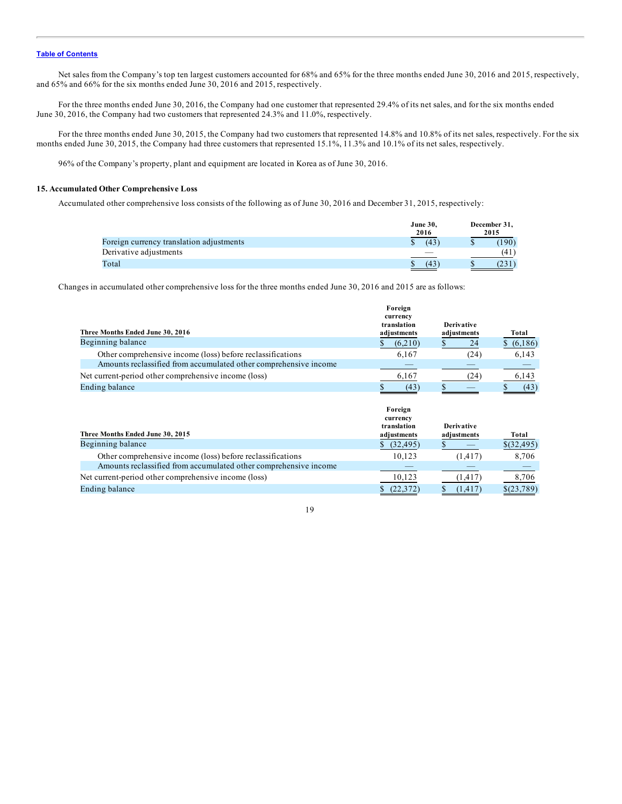Net sales from the Company's top ten largest customers accounted for 68% and 65% for the three months ended June 30, 2016 and 2015, respectively, and 65% and 66% for the six months ended June 30, 2016 and 2015, respectively.

For the three months ended June 30, 2016, the Company had one customer that represented 29.4% of its net sales, and for the six months ended June 30, 2016, the Company had two customers that represented 24.3% and 11.0%, respectively.

For the three months ended June 30, 2015, the Company had two customers that represented 14.8% and 10.8% of its net sales, respectively. For the six months ended June 30, 2015, the Company had three customers that represented 15.1%, 11.3% and 10.1% of its net sales, respectively.

96% of the Company's property, plant and equipment are located in Korea as of June 30, 2016.

### **15. Accumulated Other Comprehensive Loss**

Accumulated other comprehensive loss consists of the following as of June 30, 2016 and December 31, 2015, respectively:

|                                          | <b>June 30.</b> | December 31, |  |  |
|------------------------------------------|-----------------|--------------|--|--|
|                                          | 2016            | 2015         |  |  |
| Foreign currency translation adjustments | (43)            | 190)         |  |  |
| Derivative adjustments                   |                 | (41)         |  |  |
| Total                                    | (43             |              |  |  |

Changes in accumulated other comprehensive loss for the three months ended June 30, 2016 and 2015 are as follows:

| Three Months Ended June 30, 2016                                 | Foreign<br>currency<br>translation<br>adjustments | <b>Derivative</b><br>adjustments | Total   |
|------------------------------------------------------------------|---------------------------------------------------|----------------------------------|---------|
| Beginning balance                                                | (6,210)                                           | 24                               | (6,186) |
| Other comprehensive income (loss) before reclassifications       | 6.167                                             | (24)                             | 6,143   |
| Amounts reclassified from accumulated other comprehensive income |                                                   |                                  |         |
| Net current-period other comprehensive income (loss)             | 6,167                                             | (24)                             | 6,143   |
| Ending balance                                                   | (43)                                              |                                  | (43)    |

|                                                                  | Foreign<br>currency<br>translation | <b>Derivative</b> |              |
|------------------------------------------------------------------|------------------------------------|-------------------|--------------|
| Three Months Ended June 30, 2015                                 | adjustments                        | adjustments       | Total        |
| Beginning balance                                                | (32, 495)                          |                   | $$$ (32,495) |
| Other comprehensive income (loss) before reclassifications       | 10.123                             | (1, 417)          | 8,706        |
| Amounts reclassified from accumulated other comprehensive income |                                    |                   |              |
| Net current-period other comprehensive income (loss)             | 10,123                             | (1, 417)          | 8,706        |
| Ending balance                                                   | (22.372)                           | (1, 417)          | \$(23,789)   |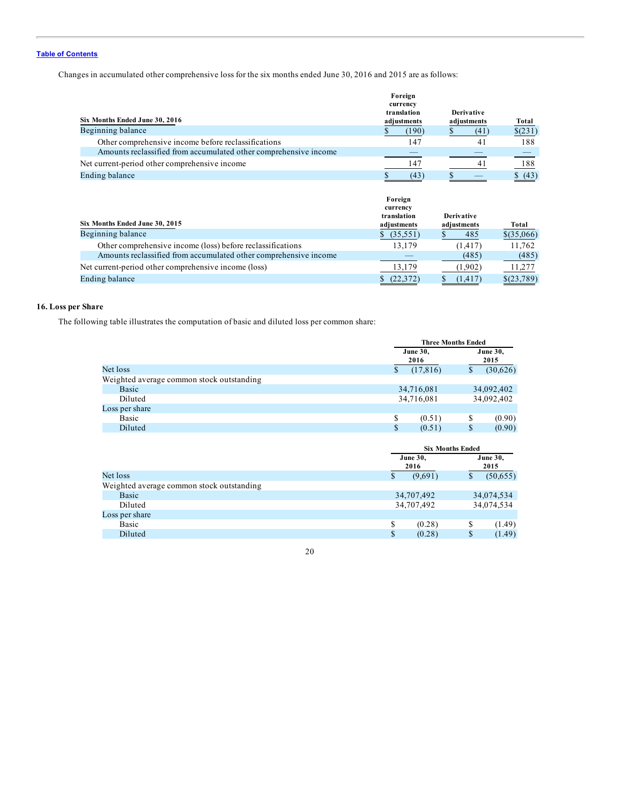Changes in accumulated other comprehensive loss for the six months ended June 30, 2016 and 2015 are as follows:

|                                                                  | Foreign<br>currency<br>translation | <b>Derivative</b> |                 |
|------------------------------------------------------------------|------------------------------------|-------------------|-----------------|
| Six Months Ended June 30, 2016                                   | adjustments                        | adjustments       | Total           |
| Beginning balance                                                | (190)                              | (41)              | $\sqrt{$(231)}$ |
| Other comprehensive income before reclassifications              | 147                                | 41                | 188             |
| Amounts reclassified from accumulated other comprehensive income |                                    |                   |                 |
| Net current-period other comprehensive income                    | 147                                | 4                 | <u>188</u>      |
| Ending balance                                                   | (43)                               |                   | \$ (43)         |

| Six Months Ended June 30, 2015                                   | Foreign<br>currency<br>translation<br>adjustments | <b>Derivative</b><br>adjustments | Total        |
|------------------------------------------------------------------|---------------------------------------------------|----------------------------------|--------------|
| Beginning balance                                                | (35,551)                                          | 485                              | $$$ (35,066) |
| Other comprehensive income (loss) before reclassifications       | 13.179                                            | (1, 417)                         | 11,762       |
| Amounts reclassified from accumulated other comprehensive income |                                                   | (485)                            | (485)        |
| Net current-period other comprehensive income (loss)             | 13,179                                            | (1.902)                          | 11,277       |
| Ending balance                                                   | (22, 372)                                         | (1, 417)                         | \$(23,789)   |

# **16. Loss per Share**

The following table illustrates the computation of basic and diluted loss per common share:

|                                           |                         | <b>Three Months Ended</b> |
|-------------------------------------------|-------------------------|---------------------------|
|                                           | <b>June 30,</b><br>2016 | <b>June 30,</b><br>2015   |
| Net loss                                  | (17, 816)               | (30,626)<br>\$            |
| Weighted average common stock outstanding |                         |                           |
| Basic                                     | 34,716,081              | 34,092,402                |
| Diluted                                   | 34,716,081              | 34,092,402                |
| Loss per share                            |                         |                           |
| Basic                                     | S<br>(0.51)             | \$<br>(0.90)              |
| Diluted                                   | (0.51)                  | \$<br>(0.90)              |

|                                           | <b>Six Months Ended</b> |                         |  |  |
|-------------------------------------------|-------------------------|-------------------------|--|--|
|                                           | <b>June 30,</b><br>2016 | <b>June 30,</b><br>2015 |  |  |
| Net loss                                  | (9,691)<br>\$           | (50,655)<br>\$          |  |  |
| Weighted average common stock outstanding |                         |                         |  |  |
| Basic                                     | 34,707,492              | 34,074,534              |  |  |
| Diluted                                   | 34,707,492              | 34,074,534              |  |  |
| Loss per share                            |                         |                         |  |  |
| Basic                                     | \$<br>(0.28)            | \$<br>(1.49)            |  |  |
| Diluted                                   | \$<br>(0.28)            | \$<br>(1.49)            |  |  |

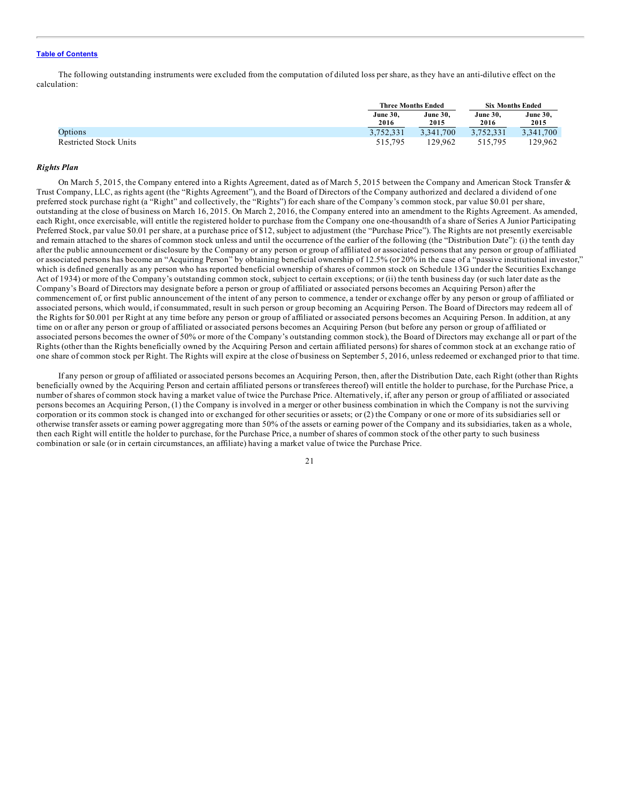The following outstanding instruments were excluded from the computation of diluted loss per share, as they have an anti-dilutive effect on the calculation:

|                               | <b>Three Months Ended</b> |                         | <b>Six Months Ended</b> |                         |
|-------------------------------|---------------------------|-------------------------|-------------------------|-------------------------|
|                               | <b>June 30.</b><br>2016   | <b>June 30.</b><br>2015 | <b>June 30.</b><br>2016 | <b>June 30,</b><br>2015 |
| Options                       | 3.752.331                 | 3.341.700               | 3.752.331               | 3.341.700               |
| <b>Restricted Stock Units</b> | 515.795                   | 129.962                 | 515.795                 | 129.962                 |

# *Rights Plan*

On March 5, 2015, the Company entered into a Rights Agreement, dated as of March 5, 2015 between the Company and American Stock Transfer & Trust Company, LLC, as rights agent (the "Rights Agreement"), and the Board of Directors of the Company authorized and declared a dividend of one preferred stock purchase right (a "Right" and collectively, the "Rights") for each share of the Company's common stock, par value \$0.01 per share, outstanding at the close of business on March 16, 2015. On March 2, 2016, the Company entered into an amendment to the Rights Agreement. As amended, each Right, once exercisable, will entitle the registered holder to purchase from the Company one one-thousandth of a share of Series A Junior Participating Preferred Stock, par value \$0.01 per share, at a purchase price of \$12, subject to adjustment (the "Purchase Price"). The Rights are not presently exercisable and remain attached to the shares of common stock unless and until the occurrence of the earlier of the following (the "Distribution Date"): (i) the tenth day after the public announcement or disclosure by the Company or any person or group of affiliated or associated persons that any person or group of affiliated or associated persons has become an "Acquiring Person" by obtaining beneficial ownership of 12.5% (or 20% in the case of a "passive institutional investor," which is defined generally as any person who has reported beneficial ownership of shares of common stock on Schedule 13G under the Securities Exchange Act of 1934) or more of the Company's outstanding common stock, subject to certain exceptions; or (ii) the tenth business day (or such later date as the Company's Board of Directors may designate before a person or group of affiliated or associated persons becomes an Acquiring Person) after the commencement of, or first public announcement of the intent of any person to commence, a tender or exchange offer by any person or group of affiliated or associated persons, which would, if consummated, result in such person or group becoming an Acquiring Person. The Board of Directors may redeem all of the Rights for \$0.001 per Right at any time before any person or group of affiliated or associated persons becomes an Acquiring Person. In addition, at any time on or after any person or group of affiliated or associated persons becomes an Acquiring Person (but before any person or group of affiliated or associated persons becomes the owner of 50% or more of the Company's outstanding common stock), the Board of Directors may exchange all or part of the Rights (other than the Rights beneficially owned by the Acquiring Person and certain affiliated persons) for shares of common stock at an exchange ratio of one share of common stock per Right. The Rights will expire at the close of business on September 5, 2016, unless redeemed or exchanged prior to that time.

If any person or group of affiliated or associated persons becomes an Acquiring Person, then, after the Distribution Date, each Right (other than Rights beneficially owned by the Acquiring Person and certain affiliated persons or transferees thereof) will entitle the holder to purchase, for the Purchase Price, a number of shares of common stock having a market value of twice the Purchase Price. Alternatively, if, after any person or group of affiliated or associated persons becomes an Acquiring Person, (1) the Company is involved in a merger or other business combination in which the Company is not the surviving corporation or its common stock is changed into or exchanged for other securities or assets; or (2) the Company or one or more of its subsidiaries sell or otherwise transfer assets or earning power aggregating more than 50% of the assets or earning power of the Company and its subsidiaries, taken as a whole, then each Right will entitle the holder to purchase, for the Purchase Price, a number of shares of common stock of the other party to such business combination or sale (or in certain circumstances, an affiliate) having a market value of twice the Purchase Price.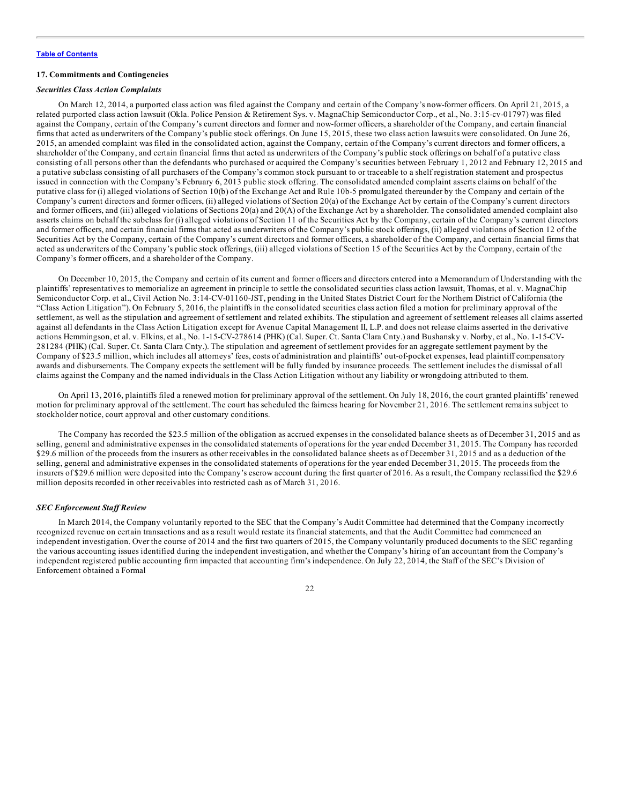### **17. Commitments and Contingencies**

### *Securities Class Action Complaints*

On March 12, 2014, a purported class action was filed against the Company and certain of the Company's now-former officers. On April 21, 2015, a related purported class action lawsuit (Okla. Police Pension & Retirement Sys. v. MagnaChip Semiconductor Corp., et al., No. 3:15-cv-01797) was filed against the Company, certain of the Company's current directors and former and now-former officers, a shareholder of the Company, and certain financial firms that acted as underwriters of the Company's public stock offerings. On June 15, 2015, these two class action lawsuits were consolidated. On June 26, 2015, an amended complaint was filed in the consolidated action, against the Company, certain of the Company's current directors and former officers, a shareholder of the Company, and certain financial firms that acted as underwriters of the Company's public stock offerings on behalf of a putative class consisting of all persons other than the defendants who purchased or acquired the Company's securities between February 1, 2012 and February 12, 2015 and a putative subclass consisting of all purchasers of the Company's common stock pursuant to or traceable to a shelf registration statement and prospectus issued in connection with the Company's February 6, 2013 public stock offering. The consolidated amended complaint asserts claims on behalf of the putative class for (i) alleged violations of Section 10(b) of the Exchange Act and Rule 10b-5 promulgated thereunder by the Company and certain of the Company's current directors and former officers, (ii) alleged violations of Section 20(a) of the Exchange Act by certain of the Company's current directors and former officers, and (iii) alleged violations of Sections 20(a) and 20(A) of the Exchange Act by a shareholder. The consolidated amended complaint also asserts claims on behalf the subclass for (i) alleged violations of Section 11 of the Securities Act by the Company, certain of the Company's current directors and former officers, and certain financial firms that acted as underwriters of the Company's public stock offerings, (ii) alleged violations of Section 12 of the Securities Act by the Company, certain of the Company's current directors and former officers, a shareholder of the Company, and certain financial firms that acted as underwriters of the Company's public stock offerings, (iii) alleged violations of Section 15 of the Securities Act by the Company, certain of the Company's former officers, and a shareholder of the Company.

On December 10, 2015, the Company and certain of its current and former officers and directors entered into a Memorandum of Understanding with the plaintiffs' representatives to memorialize an agreement in principle to settle the consolidated securities class action lawsuit, Thomas, et al. v. MagnaChip Semiconductor Corp. et al., Civil Action No. 3:14-CV-01160-JST, pending in the United States District Court for the Northern District of California (the "Class Action Litigation"). On February 5, 2016, the plaintiffs in the consolidated securities class action filed a motion for preliminary approval of the settlement, as well as the stipulation and agreement of settlement and related exhibits. The stipulation and agreement of settlement releases all claims asserted against all defendants in the Class Action Litigation except for Avenue Capital Management II, L.P. and does not release claims asserted in the derivative actions Hemmingson, et al. v. Elkins, et al., No. 1-15-CV-278614 (PHK) (Cal. Super. Ct. Santa Clara Cnty.) and Bushansky v. Norby, et al., No. 1-15-CV-281284 (PHK) (Cal. Super. Ct. Santa Clara Cnty.). The stipulation and agreement of settlement provides for an aggregate settlement payment by the Company of \$23.5 million, which includes all attorneys' fees, costs of administration and plaintiffs' out-of-pocket expenses, lead plaintiff compensatory awards and disbursements. The Company expects the settlement will be fully funded by insurance proceeds. The settlement includes the dismissal of all claims against the Company and the named individuals in the Class Action Litigation without any liability or wrongdoing attributed to them.

On April 13, 2016, plaintiffs filed a renewed motion for preliminary approval of the settlement. On July 18, 2016, the court granted plaintiffs' renewed motion for preliminary approval of the settlement. The court has scheduled the fairness hearing for November 21, 2016. The settlement remains subject to stockholder notice, court approval and other customary conditions.

The Company has recorded the \$23.5 million of the obligation as accrued expenses in the consolidated balance sheets as of December 31, 2015 and as selling, general and administrative expenses in the consolidated statements of operations for the year ended December 31, 2015. The Company has recorded \$29.6 million of the proceeds from the insurers as other receivables in the consolidated balance sheets as of December 31, 2015 and as a deduction of the selling, general and administrative expenses in the consolidated statements of operations for the year ended December 31, 2015. The proceeds from the insurers of \$29.6 million were deposited into the Company's escrow account during the first quarter of 2016. As a result, the Company reclassified the \$29.6 million deposits recorded in other receivables into restricted cash as of March 31, 2016.

#### *SEC Enforcement Staf Review*

In March 2014, the Company voluntarily reported to the SEC that the Company's Audit Committee had determined that the Company incorrectly recognized revenue on certain transactions and as a result would restate its financial statements, and that the Audit Committee had commenced an independent investigation. Over the course of 2014 and the first two quarters of 2015, the Company voluntarily produced documents to the SEC regarding the various accounting issues identified during the independent investigation, and whether the Company's hiring of an accountant from the Company's independent registered public accounting firm impacted that accounting firm's independence. On July 22, 2014, the Staff of the SEC's Division of Enforcement obtained a Formal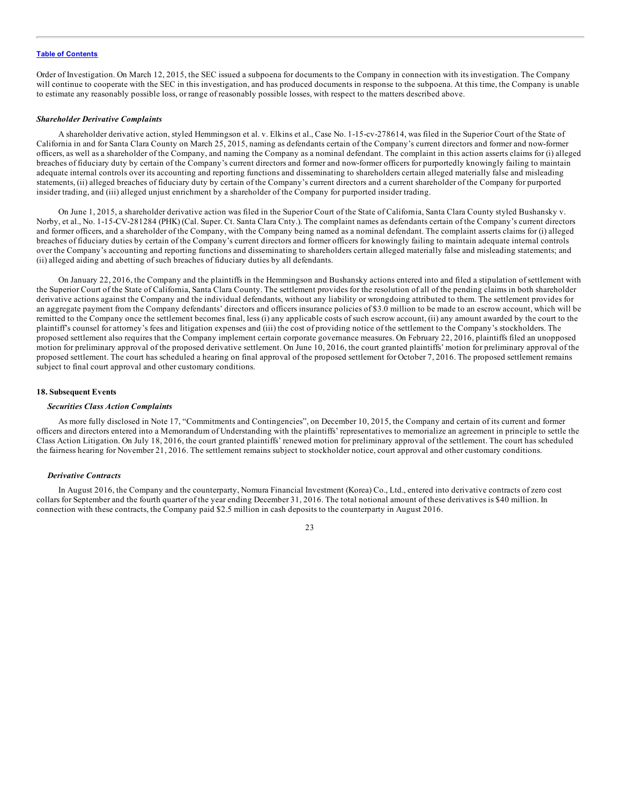Order of Investigation. On March 12, 2015, the SEC issued a subpoena for documents to the Company in connection with its investigation. The Company will continue to cooperate with the SEC in this investigation, and has produced documents in response to the subpoena. At this time, the Company is unable to estimate any reasonably possible loss, or range of reasonably possible losses, with respect to the matters described above.

#### *Shareholder Derivative Complaints*

A shareholder derivative action, styled Hemmingson et al. v. Elkins et al., Case No. 1-15-cv-278614, was filed in the Superior Court of the State of California in and for Santa Clara County on March 25, 2015, naming as defendants certain of the Company's current directors and former and now-former officers, as well as a shareholder of the Company, and naming the Company as a nominal defendant. The complaint in this action asserts claims for (i) alleged breaches of fiduciary duty by certain of the Company's current directors and former and now-former officers for purportedly knowingly failing to maintain adequate internal controls over its accounting and reporting functions and disseminating to shareholders certain alleged materially false and misleading statements, (ii) alleged breaches of fiduciary duty by certain of the Company's current directors and a current shareholder of the Company for purported insider trading, and (iii) alleged unjust enrichment by a shareholder of the Company for purported insider trading.

On June 1, 2015, a shareholder derivative action was filed in the Superior Court of the State of California, Santa Clara County styled Bushansky v. Norby, et al., No. 1-15-CV-281284 (PHK) (Cal. Super. Ct. Santa Clara Cnty.). The complaint names as defendants certain of the Company's current directors and former officers, and a shareholder of the Company, with the Company being named as a nominal defendant. The complaint asserts claims for (i) alleged breaches of fiduciary duties by certain of the Company's current directors and former officers for knowingly failing to maintain adequate internal controls over the Company's accounting and reporting functions and disseminating to shareholders certain alleged materially false and misleading statements; and (ii) alleged aiding and abetting of such breaches of fiduciary duties by all defendants.

On January 22, 2016, the Company and the plaintiffs in the Hemmingson and Bushansky actions entered into and filed a stipulation of settlement with the Superior Court of the State of California, Santa Clara County. The settlement provides for the resolution of all of the pending claims in both shareholder derivative actions against the Company and the individual defendants, without any liability or wrongdoing attributed to them. The settlement provides for an aggregate payment from the Company defendants' directors and officers insurance policies of \$3.0 million to be made to an escrow account, which will be remitted to the Company once the settlement becomes final, less (i) any applicable costs of such escrow account, (ii) any amount awarded by the court to the plaintiff's counsel for attorney's fees and litigation expenses and (iii) the cost of providing notice of the settlement to the Company's stockholders. The proposed settlement also requires that the Company implement certain corporate governance measures. On February 22, 2016, plaintiffs filed an unopposed motion for preliminary approval of the proposed derivative settlement. On June 10, 2016, the court granted plaintiffs' motion for preliminary approval of the proposed settlement. The court has scheduled a hearing on final approval of the proposed settlement for October 7, 2016. The proposed settlement remains subject to final court approval and other customary conditions.

#### **18. Subsequent Events**

#### *Securities Class Action Complaints*

As more fully disclosed in Note 17, "Commitments and Contingencies", on December 10, 2015, the Company and certain of its current and former officers and directors entered into a Memorandum of Understanding with the plaintiffs' representatives to memorialize an agreement in principle to settle the Class Action Litigation. On July 18, 2016, the court granted plaintiffs' renewed motion for preliminary approval of the settlement. The court has scheduled the fairness hearing for November 21, 2016. The settlement remains subject to stockholder notice, court approval and other customary conditions.

#### *Derivative Contracts*

In August 2016, the Company and the counterparty, Nomura Financial Investment (Korea) Co., Ltd., entered into derivative contracts of zero cost collars for September and the fourth quarter of the year ending December 31, 2016. The total notional amount of these derivatives is \$40 million. In connection with these contracts, the Company paid \$2.5 million in cash deposits to the counterparty in August 2016.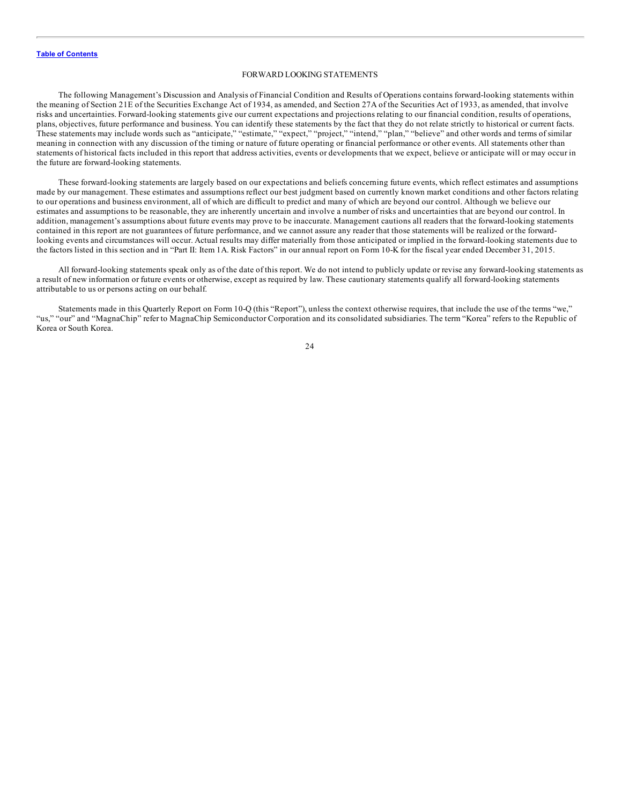#### FORWARD LOOKING STATEMENTS

The following Management's Discussion and Analysis of Financial Condition and Results of Operations contains forward-looking statements within the meaning of Section 21E of the Securities Exchange Act of 1934, as amended, and Section 27A of the Securities Act of 1933, as amended, that involve risks and uncertainties. Forward-looking statements give our current expectations and projections relating to our financial condition, results of operations, plans, objectives, future performance and business. You can identify these statements by the fact that they do not relate strictly to historical or current facts. These statements may include words such as "anticipate," "estimate," "expect," "project," "intend," "plan," "believe" and other words and terms of similar meaning in connection with any discussion of the timing or nature of future operating or financial performance or other events. All statements other than statements of historical facts included in this report that address activities, events or developments that we expect, believe or anticipate will or may occur in the future are forward-looking statements.

These forward-looking statements are largely based on our expectations and beliefs concerning future events, which reflect estimates and assumptions made by our management. These estimates and assumptions reflect our best judgment based on currently known market conditions and other factors relating to our operations and business environment, all of which are difficult to predict and many of which are beyond our control. Although we believe our estimates and assumptions to be reasonable, they are inherently uncertain and involve a number of risks and uncertainties that are beyond our control. In addition, management's assumptions about future events may prove to be inaccurate. Management cautions all readers that the forward-looking statements contained in this report are not guarantees of future performance, and we cannot assure any reader that those statements will be realized or the forwardlooking events and circumstances will occur. Actual results may differ materially from those anticipated or implied in the forward-looking statements due to the factors listed in this section and in "Part II: Item 1A. Risk Factors" in our annual report on Form 10-K for the fiscal year ended December 31, 2015.

All forward-looking statements speak only as of the date of this report. We do not intend to publicly update or revise any forward-looking statements as a result of new information or future events or otherwise, except as required by law. These cautionary statements qualify all forward-looking statements attributable to us or persons acting on our behalf.

Statements made in this Quarterly Report on Form 10-Q (this "Report"), unless the context otherwise requires, that include the use of the terms "we," "us," "our" and "MagnaChip" refer to MagnaChip Semiconductor Corporation and its consolidated subsidiaries. The term "Korea" refers to the Republic of Korea or South Korea.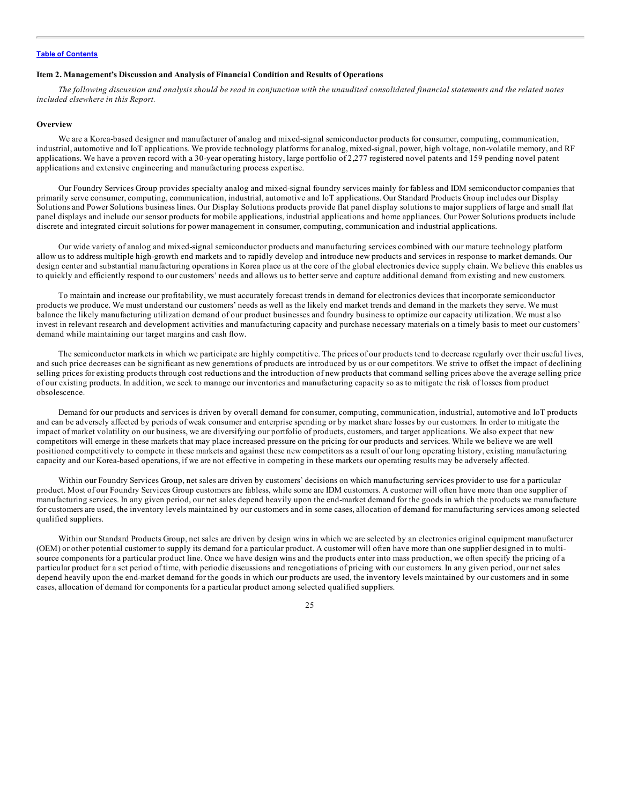### <span id="page-24-0"></span>**Item 2. Management's Discussion and Analysis of Financial Condition and Results of Operations**

The following discussion and analysis should be read in conjunction with the unaudited consolidated financial statements and the related notes *included elsewhere in this Report.*

### **Overview**

We are a Korea-based designer and manufacturer of analog and mixed-signal semiconductor products for consumer, computing, communication, industrial, automotive and IoT applications. We provide technology platforms for analog, mixed-signal, power, high voltage, non-volatile memory, and RF applications. We have a proven record with a 30-year operating history, large portfolio of 2,277 registered novel patents and 159 pending novel patent applications and extensive engineering and manufacturing process expertise.

Our Foundry Services Group provides specialty analog and mixed-signal foundry services mainly for fabless and IDM semiconductor companies that primarily serve consumer, computing, communication, industrial, automotive and IoT applications. Our Standard Products Group includes our Display Solutions and Power Solutions business lines. Our Display Solutions products provide flat panel display solutions to major suppliers of large and small flat panel displays and include our sensor products for mobile applications, industrial applications and home appliances. Our Power Solutions products include discrete and integrated circuit solutions for power management in consumer, computing, communication and industrial applications.

Our wide variety of analog and mixed-signal semiconductor products and manufacturing services combined with our mature technology platform allow us to address multiple high-growth end markets and to rapidly develop and introduce new products and services in response to market demands. Our design center and substantial manufacturing operations in Korea place us at the core of the global electronics device supply chain. We believe this enables us to quickly and efficiently respond to our customers' needs and allows us to better serve and capture additional demand from existing and new customers.

To maintain and increase our profitability, we must accurately forecast trends in demand for electronics devices that incorporate semiconductor products we produce. We must understand our customers' needs as well as the likely end market trends and demand in the markets they serve. We must balance the likely manufacturing utilization demand of our product businesses and foundry business to optimize our capacity utilization. We must also invest in relevant research and development activities and manufacturing capacity and purchase necessary materials on a timely basis to meet our customers' demand while maintaining our target margins and cash flow.

The semiconductor markets in which we participate are highly competitive. The prices of our products tend to decrease regularly over their useful lives, and such price decreases can be significant as new generations of products are introduced by us or our competitors. We strive to offset the impact of declining selling prices for existing products through cost reductions and the introduction of new products that command selling prices above the average selling price of our existing products. In addition, we seek to manage our inventories and manufacturing capacity so as to mitigate the risk of losses from product obsolescence.

Demand for our products and services is driven by overall demand for consumer, computing, communication, industrial, automotive and IoT products and can be adversely affected by periods of weak consumer and enterprise spending or by market share losses by our customers. In order to mitigate the impact of market volatility on our business, we are diversifying our portfolio of products, customers, and target applications. We also expect that new competitors will emerge in these markets that may place increased pressure on the pricing for our products and services. While we believe we are well positioned competitively to compete in these markets and against these new competitors as a result of our long operating history, existing manufacturing capacity and our Korea-based operations, if we are not effective in competing in these markets our operating results may be adversely affected.

Within our Foundry Services Group, net sales are driven by customers' decisions on which manufacturing services provider to use for a particular product. Most of our Foundry Services Group customers are fabless, while some are IDM customers. A customer will often have more than one supplier of manufacturing services. In any given period, our net sales depend heavily upon the end-market demand for the goods in which the products we manufacture for customers are used, the inventory levels maintained by our customers and in some cases, allocation of demand for manufacturing services among selected qualified suppliers.

Within our Standard Products Group, net sales are driven by design wins in which we are selected by an electronics original equipment manufacturer (OEM) or other potential customer to supply its demand for a particular product. A customer will often have more than one supplier designed in to multisource components for a particular product line. Once we have design wins and the products enter into mass production, we often specify the pricing of a particular product for a set period of time, with periodic discussions and renegotiations of pricing with our customers. In any given period, our net sales depend heavily upon the end-market demand for the goods in which our products are used, the inventory levels maintained by our customers and in some cases, allocation of demand for components for a particular product among selected qualified suppliers.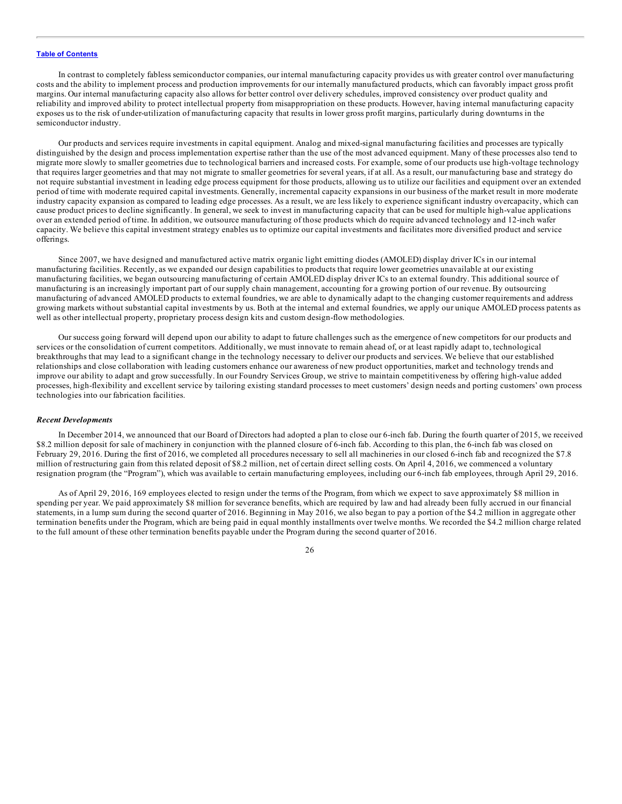In contrast to completely fabless semiconductor companies, our internal manufacturing capacity provides us with greater control over manufacturing costs and the ability to implement process and production improvements for our internally manufactured products, which can favorably impact gross profit margins. Our internal manufacturing capacity also allows for better control over delivery schedules, improved consistency over product quality and reliability and improved ability to protect intellectual property from misappropriation on these products. However, having internal manufacturing capacity exposes us to the risk of under-utilization of manufacturing capacity that results in lower gross profit margins, particularly during downturns in the semiconductor industry.

Our products and services require investments in capital equipment. Analog and mixed-signal manufacturing facilities and processes are typically distinguished by the design and process implementation expertise rather than the use of the most advanced equipment. Many of these processes also tend to migrate more slowly to smaller geometries due to technological barriers and increased costs. For example, some of our products use high-voltage technology that requires larger geometries and that may not migrate to smaller geometries for several years, if at all. As a result, our manufacturing base and strategy do not require substantial investment in leading edge process equipment for those products, allowing us to utilize our facilities and equipment over an extended period of time with moderate required capital investments. Generally, incremental capacity expansions in our business of the market result in more moderate industry capacity expansion as compared to leading edge processes. As a result, we are less likely to experience significant industry overcapacity, which can cause product prices to decline significantly. In general, we seek to invest in manufacturing capacity that can be used for multiple high-value applications over an extended period of time. In addition, we outsource manufacturing of those products which do require advanced technology and 12-inch wafer capacity. We believe this capital investment strategy enables us to optimize our capital investments and facilitates more diversified product and service offerings.

Since 2007, we have designed and manufactured active matrix organic light emitting diodes (AMOLED) display driver ICs in our internal manufacturing facilities. Recently, as we expanded our design capabilities to products that require lower geometries unavailable at our existing manufacturing facilities, we began outsourcing manufacturing of certain AMOLED display driver ICs to an external foundry. This additional source of manufacturing is an increasingly important part of our supply chain management, accounting for a growing portion of our revenue. By outsourcing manufacturing of advanced AMOLED products to external foundries, we are able to dynamically adapt to the changing customer requirements and address growing markets without substantial capital investments by us. Both at the internal and external foundries, we apply our unique AMOLED process patents as well as other intellectual property, proprietary process design kits and custom design-flow methodologies.

Our success going forward will depend upon our ability to adapt to future challenges such as the emergence of new competitors for our products and services or the consolidation of current competitors. Additionally, we must innovate to remain ahead of, or at least rapidly adapt to, technological breakthroughs that may lead to a significant change in the technology necessary to deliver our products and services. We believe that our established relationships and close collaboration with leading customers enhance our awareness of new product opportunities, market and technology trends and improve our ability to adapt and grow successfully. In our Foundry Services Group, we strive to maintain competitiveness by offering high-value added processes, high-flexibility and excellent service by tailoring existing standard processes to meet customers' design needs and porting customers' own process technologies into our fabrication facilities.

#### *Recent Developments*

In December 2014, we announced that our Board of Directors had adopted a plan to close our 6-inch fab. During the fourth quarter of 2015, we received \$8.2 million deposit for sale of machinery in conjunction with the planned closure of 6-inch fab. According to this plan, the 6-inch fab was closed on February 29, 2016. During the first of 2016, we completed all procedures necessary to sell all machineries in our closed 6-inch fab and recognized the \$7.8 million of restructuring gain from this related deposit of \$8.2 million, net of certain direct selling costs. On April 4, 2016, we commenced a voluntary resignation program (the "Program"), which was available to certain manufacturing employees, including our 6-inch fab employees, through April 29, 2016.

As of April 29, 2016, 169 employees elected to resign under the terms of the Program, from which we expect to save approximately \$8 million in spending per year. We paid approximately \$8 million for severance benefits, which are required by law and had already been fully accrued in our financial statements, in a lump sum during the second quarter of 2016. Beginning in May 2016, we also began to pay a portion of the \$4.2 million in aggregate other termination benefits under the Program, which are being paid in equal monthly installments over twelve months. We recorded the \$4.2 million charge related to the full amount of these other termination benefits payable under the Program during the second quarter of 2016.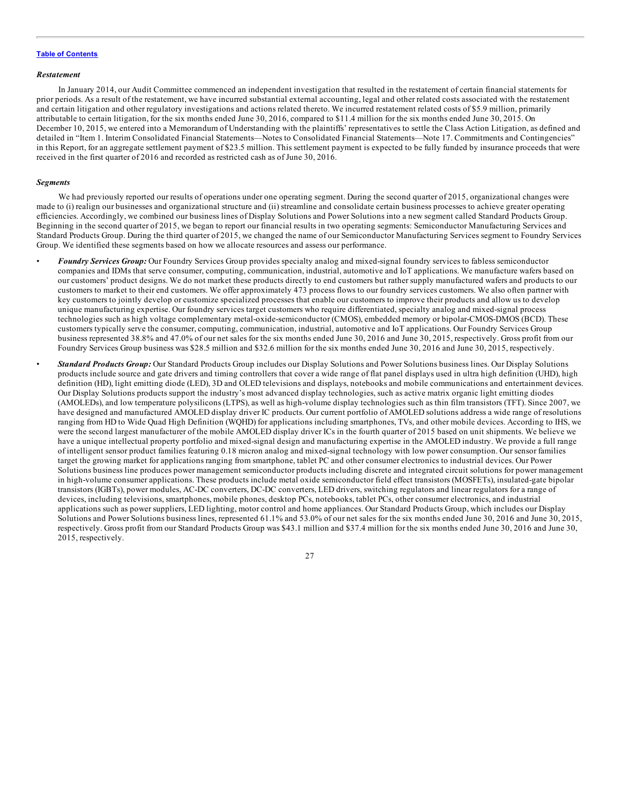#### *Restatement*

In January 2014, our Audit Committee commenced an independent investigation that resulted in the restatement of certain financial statements for prior periods. As a result of the restatement, we have incurred substantial external accounting, legal and other related costs associated with the restatement and certain litigation and other regulatory investigations and actions related thereto. We incurred restatement related costs of \$5.9 million, primarily attributable to certain litigation, for the six months ended June 30, 2016, compared to \$11.4 million for the six months ended June 30, 2015. On December 10, 2015, we entered into a Memorandum of Understanding with the plaintiffs' representatives to settle the Class Action Litigation, as defined and detailed in "Item 1. Interim Consolidated Financial Statements—Notes to Consolidated Financial Statements—Note 17. Commitments and Contingencies" in this Report, for an aggregate settlement payment of \$23.5 million. This settlement payment is expected to be fully funded by insurance proceeds that were received in the first quarter of 2016 and recorded as restricted cash as of June 30, 2016.

### *Segments*

We had previously reported our results of operations under one operating segment. During the second quarter of 2015, organizational changes were made to (i) realign our businesses and organizational structure and (ii) streamline and consolidate certain business processes to achieve greater operating efficiencies. Accordingly, we combined our business lines of Display Solutions and Power Solutions into a new segment called Standard Products Group. Beginning in the second quarter of 2015, we began to report our financial results in two operating segments: Semiconductor Manufacturing Services and Standard Products Group. During the third quarter of 2015, we changed the name of our Semiconductor Manufacturing Services segment to Foundry Services Group. We identified these segments based on how we allocate resources and assess our performance.

- *Foundry Services Group:* Our Foundry Services Group provides specialty analog and mixed-signal foundry services to fabless semiconductor companies and IDMs that serve consumer, computing, communication, industrial, automotive and IoT applications. We manufacture wafers based on our customers' product designs. We do not market these products directly to end customers but rather supply manufactured wafers and products to our customers to market to their end customers. We offer approximately 473 process flows to our foundry services customers. We also often partner with key customers to jointly develop or customize specialized processes that enable our customers to improve their products and allow us to develop unique manufacturing expertise. Our foundry services target customers who require differentiated, specialty analog and mixed-signal process technologies such as high voltage complementary metal-oxide-semiconductor (CMOS), embedded memory or bipolar-CMOS-DMOS (BCD). These customers typically serve the consumer, computing, communication, industrial, automotive and IoT applications. Our Foundry Services Group business represented 38.8% and 47.0% of our net sales for the six months ended June 30, 2016 and June 30, 2015, respectively. Gross profit from our Foundry Services Group business was \$28.5 million and \$32.6 million for the six months ended June 30, 2016 and June 30, 2015, respectively.
- *Standard Products Group:* Our Standard Products Group includes our Display Solutions and Power Solutions business lines. Our Display Solutions products include source and gate drivers and timing controllers that cover a wide range of flat panel displays used in ultra high definition (UHD), high definition (HD), light emitting diode (LED), 3D and OLED televisions and displays, notebooks and mobile communications and entertainment devices. Our Display Solutions products support the industry's most advanced display technologies, such as active matrix organic light emitting diodes (AMOLEDs), and low temperature polysilicons (LTPS), as well as high-volume display technologies such as thin film transistors (TFT). Since 2007, we have designed and manufactured AMOLED display driver IC products. Our current portfolio of AMOLED solutions address a wide range of resolutions ranging from HD to Wide Quad High Definition (WQHD) for applications including smartphones, TVs, and other mobile devices. According to IHS, we were the second largest manufacturer of the mobile AMOLED display driver ICs in the fourth quarter of 2015 based on unit shipments. We believe we have a unique intellectual property portfolio and mixed-signal design and manufacturing expertise in the AMOLED industry. We provide a full range of intelligent sensor product families featuring 0.18 micron analog and mixed-signal technology with low power consumption. Our sensor families target the growing market for applications ranging from smartphone, tablet PC and other consumer electronics to industrial devices. Our Power Solutions business line produces power management semiconductor products including discrete and integrated circuit solutions for power management in high-volume consumer applications. These products include metal oxide semiconductor field effect transistors (MOSFETs), insulated-gate bipolar transistors (IGBTs), power modules, AC-DC converters, DC-DC converters, LED drivers, switching regulators and linear regulators for a range of devices, including televisions, smartphones, mobile phones, desktop PCs, notebooks, tablet PCs, other consumer electronics, and industrial applications such as power suppliers, LED lighting, motor control and home appliances. Our Standard Products Group, which includes our Display Solutions and Power Solutions business lines, represented 61.1% and 53.0% of our net sales for the six months ended June 30, 2016 and June 30, 2015, respectively. Gross profit from our Standard Products Group was \$43.1 million and \$37.4 million for the six months ended June 30, 2016 and June 30, 2015, respectively.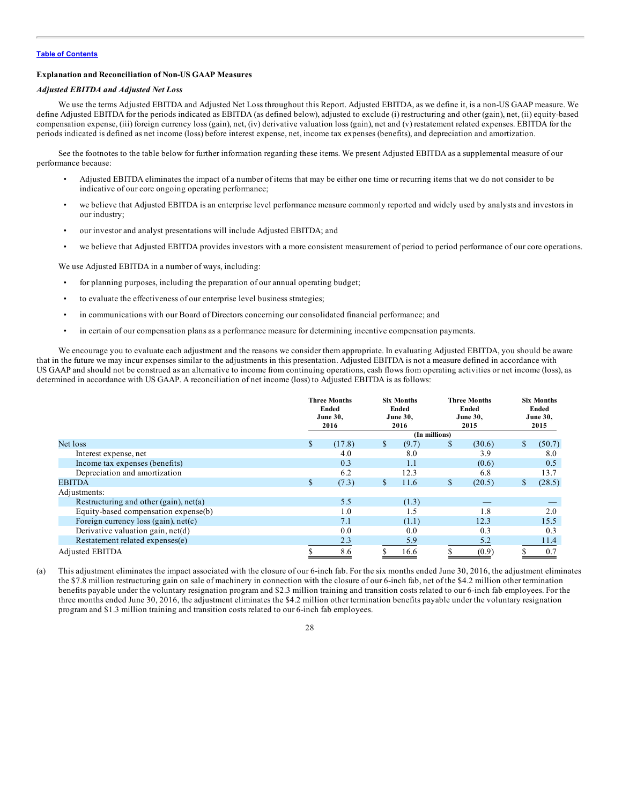### **Explanation and Reconciliation of Non-US GAAP Measures**

# *Adjusted EBITDA and Adjusted Net Loss*

We use the terms Adjusted EBITDA and Adjusted Net Loss throughout this Report. Adjusted EBITDA, as we define it, is a non-US GAAP measure. We define Adjusted EBITDA for the periods indicated as EBITDA (as defined below), adjusted to exclude (i) restructuring and other (gain), net, (ii) equity-based compensation expense, (iii) foreign currency loss (gain), net, (iv) derivative valuation loss (gain), net and (v) restatement related expenses. EBITDA for the periods indicated is defined as net income (loss) before interest expense, net, income tax expenses (benefits), and depreciation and amortization.

See the footnotes to the table below for further information regarding these items. We present Adjusted EBITDA as a supplemental measure of our performance because:

- Adjusted EBITDA eliminates the impact of a number of items that may be either one time or recurring items that we do not consider to be indicative of our core ongoing operating performance;
- we believe that Adjusted EBITDA is an enterprise level performance measure commonly reported and widely used by analysts and investors in our industry;
- our investor and analyst presentations will include Adjusted EBITDA; and
- we believe that Adjusted EBITDA provides investors with a more consistent measurement of period to period performance of our core operations.

We use Adjusted EBITDA in a number of ways, including:

- for planning purposes, including the preparation of our annual operating budget;
- to evaluate the effectiveness of our enterprise level business strategies;
- in communications with our Board of Directors concerning our consolidated financial performance; and
- in certain of our compensation plans as a performance measure for determining incentive compensation payments.

We encourage you to evaluate each adjustment and the reasons we consider them appropriate. In evaluating Adjusted EBITDA, you should be aware that in the future we may incur expenses similar to the adjustments in this presentation. Adjusted EBITDA is not a measure defined in accordance with US GAAP and should not be construed as an alternative to income from continuing operations, cash flows from operating activities or net income (loss), as determined in accordance with US GAAP. A reconciliation of net income (loss) to Adjusted EBITDA is as follows:

|                                              | <b>Three Months</b><br><b>Ended</b><br><b>June 30,</b><br>2016 |        | <b>Six Months</b><br>Ended<br><b>June 30,</b><br>2016 |       |               |        | <b>Three Months</b><br><b>Six Months</b><br>Ended<br>Ended<br><b>June 30,</b><br><b>June 30,</b><br>2015<br>2015 |        |
|----------------------------------------------|----------------------------------------------------------------|--------|-------------------------------------------------------|-------|---------------|--------|------------------------------------------------------------------------------------------------------------------|--------|
|                                              |                                                                |        |                                                       |       | (In millions) |        |                                                                                                                  |        |
| Net loss                                     | \$                                                             | (17.8) | \$                                                    | (9.7) | \$            | (30.6) | \$                                                                                                               | (50.7) |
| Interest expense, net                        |                                                                | 4.0    |                                                       | 8.0   |               | 3.9    |                                                                                                                  | 8.0    |
| Income tax expenses (benefits)               |                                                                | 0.3    |                                                       | 1.1   |               | (0.6)  |                                                                                                                  | 0.5    |
| Depreciation and amortization                |                                                                | 6.2    |                                                       | 12.3  |               | 6.8    |                                                                                                                  | 13.7   |
| <b>EBITDA</b>                                | \$                                                             | (7.3)  | \$                                                    | 11.6  | \$            | (20.5) | S.                                                                                                               | (28.5) |
| Adjustments:                                 |                                                                |        |                                                       |       |               |        |                                                                                                                  |        |
| Restructuring and other $(gain)$ , net $(a)$ |                                                                | 5.5    |                                                       | (1.3) |               |        |                                                                                                                  |        |
| Equity-based compensation expense(b)         |                                                                | 1.0    |                                                       | 1.5   |               | 1.8    |                                                                                                                  | 2.0    |
| Foreign currency loss $(gain)$ , net $(c)$   |                                                                | 7.1    |                                                       | (1.1) |               | 12.3   |                                                                                                                  | 15.5   |
| Derivative valuation gain, net(d)            |                                                                | 0.0    |                                                       | 0.0   |               | 0.3    |                                                                                                                  | 0.3    |
| Restatement related expenses(e)              |                                                                | 2.3    |                                                       | 5.9   |               | 5.2    |                                                                                                                  | 11.4   |
| <b>Adjusted EBITDA</b>                       |                                                                | 8.6    |                                                       | 16.6  |               | (0.9)  |                                                                                                                  | 0.7    |

(a) This adjustment eliminates the impact associated with the closure of our 6-inch fab. For the six months ended June 30, 2016, the adjustment eliminates the \$7.8 million restructuring gain on sale of machinery in connection with the closure of our 6-inch fab, net of the \$4.2 million other termination benefits payable under the voluntary resignation program and \$2.3 million training and transition costs related to our 6-inch fab employees. For the three months ended June 30, 2016, the adjustment eliminates the \$4.2 million other termination benefits payable under the voluntary resignation program and \$1.3 million training and transition costs related to our 6-inch fab employees.

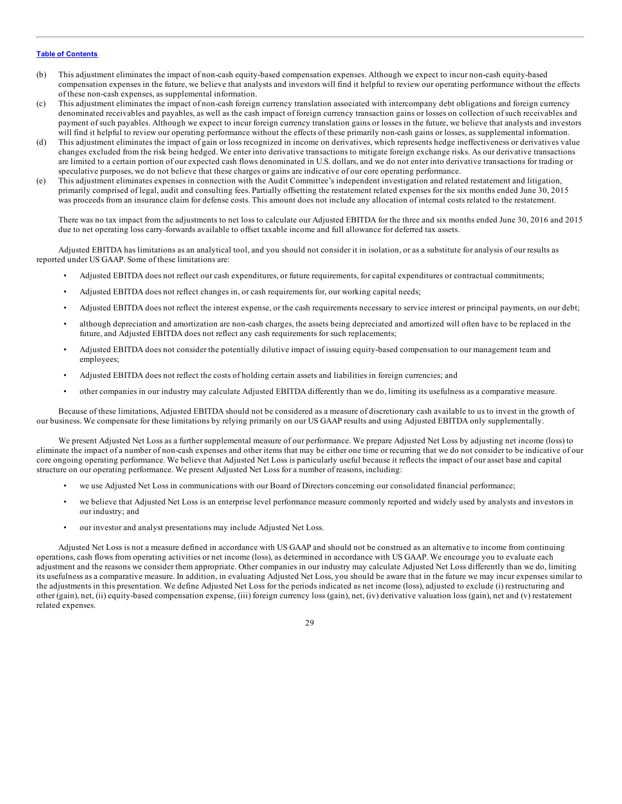- (b) This adjustment eliminates the impact of non-cash equity-based compensation expenses. Although we expect to incur non-cash equity-based compensation expenses in the future, we believe that analysts and investors will find it helpful to review our operating performance without the effects of these non-cash expenses, as supplemental information.
- (c) This adjustment eliminates the impact of non-cash foreign currency translation associated with intercompany debt obligations and foreign currency denominated receivables and payables, as well as the cash impact of foreign currency transaction gains or losses on collection of such receivables and payment of such payables. Although we expect to incur foreign currency translation gains or losses in the future, we believe that analysts and investors will find it helpful to review our operating performance without the effects of these primarily non-cash gains or losses, as supplemental information.
- (d) This adjustment eliminates the impact of gain or loss recognized in income on derivatives, which represents hedge ineffectiveness or derivatives value changes excluded from the risk being hedged. We enter into derivative transactions to mitigate foreign exchange risks. As our derivative transactions are limited to a certain portion of our expected cash flows denominated in U.S. dollars, and we do not enter into derivative transactions for trading or speculative purposes, we do not believe that these charges or gains are indicative of our core operating performance.
- (e) This adjustment eliminates expenses in connection with the Audit Committee's independent investigation and related restatement and litigation, primarily comprised of legal, audit and consulting fees. Partially offsetting the restatement related expenses for the six months ended June 30, 2015 was proceeds from an insurance claim for defense costs. This amount does not include any allocation of internal costs related to the restatement.

There was no tax impact from the adjustments to net loss to calculate our Adjusted EBITDA for the three and six months ended June 30, 2016 and 2015 due to net operating loss carry-forwards available to offset taxable income and full allowance for deferred tax assets.

Adjusted EBITDA has limitations as an analytical tool, and you should not consider it in isolation, or as a substitute for analysis of our results as reported under US GAAP. Some of these limitations are:

- Adjusted EBITDA does not reflect our cash expenditures, or future requirements, for capital expenditures or contractual commitments;
- Adjusted EBITDA does not reflect changes in, or cash requirements for, our working capital needs;
- Adjusted EBITDA does not reflect the interest expense, or the cash requirements necessary to service interest or principal payments, on our debt;
- although depreciation and amortization are non-cash charges, the assets being depreciated and amortized will often have to be replaced in the future, and Adjusted EBITDA does not reflect any cash requirements for such replacements;
- Adjusted EBITDA does not consider the potentially dilutive impact of issuing equity-based compensation to our management team and employees;
- Adjusted EBITDA does not reflect the costs of holding certain assets and liabilities in foreign currencies; and
- other companies in our industry may calculate Adjusted EBITDA differently than we do, limiting its usefulness as a comparative measure.

Because of these limitations, Adjusted EBITDA should not be considered as a measure of discretionary cash available to us to invest in the growth of our business. We compensate for these limitations by relying primarily on our US GAAP results and using Adjusted EBITDA only supplementally.

We present Adjusted Net Loss as a further supplemental measure of our performance. We prepare Adjusted Net Loss by adjusting net income (loss) to eliminate the impact of a number of non-cash expenses and other items that may be either one time or recurring that we do not consider to be indicative of our core ongoing operating performance. We believe that Adjusted Net Loss is particularly useful because it reflects the impact of our asset base and capital structure on our operating performance. We present Adjusted Net Loss for a number of reasons, including:

- we use Adjusted Net Loss in communications with our Board of Directors concerning our consolidated financial performance;
- we believe that Adjusted Net Loss is an enterprise level performance measure commonly reported and widely used by analysts and investors in our industry; and
- our investor and analyst presentations may include Adjusted Net Loss.

Adjusted Net Loss is not a measure defined in accordance with US GAAP and should not be construed as an alternative to income from continuing operations, cash flows from operating activities or net income (loss), as determined in accordance with US GAAP. We encourage you to evaluate each adjustment and the reasons we consider them appropriate. Other companies in our industry may calculate Adjusted Net Loss differently than we do, limiting its usefulness as a comparative measure. In addition, in evaluating Adjusted Net Loss, you should be aware that in the future we may incur expenses similar to the adjustments in this presentation. We define Adjusted Net Loss for the periods indicated as net income (loss), adjusted to exclude (i) restructuring and other (gain), net, (ii) equity-based compensation expense, (iii) foreign currency loss (gain), net, (iv) derivative valuation loss (gain), net and (v) restatement related expenses.

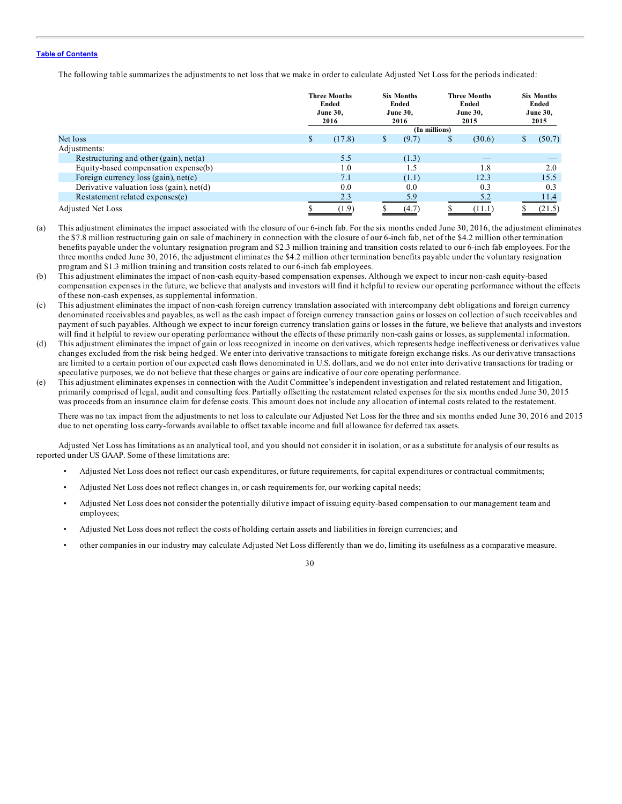The following table summarizes the adjustments to net loss that we make in order to calculate Adjusted Net Loss for the periods indicated:

|                                              | <b>Three Months</b><br>Ended<br><b>June 30,</b><br>2016 |        | <b>Six Months</b><br>Ended<br><b>June 30.</b><br>2016 |       | <b>Three Months</b><br>Ended<br><b>June 30.</b><br>2015 |        |  | <b>Six Months</b><br>Ended<br>June 30,<br>2015 |  |
|----------------------------------------------|---------------------------------------------------------|--------|-------------------------------------------------------|-------|---------------------------------------------------------|--------|--|------------------------------------------------|--|
|                                              |                                                         |        |                                                       |       | (In millions)                                           |        |  |                                                |  |
| Net loss                                     | S                                                       | (17.8) | \$                                                    | (9.7) | \$                                                      | (30.6) |  | (50.7)                                         |  |
| Adjustments:                                 |                                                         |        |                                                       |       |                                                         |        |  |                                                |  |
| Restructuring and other $(gain)$ , net $(a)$ |                                                         | 5.5    |                                                       | (1.3) |                                                         |        |  |                                                |  |
| Equity-based compensation expense(b)         |                                                         | 1.0    |                                                       | 1.5   |                                                         | 1.8    |  | 2.0                                            |  |
| Foreign currency loss (gain), $net(c)$       |                                                         | 7.1    |                                                       | (1.1) |                                                         | 12.3   |  | 15.5                                           |  |
| Derivative valuation loss (gain), $net(d)$   |                                                         | 0.0    |                                                       | 0.0   |                                                         | 0.3    |  | 0.3                                            |  |
| Restatement related expenses(e)              |                                                         | 2.3    |                                                       | 5.9   |                                                         | 5.2    |  | 11.4                                           |  |
| <b>Adjusted Net Loss</b>                     |                                                         | (1.9)  |                                                       | (4.7) |                                                         | (11.1) |  | (21.5)                                         |  |

- (a) This adjustment eliminates the impact associated with the closure of our 6-inch fab. For the six months ended June 30, 2016, the adjustment eliminates the \$7.8 million restructuring gain on sale of machinery in connection with the closure of our 6-inch fab, net of the \$4.2 million other termination benefits payable under the voluntary resignation program and \$2.3 million training and transition costs related to our 6-inch fab employees. For the three months ended June 30, 2016, the adjustment eliminates the \$4.2 million other termination benefits payable under the voluntary resignation program and \$1.3 million training and transition costs related to our 6-inch fab employees.
- (b) This adjustment eliminates the impact of non-cash equity-based compensation expenses. Although we expect to incur non-cash equity-based compensation expenses in the future, we believe that analysts and investors will find it helpful to review our operating performance without the effects of these non-cash expenses, as supplemental information.
- (c) This adjustment eliminates the impact of non-cash foreign currency translation associated with intercompany debt obligations and foreign currency denominated receivables and payables, as well as the cash impact of foreign currency transaction gains or losses on collection of such receivables and payment of such payables. Although we expect to incur foreign currency translation gains or losses in the future, we believe that analysts and investors will find it helpful to review our operating performance without the effects of these primarily non-cash gains or losses, as supplemental information.
- (d) This adjustment eliminates the impact of gain or loss recognized in income on derivatives, which represents hedge ineffectiveness or derivatives value changes excluded from the risk being hedged. We enter into derivative transactions to mitigate foreign exchange risks. As our derivative transactions are limited to a certain portion of our expected cash flows denominated in U.S. dollars, and we do not enter into derivative transactions for trading or speculative purposes, we do not believe that these charges or gains are indicative of our core operating performance.
- (e) This adjustment eliminates expenses in connection with the Audit Committee's independent investigation and related restatement and litigation, primarily comprised of legal, audit and consulting fees. Partially offsetting the restatement related expenses for the six months ended June 30, 2015 was proceeds from an insurance claim for defense costs. This amount does not include any allocation of internal costs related to the restatement.

There was no tax impact from the adjustments to net loss to calculate our Adjusted Net Loss for the three and six months ended June 30, 2016 and 2015 due to net operating loss carry-forwards available to offset taxable income and full allowance for deferred tax assets.

Adjusted Net Loss has limitations as an analytical tool, and you should not consider it in isolation, or as a substitute for analysis of our results as reported under US GAAP. Some of these limitations are:

- Adjusted Net Loss does not reflect our cash expenditures, or future requirements, for capital expenditures or contractual commitments;
- Adjusted Net Loss does not reflect changes in, or cash requirements for, our working capital needs;
- Adjusted Net Loss does not consider the potentially dilutive impact of issuing equity-based compensation to our management team and employees;
- Adjusted Net Loss does not reflect the costs of holding certain assets and liabilities in foreign currencies; and
- other companies in our industry may calculate Adjusted Net Loss differently than we do, limiting its usefulness as a comparative measure.

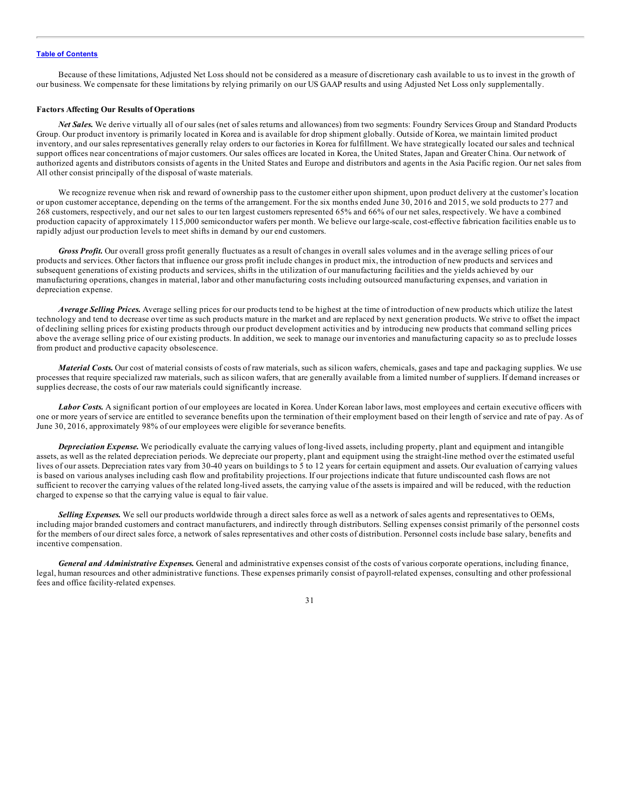Because of these limitations, Adjusted Net Loss should not be considered as a measure of discretionary cash available to us to invest in the growth of our business. We compensate for these limitations by relying primarily on our US GAAP results and using Adjusted Net Loss only supplementally.

### **Factors Affecting Our Results of Operations**

*Net Sales.* We derive virtually all of our sales (net of sales returns and allowances) from two segments: Foundry Services Group and Standard Products Group. Our product inventory is primarily located in Korea and is available for drop shipment globally. Outside of Korea, we maintain limited product inventory, and our sales representatives generally relay orders to our factories in Korea for fulfillment. We have strategically located our sales and technical support offices near concentrations of major customers. Our sales offices are located in Korea, the United States, Japan and Greater China. Our network of authorized agents and distributors consists of agents in the United States and Europe and distributors and agents in the Asia Pacific region. Our net sales from All other consist principally of the disposal of waste materials.

We recognize revenue when risk and reward of ownership pass to the customer either upon shipment, upon product delivery at the customer's location or upon customer acceptance, depending on the terms of the arrangement. For the six months ended June 30, 2016 and 2015, we sold products to 277 and 268 customers, respectively, and our net sales to our ten largest customers represented 65% and 66% of our net sales, respectively. We have a combined production capacity of approximately 115,000 semiconductor wafers per month. We believe our large-scale, cost-effective fabrication facilities enable us to rapidly adjust our production levels to meet shifts in demand by our end customers.

*Gross Profit.* Our overall gross profit generally fluctuates as a result of changes in overall sales volumes and in the average selling prices of our products and services. Other factors that influence our gross profit include changes in product mix, the introduction of new products and services and subsequent generations of existing products and services, shifts in the utilization of our manufacturing facilities and the yields achieved by our manufacturing operations, changes in material, labor and other manufacturing costs including outsourced manufacturing expenses, and variation in depreciation expense.

*Average Selling Prices.* Average selling prices for our products tend to be highest at the time of introduction of new products which utilize the latest technology and tend to decrease over time as such products mature in the market and are replaced by next generation products. We strive to offset the impact of declining selling prices for existing products through our product development activities and by introducing new products that command selling prices above the average selling price of our existing products. In addition, we seek to manage our inventories and manufacturing capacity so as to preclude losses from product and productive capacity obsolescence.

*Material Costs.* Our cost of material consists of costs of raw materials, such as silicon wafers, chemicals, gases and tape and packaging supplies. We use processes that require specialized raw materials, such as silicon wafers, that are generally available from a limited number of suppliers. If demand increases or supplies decrease, the costs of our raw materials could significantly increase.

Labor Costs. A significant portion of our employees are located in Korea. Under Korean labor laws, most employees and certain executive officers with one or more years of service are entitled to severance benefits upon the termination of their employment based on their length of service and rate of pay. As of June 30, 2016, approximately 98% of our employees were eligible for severance benefits.

*Depreciation Expense.* We periodically evaluate the carrying values of long-lived assets, including property, plant and equipment and intangible assets, as well as the related depreciation periods. We depreciate our property, plant and equipment using the straight-line method over the estimated useful lives of our assets. Depreciation rates vary from 30-40 years on buildings to 5 to 12 years for certain equipment and assets. Our evaluation of carrying values is based on various analyses including cash flow and profitability projections. If our projections indicate that future undiscounted cash flows are not sufficient to recover the carrying values of the related long-lived assets, the carrying value of the assets is impaired and will be reduced, with the reduction charged to expense so that the carrying value is equal to fair value.

*Selling Expenses.* We sell our products worldwide through a direct sales force as well as a network of sales agents and representatives to OEMs, including major branded customers and contract manufacturers, and indirectly through distributors. Selling expenses consist primarily of the personnel costs for the members of our direct sales force, a network of sales representatives and other costs of distribution. Personnel costs include base salary, benefits and incentive compensation.

*General and Administrative Expenses.* General and administrative expenses consist of the costs of various corporate operations, including finance, legal, human resources and other administrative functions. These expenses primarily consist of payroll-related expenses, consulting and other professional fees and office facility-related expenses.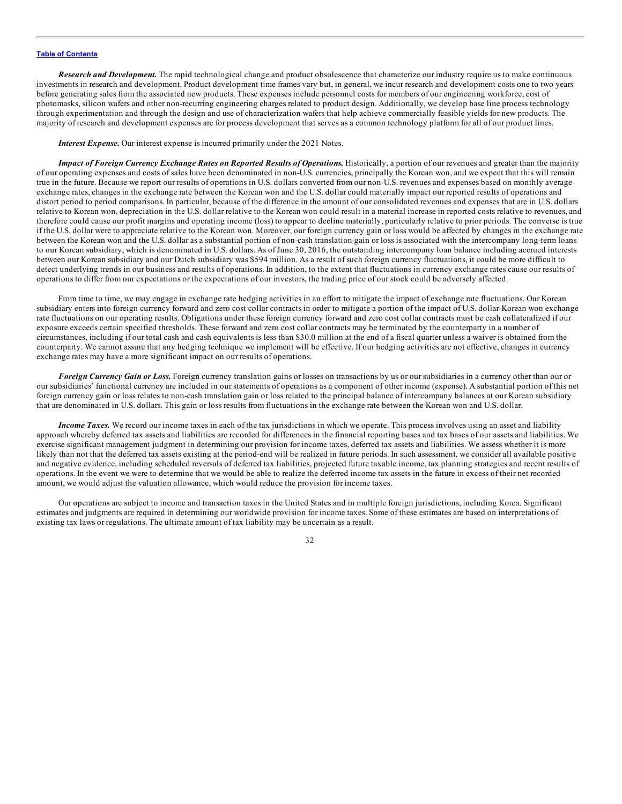*Research and Development.* The rapid technological change and product obsolescence that characterize our industry require us to make continuous investments in research and development. Product development time frames vary but, in general, we incur research and development costs one to two years before generating sales from the associated new products. These expenses include personnel costs for members of our engineering workforce, cost of photomasks, silicon wafers and other non-recurring engineering charges related to product design. Additionally, we develop base line process technology through experimentation and through the design and use of characterization wafers that help achieve commercially feasible yields for new products. The majority of research and development expenses are for process development that serves as a common technology platform for all of our product lines.

*Interest Expense.* Our interest expense is incurred primarily under the 2021 Notes.

*Impact of Foreign Currency Exchange Rates on Reported Results of Operations.* Historically, a portion of our revenues and greater than the majority of our operating expenses and costs of sales have been denominated in non-U.S. currencies, principally the Korean won, and we expect that this will remain true in the future. Because we report our results of operations in U.S. dollars converted from our non-U.S. revenues and expenses based on monthly average exchange rates, changes in the exchange rate between the Korean won and the U.S. dollar could materially impact our reported results of operations and distort period to period comparisons. In particular, because of the difference in the amount of our consolidated revenues and expenses that are in U.S. dollars relative to Korean won, depreciation in the U.S. dollar relative to the Korean won could result in a material increase in reported costs relative to revenues, and therefore could cause our profit margins and operating income (loss) to appear to decline materially, particularly relative to prior periods. The converse is true if the U.S. dollar were to appreciate relative to the Korean won. Moreover, our foreign currency gain or loss would be affected by changes in the exchange rate between the Korean won and the U.S. dollar as a substantial portion of non-cash translation gain or loss is associated with the intercompany long-term loans to our Korean subsidiary, which is denominated in U.S. dollars. As of June 30, 2016, the outstanding intercompany loan balance including accrued interests between our Korean subsidiary and our Dutch subsidiary was \$594 million. As a result of such foreign currency fluctuations, it could be more difficult to detect underlying trends in our business and results of operations. In addition, to the extent that fluctuations in currency exchange rates cause our results of operations to differ from our expectations or the expectations of our investors, the trading price of our stock could be adversely affected.

From time to time, we may engage in exchange rate hedging activities in an effort to mitigate the impact of exchange rate fluctuations. Our Korean subsidiary enters into foreign currency forward and zero cost collar contracts in order to mitigate a portion of the impact of U.S. dollar-Korean won exchange rate fluctuations on our operating results. Obligations under these foreign currency forward and zero cost collar contracts must be cash collateralized if our exposure exceeds certain specified thresholds. These forward and zero cost collar contracts may be terminated by the counterparty in a number of circumstances, including if our total cash and cash equivalents is less than \$30.0 million at the end of a fiscal quarter unless a waiver is obtained from the counterparty. We cannot assure that any hedging technique we implement will be effective. If our hedging activities are not effective, changes in currency exchange rates may have a more significant impact on our results of operations.

*Foreign Currency Gain or Loss.* Foreign currency translation gains or losses on transactions by us or our subsidiaries in a currency other than our or our subsidiaries' functional currency are included in our statements of operations as a component of other income (expense). A substantial portion of this net foreign currency gain or loss relates to non-cash translation gain or loss related to the principal balance of intercompany balances at our Korean subsidiary that are denominated in U.S. dollars. This gain or loss results from fluctuations in the exchange rate between the Korean won and U.S. dollar.

*Income Taxes*. We record our income taxes in each of the tax jurisdictions in which we operate. This process involves using an asset and liability approach whereby deferred tax assets and liabilities are recorded for differences in the financial reporting bases and tax bases of our assets and liabilities. We exercise significant management judgment in determining our provision for income taxes, deferred tax assets and liabilities. We assess whether it is more likely than not that the deferred tax assets existing at the period-end will be realized in future periods. In such assessment, we consider all available positive and negative evidence, including scheduled reversals of deferred tax liabilities, projected future taxable income, tax planning strategies and recent results of operations. In the event we were to determine that we would be able to realize the deferred income tax assets in the future in excess of their net recorded amount, we would adjust the valuation allowance, which would reduce the provision for income taxes.

Our operations are subject to income and transaction taxes in the United States and in multiple foreign jurisdictions, including Korea. Significant estimates and judgments are required in determining our worldwide provision for income taxes. Some of these estimates are based on interpretations of existing tax laws or regulations. The ultimate amount of tax liability may be uncertain as a result.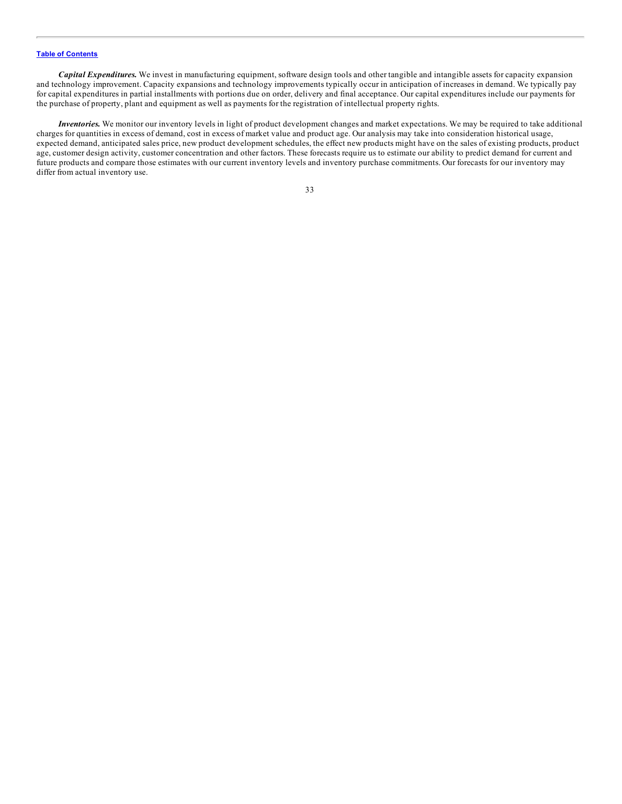*Capital Expenditures.* We invest in manufacturing equipment, software design tools and other tangible and intangible assets for capacity expansion and technology improvement. Capacity expansions and technology improvements typically occur in anticipation of increases in demand. We typically pay for capital expenditures in partial installments with portions due on order, delivery and final acceptance. Our capital expenditures include our payments for the purchase of property, plant and equipment as well as payments for the registration of intellectual property rights.

*Inventories.* We monitor our inventory levels in light of product development changes and market expectations. We may be required to take additional charges for quantities in excess of demand, cost in excess of market value and product age. Our analysis may take into consideration historical usage, expected demand, anticipated sales price, new product development schedules, the effect new products might have on the sales of existing products, product age, customer design activity, customer concentration and other factors. These forecasts require us to estimate our ability to predict demand for current and future products and compare those estimates with our current inventory levels and inventory purchase commitments. Our forecasts for our inventory may differ from actual inventory use.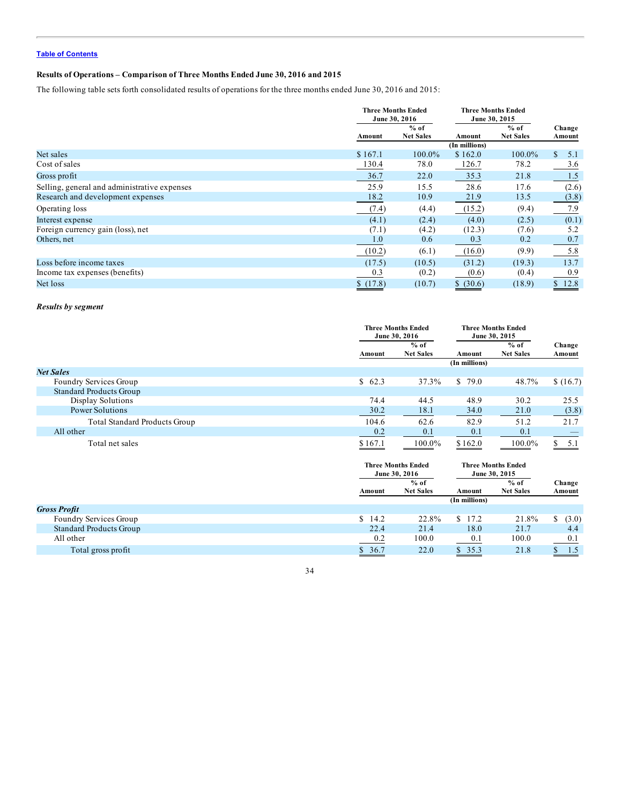# **Results of Operations – Comparison of Three Months Ended June 30, 2016 and 2015**

The following table sets forth consolidated results of operations for the three months ended June 30, 2016 and 2015:

|                                              |          | <b>Three Months Ended</b><br>June 30, 2016 |               | <b>Three Months Ended</b><br>June 30, 2015 |                  |
|----------------------------------------------|----------|--------------------------------------------|---------------|--------------------------------------------|------------------|
|                                              | Amount   | $%$ of<br><b>Net Sales</b>                 | Amount        | $%$ of<br><b>Net Sales</b>                 | Change<br>Amount |
|                                              |          |                                            | (In millions) |                                            |                  |
| Net sales                                    | \$167.1  | $100.0\%$                                  | \$162.0       | $100.0\%$                                  | \$.<br>-5.1      |
| Cost of sales                                | 130.4    | 78.0                                       | 126.7         | 78.2                                       | 3.6              |
| Gross profit                                 | 36.7     | 22.0                                       | 35.3          | 21.8                                       | 1.5              |
| Selling, general and administrative expenses | 25.9     | 15.5                                       | 28.6          | 17.6                                       | (2.6)            |
| Research and development expenses            | 18.2     | 10.9                                       | 21.9          | 13.5                                       | (3.8)            |
| Operating loss                               | (7.4)    | (4.4)                                      | (15.2)        | (9.4)                                      | 7.9              |
| Interest expense                             | (4.1)    | (2.4)                                      | (4.0)         | (2.5)                                      | (0.1)            |
| Foreign currency gain (loss), net            | (7.1)    | (4.2)                                      | (12.3)        | (7.6)                                      | 5.2              |
| Others, net                                  | 1.0      | 0.6                                        | 0.3           | 0.2                                        | 0.7              |
|                                              | (10.2)   | (6.1)                                      | (16.0)        | (9.9)                                      | 5.8              |
| Loss before income taxes                     | (17.5)   | (10.5)                                     | (31.2)        | (19.3)                                     | 13.7             |
| Income tax expenses (benefits)               | 0.3      | (0.2)                                      | (0.6)         | (0.4)                                      | 0.9              |
| Net loss                                     | \$(17.8) | (10.7)                                     | \$ (30.6)     | (18.9)                                     | 12.8             |

# *Results by segment*

|                                      | <b>Three Months Ended</b><br>June 30, 2016 |                  | <b>Three Months Ended</b><br>June 30, 2015 |                  |            |
|--------------------------------------|--------------------------------------------|------------------|--------------------------------------------|------------------|------------|
|                                      |                                            | $%$ of           |                                            | $%$ of           | Change     |
|                                      | Amount                                     | <b>Net Sales</b> | Amount                                     | <b>Net Sales</b> | Amount     |
|                                      |                                            |                  | (In millions)                              |                  |            |
| <b>Net Sales</b>                     |                                            |                  |                                            |                  |            |
| Foundry Services Group               | \$62.3                                     | 37.3%            | \$79.0                                     | 48.7%            | \$(16.7)   |
| <b>Standard Products Group</b>       |                                            |                  |                                            |                  |            |
| Display Solutions                    | 74.4                                       | 44.5             | 48.9                                       | 30.2             | 25.5       |
| Power Solutions                      | 30.2                                       | 18.1             | 34.0                                       | 21.0             | (3.8)      |
| <b>Total Standard Products Group</b> | 104.6                                      | 62.6             | 82.9                                       | 51.2             | 21.7       |
| All other                            | $\boxed{0.2}$                              | 0.1              | 0.1                                        | 0.1              |            |
| Total net sales                      | \$167.1                                    | 100.0%           | \$162.0                                    | 100.0%           | 5.1<br>\$. |

|                                |        | <b>Three Months Ended</b><br>June 30, 2016 |               | <b>Three Months Ended</b><br>June 30, 2015 |        |  |
|--------------------------------|--------|--------------------------------------------|---------------|--------------------------------------------|--------|--|
|                                |        | $%$ of                                     |               | $%$ of                                     | Change |  |
|                                | Amount | <b>Net Sales</b>                           | Amount        | <b>Net Sales</b>                           | Amount |  |
|                                |        |                                            | (In millions) |                                            |        |  |
| <b>Gross Profit</b>            |        |                                            |               |                                            |        |  |
| Foundry Services Group         | \$14.2 | 22.8%                                      | \$17.2        | 21.8%                                      | (3.0)  |  |
| <b>Standard Products Group</b> | 22.4   | 21.4                                       | 18.0          | 21.7                                       | 4.4    |  |
| All other                      | 0.2    | 100.0                                      | 0.1           | 100.0                                      | 0.1    |  |
| Total gross profit             | \$36.7 | 22.0                                       | \$35.3        | 21.8                                       | 1.5    |  |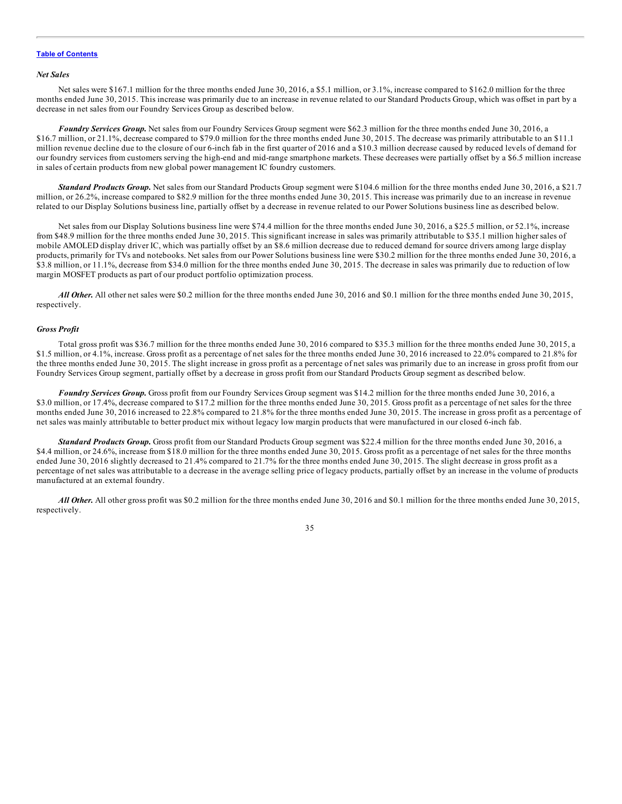#### *Net Sales*

Net sales were \$167.1 million for the three months ended June 30, 2016, a \$5.1 million, or 3.1%, increase compared to \$162.0 million for the three months ended June 30, 2015. This increase was primarily due to an increase in revenue related to our Standard Products Group, which was offset in part by a decrease in net sales from our Foundry Services Group as described below.

*Foundry Services Group.* Net sales from our Foundry Services Group segment were \$62.3 million for the three months ended June 30, 2016, a \$16.7 million, or 21.1%, decrease compared to \$79.0 million for the three months ended June 30, 2015. The decrease was primarily attributable to an \$11.1 million revenue decline due to the closure of our 6-inch fab in the first quarter of 2016 and a \$10.3 million decrease caused by reduced levels of demand for our foundry services from customers serving the high-end and mid-range smartphone markets. These decreases were partially offset by a \$6.5 million increase in sales of certain products from new global power management IC foundry customers.

*Standard Products Group.* Net sales from our Standard Products Group segment were \$104.6 million for the three months ended June 30, 2016, a \$21.7 million, or 26.2%, increase compared to \$82.9 million for the three months ended June 30, 2015. This increase was primarily due to an increase in revenue related to our Display Solutions business line, partially offset by a decrease in revenue related to our Power Solutions business line as described below.

Net sales from our Display Solutions business line were \$74.4 million for the three months ended June 30, 2016, a \$25.5 million, or 52.1%, increase from \$48.9 million for the three months ended June 30, 2015. This significant increase in sales was primarily attributable to \$35.1 million higher sales of mobile AMOLED display driver IC, which was partially offset by an \$8.6 million decrease due to reduced demand for source drivers among large display products, primarily for TVs and notebooks. Net sales from our Power Solutions business line were \$30.2 million for the three months ended June 30, 2016, a \$3.8 million, or 11.1%, decrease from \$34.0 million for the three months ended June 30, 2015. The decrease in sales was primarily due to reduction of low margin MOSFET products as part of our product portfolio optimization process.

*All Other.* All other net sales were \$0.2 million for the three months ended June 30, 2016 and \$0.1 million for the three months ended June 30, 2015, respectively.

#### *Gross Profit*

Total gross profit was \$36.7 million for the three months ended June 30, 2016 compared to \$35.3 million for the three months ended June 30, 2015, a \$1.5 million, or 4.1%, increase. Gross profit as a percentage of net sales for the three months ended June 30, 2016 increased to 22.0% compared to 21.8% for the three months ended June 30, 2015. The slight increase in gross profit as a percentage of net sales was primarily due to an increase in gross profit from our Foundry Services Group segment, partially offset by a decrease in gross profit from our Standard Products Group segment as described below.

*Foundry Services Group.* Gross profit from our Foundry Services Group segment was \$14.2 million for the three months ended June 30, 2016, a \$3.0 million, or 17.4%, decrease compared to \$17.2 million for the three months ended June 30, 2015. Gross profit as a percentage of net sales for the three months ended June 30, 2016 increased to 22.8% compared to 21.8% for the three months ended June 30, 2015. The increase in gross profit as a percentage of net sales was mainly attributable to better product mix without legacy low margin products that were manufactured in our closed 6-inch fab.

*Standard Products Group.* Gross profit from our Standard Products Group segment was \$22.4 million for the three months ended June 30, 2016, a \$4.4 million, or 24.6%, increase from \$18.0 million for the three months ended June 30, 2015. Gross profit as a percentage of net sales for the three months ended June 30, 2016 slightly decreased to 21.4% compared to 21.7% for the three months ended June 30, 2015. The slight decrease in gross profit as a percentage of net sales was attributable to a decrease in the average selling price of legacy products, partially offset by an increase in the volume of products manufactured at an external foundry.

*All Other.* All other gross profit was \$0.2 million for the three months ended June 30, 2016 and \$0.1 million for the three months ended June 30, 2015, respectively.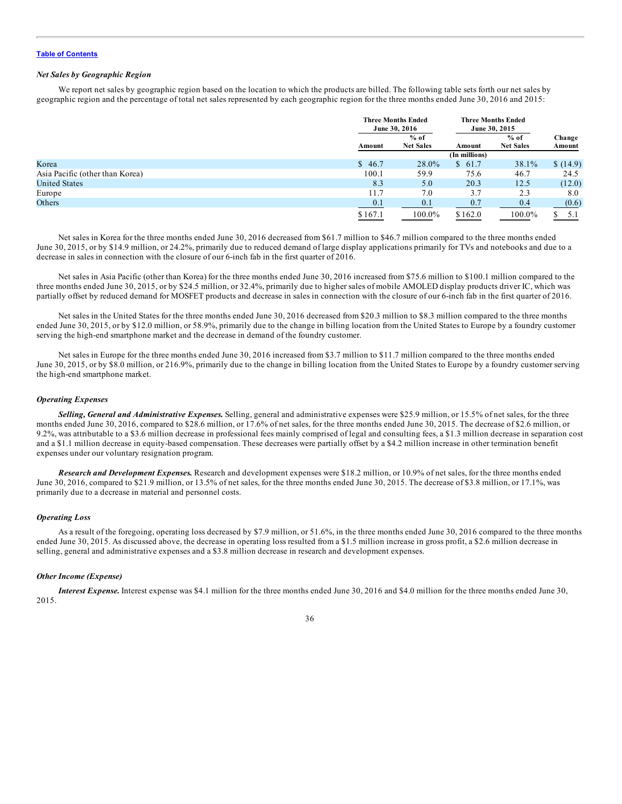# *Net Sales by Geographic Region*

We report net sales by geographic region based on the location to which the products are billed. The following table sets forth our net sales by geographic region and the percentage of total net sales represented by each geographic region for the three months ended June 30, 2016 and 2015:

|                                 |         | <b>Three Months Ended</b><br>June 30, 2016 |                            | <b>Three Months Ended</b><br>June 30, 2015 |          |
|---------------------------------|---------|--------------------------------------------|----------------------------|--------------------------------------------|----------|
|                                 |         | $%$ of                                     |                            | $%$ of                                     | Change   |
|                                 | Amount  | <b>Net Sales</b>                           | <b>Net Sales</b><br>Amount |                                            | Amount   |
|                                 |         |                                            | (In millions)              |                                            |          |
| Korea                           | \$46.7  | 28.0%                                      | \$61.7                     | 38.1%                                      | \$(14.9) |
| Asia Pacific (other than Korea) | 100.1   | 59.9                                       | 75.6                       | 46.7                                       | 24.5     |
| <b>United States</b>            | 8.3     | 5.0                                        | 20.3                       | 12.5                                       | (12.0)   |
| Europe                          | 11.7    | 7.0                                        | 3.7                        | 2.3                                        | 8.0      |
| Others                          | 0.1     | 0.1                                        | 0.7                        | 0.4                                        | (0.6)    |
|                                 | \$167.1 | 100.0%                                     | \$162.0                    | 100.0%                                     | 5.1      |

Net sales in Korea for the three months ended June 30, 2016 decreased from \$61.7 million to \$46.7 million compared to the three months ended June 30, 2015, or by \$14.9 million, or 24.2%, primarily due to reduced demand of large display applications primarily for TVs and notebooks and due to a decrease in sales in connection with the closure of our 6-inch fab in the first quarter of 2016.

Net sales in Asia Pacific (other than Korea) for the three months ended June 30, 2016 increased from \$75.6 million to \$100.1 million compared to the three months ended June 30, 2015, or by \$24.5 million, or 32.4%, primarily due to higher sales of mobile AMOLED display products driver IC, which was partially offset by reduced demand for MOSFET products and decrease in sales in connection with the closure of our 6-inch fab in the first quarter of 2016.

Net sales in the United States for the three months ended June 30, 2016 decreased from \$20.3 million to \$8.3 million compared to the three months ended June 30, 2015, or by \$12.0 million, or 58.9%, primarily due to the change in billing location from the United States to Europe by a foundry customer serving the high-end smartphone market and the decrease in demand of the foundry customer.

Net sales in Europe for the three months ended June 30, 2016 increased from \$3.7 million to \$11.7 million compared to the three months ended June 30, 2015, or by \$8.0 million, or 216.9%, primarily due to the change in billing location from the United States to Europe by a foundry customer serving the high-end smartphone market.

### *Operating Expenses*

*Selling, General and Administrative Expenses.* Selling, general and administrative expenses were \$25.9 million, or 15.5% of net sales, for the three months ended June 30, 2016, compared to \$28.6 million, or 17.6% of net sales, for the three months ended June 30, 2015. The decrease of \$2.6 million, or 9.2%, was attributable to a \$3.6 million decrease in professional fees mainly comprised of legal and consulting fees, a \$1.3 million decrease in separation cost and a \$1.1 million decrease in equity-based compensation. These decreases were partially offset by a \$4.2 million increase in other termination benefit expenses under our voluntary resignation program.

*Research and Development Expenses.* Research and development expenses were \$18.2 million, or 10.9% of net sales, for the three months ended June 30, 2016, compared to \$21.9 million, or 13.5% of net sales, for the three months ended June 30, 2015. The decrease of \$3.8 million, or 17.1%, was primarily due to a decrease in material and personnel costs.

## *Operating Loss*

As a result of the foregoing, operating loss decreased by \$7.9 million, or 51.6%, in the three months ended June 30, 2016 compared to the three months ended June 30, 2015. As discussed above, the decrease in operating loss resulted from a \$1.5 million increase in gross profit, a \$2.6 million decrease in selling, general and administrative expenses and a \$3.8 million decrease in research and development expenses.

### *Other Income (Expense)*

*Interest Expense.* Interest expense was \$4.1 million for the three months ended June 30, 2016 and \$4.0 million for the three months ended June 30, 2015.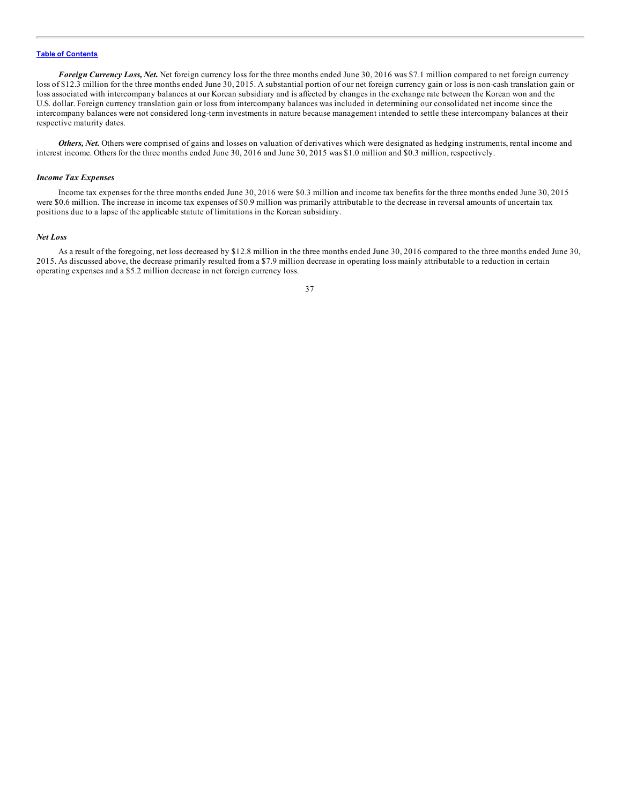*Foreign Currency Loss, Net.* Net foreign currency loss for the three months ended June 30, 2016 was \$7.1 million compared to net foreign currency loss of \$12.3 million for the three months ended June 30, 2015. A substantial portion of our net foreign currency gain or loss is non-cash translation gain or loss associated with intercompany balances at our Korean subsidiary and is affected by changes in the exchange rate between the Korean won and the U.S. dollar. Foreign currency translation gain or loss from intercompany balances was included in determining our consolidated net income since the intercompany balances were not considered long-term investments in nature because management intended to settle these intercompany balances at their respective maturity dates.

*Others, Net.* Others were comprised of gains and losses on valuation of derivatives which were designated as hedging instruments, rental income and interest income. Others for the three months ended June 30, 2016 and June 30, 2015 was \$1.0 million and \$0.3 million, respectively.

### *Income Tax Expenses*

Income tax expenses for the three months ended June 30, 2016 were \$0.3 million and income tax benefits for the three months ended June 30, 2015 were \$0.6 million. The increase in income tax expenses of \$0.9 million was primarily attributable to the decrease in reversal amounts of uncertain tax positions due to a lapse of the applicable statute of limitations in the Korean subsidiary.

#### *Net Loss*

As a result of the foregoing, net loss decreased by \$12.8 million in the three months ended June 30, 2016 compared to the three months ended June 30, 2015. As discussed above, the decrease primarily resulted from a \$7.9 million decrease in operating loss mainly attributable to a reduction in certain operating expenses and a \$5.2 million decrease in net foreign currency loss.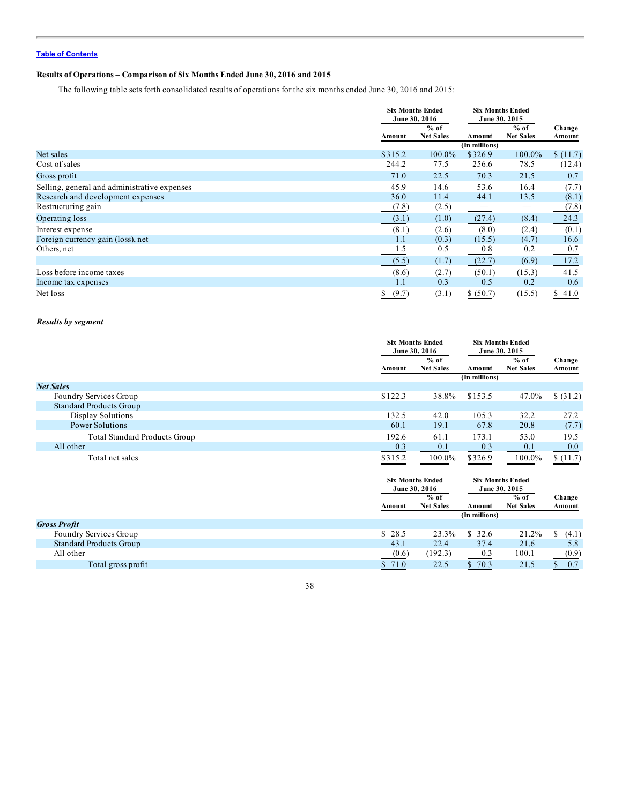# **Results of Operations – Comparison of Six Months Ended June 30, 2016 and 2015**

The following table sets forth consolidated results of operations for the six months ended June 30, 2016 and 2015:

|                                              |             | <b>Six Months Ended</b><br>June 30, 2016 |               | <b>Six Months Ended</b><br>June 30, 2015 |                  |
|----------------------------------------------|-------------|------------------------------------------|---------------|------------------------------------------|------------------|
|                                              | Amount      | $%$ of<br><b>Net Sales</b>               | Amount        | $%$ of<br><b>Net Sales</b>               | Change<br>Amount |
|                                              |             |                                          | (In millions) |                                          |                  |
| Net sales                                    | \$315.2     | 100.0%                                   | \$326.9       | 100.0%                                   | \$(11.7)         |
| Cost of sales                                | 244.2       | 77.5                                     | 256.6         | 78.5                                     | (12.4)           |
| Gross profit                                 | 71.0        | 22.5                                     | 70.3          | 21.5                                     | 0.7              |
| Selling, general and administrative expenses | 45.9        | 14.6                                     | 53.6          | 16.4                                     | (7.7)            |
| Research and development expenses            | 36.0        | 11.4                                     | 44.1          | 13.5                                     | (8.1)            |
| Restructuring gain                           | (7.8)       | (2.5)                                    |               |                                          | (7.8)            |
| Operating loss                               | (3.1)       | (1.0)                                    | (27.4)        | (8.4)                                    | 24.3             |
| Interest expense                             | (8.1)       | (2.6)                                    | (8.0)         | (2.4)                                    | (0.1)            |
| Foreign currency gain (loss), net            | 1.1         | (0.3)                                    | (15.5)        | (4.7)                                    | 16.6             |
| Others, net                                  | 1.5         | 0.5                                      | 0.8           | 0.2                                      | 0.7              |
|                                              | (5.5)       | (1.7)                                    | (22.7)        | (6.9)                                    | 17.2             |
| Loss before income taxes                     | (8.6)       | (2.7)                                    | (50.1)        | (15.3)                                   | 41.5             |
| Income tax expenses                          | 1.1         | 0.3                                      | 0.5           | 0.2                                      | 0.6              |
| Net loss                                     | (9.7)<br>\$ | (3.1)                                    | \$ (50.7)     | (15.5)                                   | 41.0             |

# *Results by segment*

|                                      | <b>Six Months Ended</b><br>June 30, 2016 |                  |               | <b>Six Months Ended</b><br>June 30, 2015 |           |  |
|--------------------------------------|------------------------------------------|------------------|---------------|------------------------------------------|-----------|--|
|                                      |                                          | $%$ of           |               | $%$ of                                   | Change    |  |
|                                      | Amount                                   | <b>Net Sales</b> | Amount        | <b>Net Sales</b>                         | Amount    |  |
|                                      |                                          |                  | (In millions) |                                          |           |  |
| <b>Net Sales</b>                     |                                          |                  |               |                                          |           |  |
| Foundry Services Group               | \$122.3                                  | 38.8%            | \$153.5       | 47.0%                                    | \$ (31.2) |  |
| <b>Standard Products Group</b>       |                                          |                  |               |                                          |           |  |
| Display Solutions                    | 132.5                                    | 42.0             | 105.3         | 32.2                                     | 27.2      |  |
| Power Solutions                      | 60.1                                     | 19.1             | 67.8          | 20.8                                     | (7.7)     |  |
| <b>Total Standard Products Group</b> | 192.6                                    | 61.1             | 173.1         | 53.0                                     | 19.5      |  |
| All other                            | 0.3                                      | 0.1              | 0.3           | 0.1                                      | 0.0       |  |
| Total net sales                      | \$315.2                                  | 100.0%           | \$326.9       | 100.0%                                   | \$(11.7)  |  |

|                                |        | <b>Six Months Ended</b><br>June 30, 2016 |               | <b>Six Months Ended</b><br>June 30, 2015 |                  |
|--------------------------------|--------|------------------------------------------|---------------|------------------------------------------|------------------|
|                                | Amount | $%$ of<br><b>Net Sales</b>               | Amount        | $%$ of<br><b>Net Sales</b>               | Change<br>Amount |
|                                |        |                                          | (In millions) |                                          |                  |
| <b>Gross Profit</b>            |        |                                          |               |                                          |                  |
| Foundry Services Group         | \$28.5 | 23.3%                                    | \$32.6        | 21.2%                                    | (4.1)            |
| <b>Standard Products Group</b> | 43.1   | 22.4                                     | 37.4          | 21.6                                     | 5.8              |
| All other                      | (0.6)  | (192.3)                                  | 0.3           | 100.1                                    | (0.9)            |
| Total gross profit             | \$71.0 | 22.5                                     | \$70.3        | 21.5                                     | 0.7              |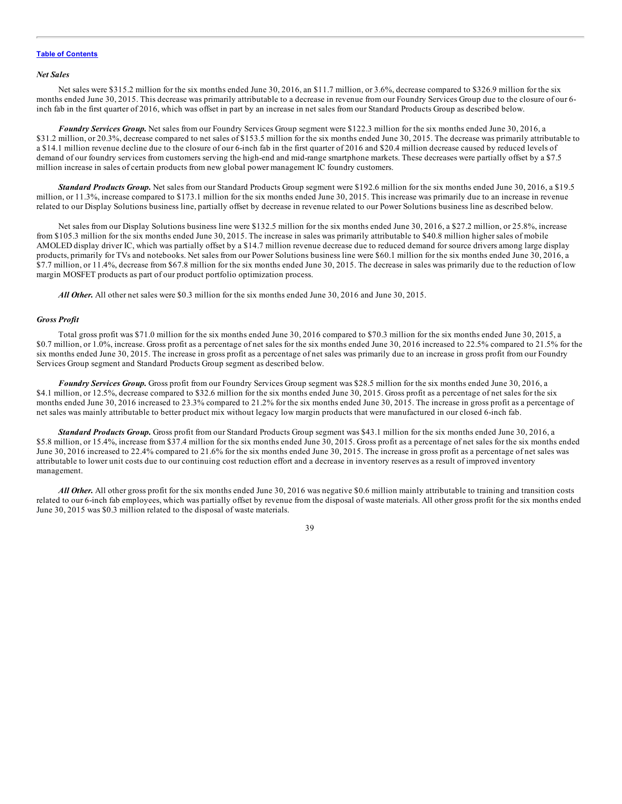#### *Net Sales*

Net sales were \$315.2 million for the six months ended June 30, 2016, an \$11.7 million, or 3.6%, decrease compared to \$326.9 million for the six months ended June 30, 2015. This decrease was primarily attributable to a decrease in revenue from our Foundry Services Group due to the closure of our 6 inch fab in the first quarter of 2016, which was offset in part by an increase in net sales from our Standard Products Group as described below.

*Foundry Services Group.* Net sales from our Foundry Services Group segment were \$122.3 million for the six months ended June 30, 2016, a \$31.2 million, or 20.3%, decrease compared to net sales of \$153.5 million for the six months ended June 30, 2015. The decrease was primarily attributable to a \$14.1 million revenue decline due to the closure of our 6-inch fab in the first quarter of 2016 and \$20.4 million decrease caused by reduced levels of demand of our foundry services from customers serving the high-end and mid-range smartphone markets. These decreases were partially offset by a \$7.5 million increase in sales of certain products from new global power management IC foundry customers.

*Standard Products Group.* Net sales from our Standard Products Group segment were \$192.6 million for the six months ended June 30, 2016, a \$19.5 million, or 11.3%, increase compared to \$173.1 million for the six months ended June 30, 2015. This increase was primarily due to an increase in revenue related to our Display Solutions business line, partially offset by decrease in revenue related to our Power Solutions business line as described below.

Net sales from our Display Solutions business line were \$132.5 million for the six months ended June 30, 2016, a \$27.2 million, or 25.8%, increase from \$105.3 million for the six months ended June 30, 2015. The increase in sales was primarily attributable to \$40.8 million higher sales of mobile AMOLED display driver IC, which was partially offset by a \$14.7 million revenue decrease due to reduced demand for source drivers among large display products, primarily for TVs and notebooks. Net sales from our Power Solutions business line were \$60.1 million for the six months ended June 30, 2016, a \$7.7 million, or 11.4%, decrease from \$67.8 million for the six months ended June 30, 2015. The decrease in sales was primarily due to the reduction of low margin MOSFET products as part of our product portfolio optimization process.

*All Other.* All other net sales were \$0.3 million for the six months ended June 30, 2016 and June 30, 2015.

#### *Gross Profit*

Total gross profit was \$71.0 million for the six months ended June 30, 2016 compared to \$70.3 million for the six months ended June 30, 2015, a \$0.7 million, or 1.0%, increase. Gross profit as a percentage of net sales for the six months ended June 30, 2016 increased to 22.5% compared to 21.5% for the six months ended June 30, 2015. The increase in gross profit as a percentage of net sales was primarily due to an increase in gross profit from our Foundry Services Group segment and Standard Products Group segment as described below.

*Foundry Services Group.* Gross profit from our Foundry Services Group segment was \$28.5 million for the six months ended June 30, 2016, a \$4.1 million, or 12.5%, decrease compared to \$32.6 million for the six months ended June 30, 2015. Gross profit as a percentage of net sales for the six months ended June 30, 2016 increased to 23.3% compared to 21.2% for the six months ended June 30, 2015. The increase in gross profit as a percentage of net sales was mainly attributable to better product mix without legacy low margin products that were manufactured in our closed 6-inch fab.

*Standard Products Group.* Gross profit from our Standard Products Group segment was \$43.1 million for the six months ended June 30, 2016, a \$5.8 million, or 15.4%, increase from \$37.4 million for the six months ended June 30, 2015. Gross profit as a percentage of net sales for the six months ended June 30, 2016 increased to 22.4% compared to 21.6% for the six months ended June 30, 2015. The increase in gross profit as a percentage of net sales was attributable to lower unit costs due to our continuing cost reduction effort and a decrease in inventory reserves as a result of improved inventory management.

*All Other.* All other gross profit for the six months ended June 30, 2016 was negative \$0.6 million mainly attributable to training and transition costs related to our 6-inch fab employees, which was partially offset by revenue from the disposal of waste materials. All other gross profit for the six months ended June 30, 2015 was \$0.3 million related to the disposal of waste materials.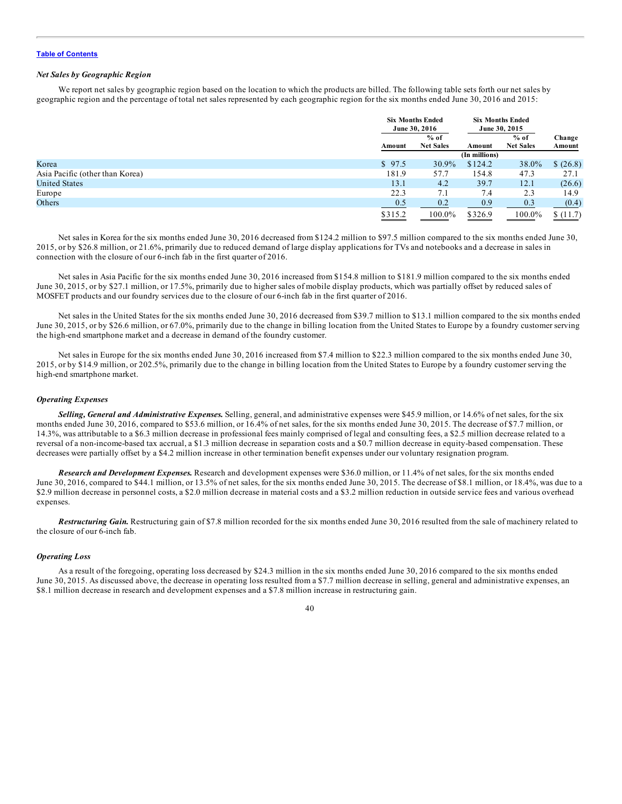# *Net Sales by Geographic Region*

We report net sales by geographic region based on the location to which the products are billed. The following table sets forth our net sales by geographic region and the percentage of total net sales represented by each geographic region for the six months ended June 30, 2016 and 2015:

|                                 |         | <b>Six Months Ended</b><br>June 30, 2016 |         | <b>Six Months Ended</b><br>June 30, 2015 |           |
|---------------------------------|---------|------------------------------------------|---------|------------------------------------------|-----------|
|                                 |         | $%$ of                                   |         | $%$ of                                   | Change    |
|                                 | Amount  | <b>Net Sales</b>                         | Amount  | <b>Net Sales</b>                         | Amount    |
|                                 |         | (In millions)                            |         |                                          |           |
| Korea                           | \$97.5  | 30.9%                                    | \$124.2 | 38.0%                                    | \$ (26.8) |
| Asia Pacific (other than Korea) | 181.9   | 57.7                                     | 154.8   | 47.3                                     | 27.1      |
| <b>United States</b>            | 13.1    | 4.2                                      | 39.7    | 12.1                                     | (26.6)    |
| Europe                          | 22.3    | 7.1                                      | 7.4     | 2.3                                      | 14.9      |
| Others                          | 0.5     | 0.2                                      | 0.9     | 0.3                                      | (0.4)     |
|                                 | \$315.2 | 100.0%                                   | \$326.9 | 100.0%                                   | \$(11.7)  |

Net sales in Korea for the six months ended June 30, 2016 decreased from \$124.2 million to \$97.5 million compared to the six months ended June 30, 2015, or by \$26.8 million, or 21.6%, primarily due to reduced demand of large display applications for TVs and notebooks and a decrease in sales in connection with the closure of our 6-inch fab in the first quarter of 2016.

Net sales in Asia Pacific for the six months ended June 30, 2016 increased from \$154.8 million to \$181.9 million compared to the six months ended June 30, 2015, or by \$27.1 million, or 17.5%, primarily due to higher sales of mobile display products, which was partially offset by reduced sales of MOSFET products and our foundry services due to the closure of our 6-inch fab in the first quarter of 2016.

Net sales in the United States for the six months ended June 30, 2016 decreased from \$39.7 million to \$13.1 million compared to the six months ended June 30, 2015, or by \$26.6 million, or 67.0%, primarily due to the change in billing location from the United States to Europe by a foundry customer serving the high-end smartphone market and a decrease in demand of the foundry customer.

Net sales in Europe for the six months ended June 30, 2016 increased from \$7.4 million to \$22.3 million compared to the six months ended June 30, 2015, or by \$14.9 million, or 202.5%, primarily due to the change in billing location from the United States to Europe by a foundry customer serving the high-end smartphone market.

### *Operating Expenses*

*Selling, General and Administrative Expenses.* Selling, general, and administrative expenses were \$45.9 million, or 14.6% of net sales, for the six months ended June 30, 2016, compared to \$53.6 million, or 16.4% of net sales, for the six months ended June 30, 2015. The decrease of \$7.7 million, or 14.3%, was attributable to a \$6.3 million decrease in professional fees mainly comprised of legal and consulting fees, a \$2.5 million decrease related to a reversal of a non-income-based tax accrual, a \$1.3 million decrease in separation costs and a \$0.7 million decrease in equity-based compensation. These decreases were partially offset by a \$4.2 million increase in other termination benefit expenses under our voluntary resignation program.

*Research and Development Expenses.* Research and development expenses were \$36.0 million, or 11.4% of net sales, for the six months ended June 30, 2016, compared to \$44.1 million, or 13.5% of net sales, for the six months ended June 30, 2015. The decrease of \$8.1 million, or 18.4%, was due to a \$2.9 million decrease in personnel costs, a \$2.0 million decrease in material costs and a \$3.2 million reduction in outside service fees and various overhead expenses.

*Restructuring Gain.* Restructuring gain of \$7.8 million recorded for the six months ended June 30, 2016 resulted from the sale of machinery related to the closure of our 6-inch fab.

#### *Operating Loss*

As a result of the foregoing, operating loss decreased by \$24.3 million in the six months ended June 30, 2016 compared to the six months ended June 30, 2015. As discussed above, the decrease in operating loss resulted from a \$7.7 million decrease in selling, general and administrative expenses, an \$8.1 million decrease in research and development expenses and a \$7.8 million increase in restructuring gain.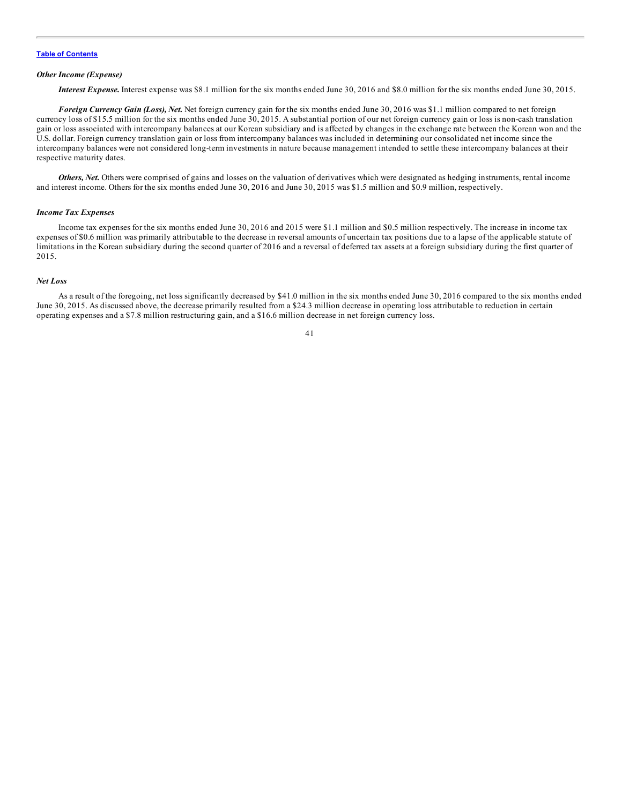#### *Other Income (Expense)*

*Interest Expense.* Interest expense was \$8.1 million for the six months ended June 30, 2016 and \$8.0 million for the six months ended June 30, 2015.

*Foreign Currency Gain (Loss), Net.* Net foreign currency gain for the six months ended June 30, 2016 was \$1.1 million compared to net foreign currency loss of \$15.5 million for the six months ended June 30, 2015. A substantial portion of our net foreign currency gain or loss is non-cash translation gain or loss associated with intercompany balances at our Korean subsidiary and is affected by changes in the exchange rate between the Korean won and the U.S. dollar. Foreign currency translation gain or loss from intercompany balances was included in determining our consolidated net income since the intercompany balances were not considered long-term investments in nature because management intended to settle these intercompany balances at their respective maturity dates.

*Others, Net.* Others were comprised of gains and losses on the valuation of derivatives which were designated as hedging instruments, rental income and interest income. Others for the six months ended June 30, 2016 and June 30, 2015 was \$1.5 million and \$0.9 million, respectively.

#### *Income Tax Expenses*

Income tax expenses for the six months ended June 30, 2016 and 2015 were \$1.1 million and \$0.5 million respectively. The increase in income tax expenses of \$0.6 million was primarily attributable to the decrease in reversal amounts of uncertain tax positions due to a lapse of the applicable statute of limitations in the Korean subsidiary during the second quarter of 2016 and a reversal of deferred tax assets at a foreign subsidiary during the first quarter of 2015.

#### *Net Loss*

As a result of the foregoing, net loss significantly decreased by \$41.0 million in the six months ended June 30, 2016 compared to the six months ended June 30, 2015. As discussed above, the decrease primarily resulted from a \$24.3 million decrease in operating loss attributable to reduction in certain operating expenses and a \$7.8 million restructuring gain, and a \$16.6 million decrease in net foreign currency loss.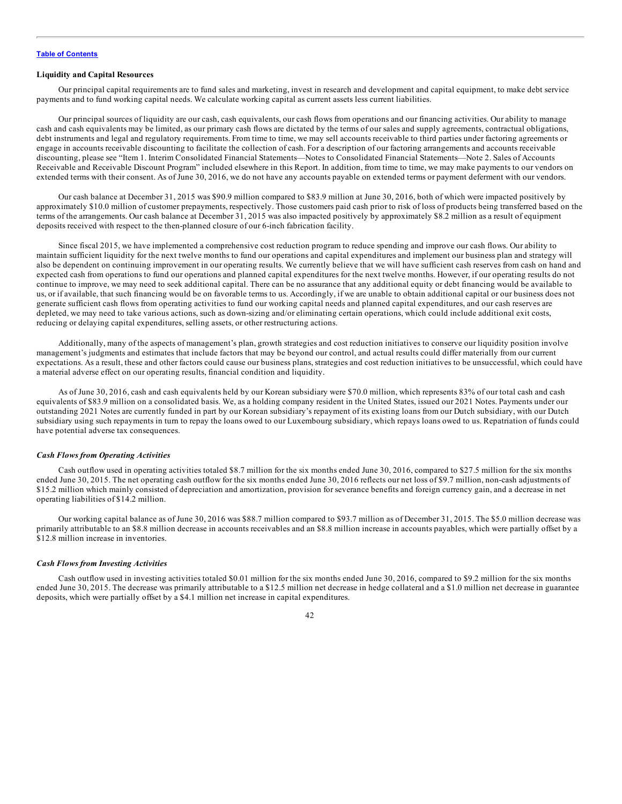### **Liquidity and Capital Resources**

Our principal capital requirements are to fund sales and marketing, invest in research and development and capital equipment, to make debt service payments and to fund working capital needs. We calculate working capital as current assets less current liabilities.

Our principal sources of liquidity are our cash, cash equivalents, our cash flows from operations and our financing activities. Our ability to manage cash and cash equivalents may be limited, as our primary cash flows are dictated by the terms of our sales and supply agreements, contractual obligations, debt instruments and legal and regulatory requirements. From time to time, we may sell accounts receivable to third parties under factoring agreements or engage in accounts receivable discounting to facilitate the collection of cash. For a description of our factoring arrangements and accounts receivable discounting, please see "Item 1. Interim Consolidated Financial Statements—Notes to Consolidated Financial Statements—Note 2. Sales of Accounts Receivable and Receivable Discount Program" included elsewhere in this Report. In addition, from time to time, we may make payments to our vendors on extended terms with their consent. As of June 30, 2016, we do not have any accounts payable on extended terms or payment deferment with our vendors.

Our cash balance at December 31, 2015 was \$90.9 million compared to \$83.9 million at June 30, 2016, both of which were impacted positively by approximately \$10.0 million of customer prepayments, respectively. Those customers paid cash prior to risk of loss of products being transferred based on the terms of the arrangements. Our cash balance at December 31, 2015 was also impacted positively by approximately \$8.2 million as a result of equipment deposits received with respect to the then-planned closure of our 6-inch fabrication facility.

Since fiscal 2015, we have implemented a comprehensive cost reduction program to reduce spending and improve our cash flows. Our ability to maintain sufficient liquidity for the next twelve months to fund our operations and capital expenditures and implement our business plan and strategy will also be dependent on continuing improvement in our operating results. We currently believe that we will have sufficient cash reserves from cash on hand and expected cash from operations to fund our operations and planned capital expenditures for the next twelve months. However, if our operating results do not continue to improve, we may need to seek additional capital. There can be no assurance that any additional equity or debt financing would be available to us, or if available, that such financing would be on favorable terms to us. Accordingly, if we are unable to obtain additional capital or our business does not generate sufficient cash flows from operating activities to fund our working capital needs and planned capital expenditures, and our cash reserves are depleted, we may need to take various actions, such as down-sizing and/or eliminating certain operations, which could include additional exit costs, reducing or delaying capital expenditures, selling assets, or other restructuring actions.

Additionally, many of the aspects of management's plan, growth strategies and cost reduction initiatives to conserve our liquidity position involve management's judgments and estimates that include factors that may be beyond our control, and actual results could differ materially from our current expectations. As a result, these and other factors could cause our business plans, strategies and cost reduction initiatives to be unsuccessful, which could have a material adverse effect on our operating results, financial condition and liquidity.

As of June 30, 2016, cash and cash equivalents held by our Korean subsidiary were \$70.0 million, which represents 83% of our total cash and cash equivalents of \$83.9 million on a consolidated basis. We, as a holding company resident in the United States, issued our 2021 Notes. Payments under our outstanding 2021 Notes are currently funded in part by our Korean subsidiary's repayment of its existing loans from our Dutch subsidiary, with our Dutch subsidiary using such repayments in turn to repay the loans owed to our Luxembourg subsidiary, which repays loans owed to us. Repatriation of funds could have potential adverse tax consequences.

#### *Cash Flows from Operating Activities*

Cash outflow used in operating activities totaled \$8.7 million for the six months ended June 30, 2016, compared to \$27.5 million for the six months ended June 30, 2015. The net operating cash outflow for the six months ended June 30, 2016 reflects our net loss of \$9.7 million, non-cash adjustments of \$15.2 million which mainly consisted of depreciation and amortization, provision for severance benefits and foreign currency gain, and a decrease in net operating liabilities of \$14.2 million.

Our working capital balance as of June 30, 2016 was \$88.7 million compared to \$93.7 million as of December 31, 2015. The \$5.0 million decrease was primarily attributable to an \$8.8 million decrease in accounts receivables and an \$8.8 million increase in accounts payables, which were partially offset by a \$12.8 million increase in inventories.

#### *Cash Flows from Investing Activities*

Cash outflow used in investing activities totaled \$0.01 million for the six months ended June 30, 2016, compared to \$9.2 million for the six months ended June 30, 2015. The decrease was primarily attributable to a \$12.5 million net decrease in hedge collateral and a \$1.0 million net decrease in guarantee deposits, which were partially offset by a \$4.1 million net increase in capital expenditures.

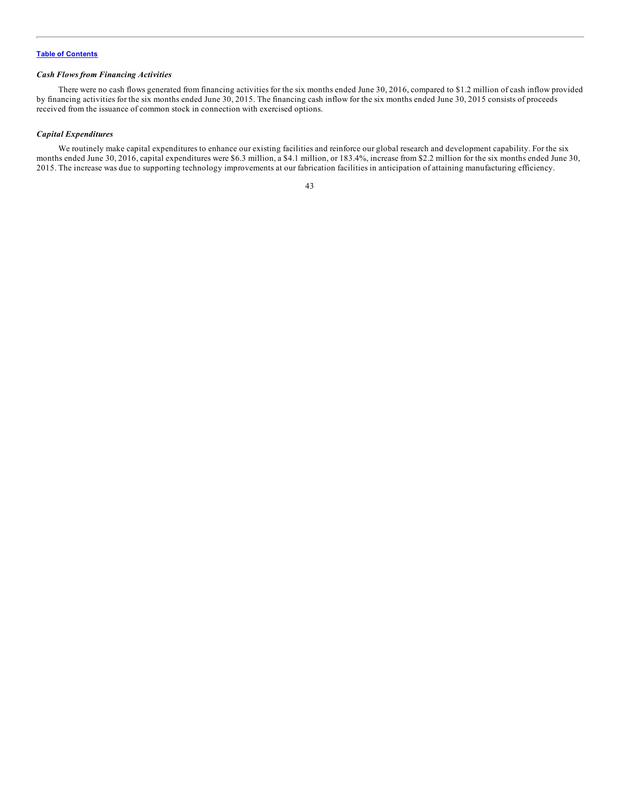### *Cash Flows from Financing Activities*

There were no cash flows generated from financing activities for the six months ended June 30, 2016, compared to \$1.2 million of cash inflow provided by financing activities for the six months ended June 30, 2015. The financing cash inflow for the six months ended June 30, 2015 consists of proceeds received from the issuance of common stock in connection with exercised options.

# *Capital Expenditures*

We routinely make capital expenditures to enhance our existing facilities and reinforce our global research and development capability. For the six months ended June 30, 2016, capital expenditures were \$6.3 million, a \$4.1 million, or 183.4%, increase from \$2.2 million for the six months ended June 30, 2015. The increase was due to supporting technology improvements at our fabrication facilities in anticipation of attaining manufacturing efficiency.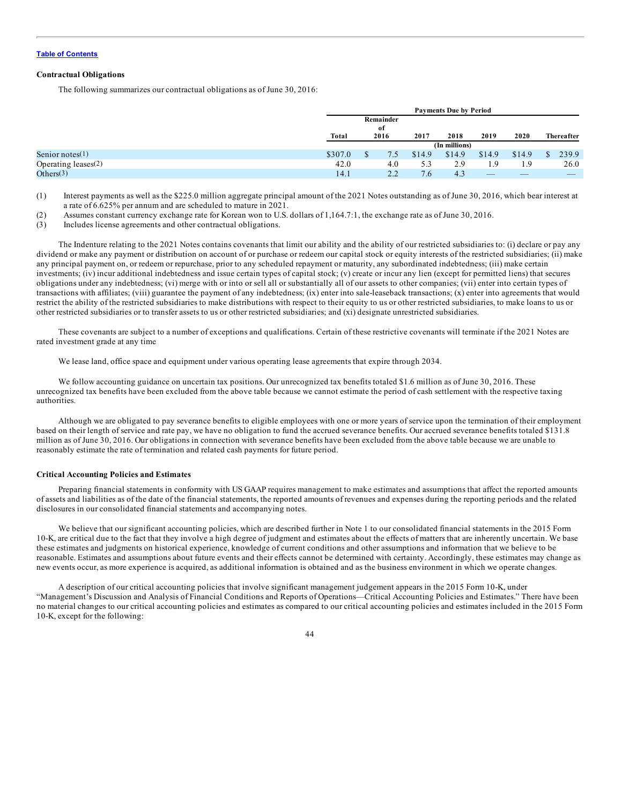### **Contractual Obligations**

The following summarizes our contractual obligations as of June 30, 2016:

|                     |               |                         |      |        | <b>Payments Due by Period</b> |        |        |  |            |
|---------------------|---------------|-------------------------|------|--------|-------------------------------|--------|--------|--|------------|
|                     | Total         | Remainder<br>of<br>2016 |      | 2017   | 2018                          | 2019   | 2020   |  | Thereafter |
|                     | (In millions) |                         |      |        |                               |        |        |  |            |
| Senior notes $(1)$  | \$307.0       |                         | د. ا | \$14.9 | \$14.9                        | \$14.9 | \$14.9 |  | 239.9      |
| Operating leases(2) | 42.0          |                         | 4.0  | 5.3    | 2.9                           | 1.9    | 1.9    |  | 26.0       |
| Others $(3)$        | 14.1          |                         | 2.2  | 7.6    | 4.3                           |        |        |  |            |

(1) Interest payments as well as the \$225.0 million aggregate principal amount of the 2021 Notes outstanding as of June 30, 2016, which bear interest at a rate of 6.625% per annum and are scheduled to mature in 2021.

(2) Assumes constant currency exchange rate for Korean won to U.S. dollars of 1,164.7:1, the exchange rate as of June 30, 2016.

(3) Includes license agreements and other contractual obligations.

The Indenture relating to the 2021 Notes contains covenants that limit our ability and the ability of our restricted subsidiaries to: (i) declare or pay any dividend or make any payment or distribution on account of or purchase or redeem our capital stock or equity interests of the restricted subsidiaries; (ii) make any principal payment on, or redeem or repurchase, prior to any scheduled repayment or maturity, any subordinated indebtedness; (iii) make certain investments; (iv) incur additional indebtedness and issue certain types of capital stock; (v) create or incur any lien (except for permitted liens) that secures obligations under any indebtedness; (vi) merge with or into or sell all or substantially all of our assets to other companies; (vii) enter into certain types of transactions with affiliates; (viii) guarantee the payment of any indebtedness; (ix) enter into sale-leaseback transactions; (x) enter into agreements that would restrict the ability of the restricted subsidiaries to make distributions with respect to their equity to us or other restricted subsidiaries, to make loans to us or other restricted subsidiaries or to transfer assets to us or other restricted subsidiaries; and (xi) designate unrestricted subsidiaries.

These covenants are subject to a number of exceptions and qualifications. Certain of these restrictive covenants will terminate if the 2021 Notes are rated investment grade at any time

We lease land, office space and equipment under various operating lease agreements that expire through 2034.

We follow accounting guidance on uncertain tax positions. Our unrecognized tax benefits totaled \$1.6 million as of June 30, 2016. These unrecognized tax benefits have been excluded from the above table because we cannot estimate the period of cash settlement with the respective taxing authorities.

Although we are obligated to pay severance benefits to eligible employees with one or more years of service upon the termination of their employment based on their length of service and rate pay, we have no obligation to fund the accrued severance benefits. Our accrued severance benefits totaled \$131.8 million as of June 30, 2016. Our obligations in connection with severance benefits have been excluded from the above table because we are unable to reasonably estimate the rate of termination and related cash payments for future period.

#### **Critical Accounting Policies and Estimates**

Preparing financial statements in conformity with US GAAP requires management to make estimates and assumptions that affect the reported amounts of assets and liabilities as of the date of the financial statements, the reported amounts of revenues and expenses during the reporting periods and the related disclosures in our consolidated financial statements and accompanying notes.

We believe that our significant accounting policies, which are described further in Note 1 to our consolidated financial statements in the 2015 Form 10-K, are critical due to the fact that they involve a high degree of judgment and estimates about the effects of matters that are inherently uncertain. We base these estimates and judgments on historical experience, knowledge of current conditions and other assumptions and information that we believe to be reasonable. Estimates and assumptions about future events and their effects cannot be determined with certainty. Accordingly, these estimates may change as new events occur, as more experience is acquired, as additional information is obtained and as the business environment in which we operate changes.

A description of our critical accounting policies that involve significant management judgement appears in the 2015 Form 10-K, under "Management's Discussion and Analysis of Financial Conditions and Reports of Operations—Critical Accounting Policies and Estimates." There have been no material changes to our critical accounting policies and estimates as compared to our critical accounting policies and estimates included in the 2015 Form 10-K, except for the following: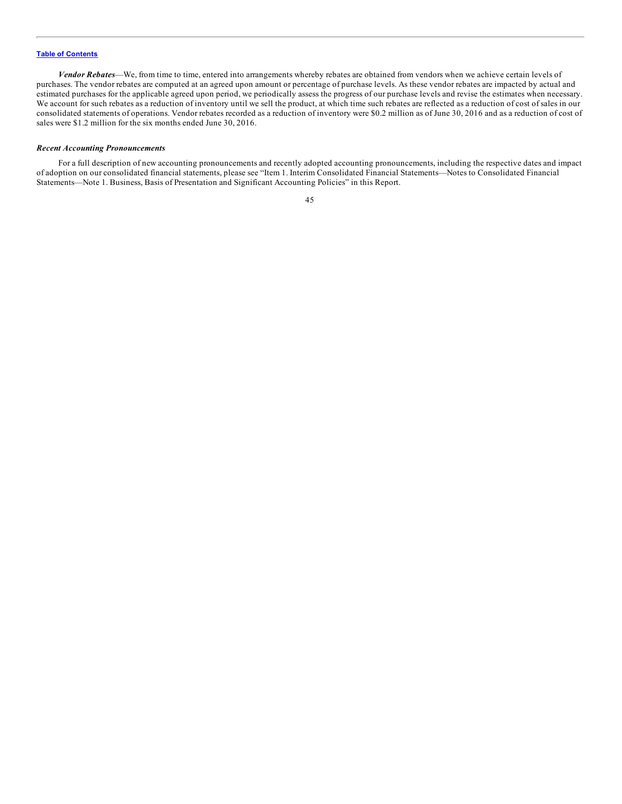*Vendor Rebates*—We, from time to time, entered into arrangements whereby rebates are obtained from vendors when we achieve certain levels of purchases. The vendor rebates are computed at an agreed upon amount or percentage of purchase levels. As these vendor rebates are impacted by actual and estimated purchases for the applicable agreed upon period, we periodically assess the progress of our purchase levels and revise the estimates when necessary. We account for such rebates as a reduction of inventory until we sell the product, at which time such rebates are reflected as a reduction of cost of sales in our consolidated statements of operations. Vendor rebates recorded as a reduction of inventory were \$0.2 million as of June 30, 2016 and as a reduction of cost of sales were \$1.2 million for the six months ended June 30, 2016.

#### *Recent Accounting Pronouncements*

For a full description of new accounting pronouncements and recently adopted accounting pronouncements, including the respective dates and impact of adoption on our consolidated financial statements, please see "Item 1. Interim Consolidated Financial Statements—Notes to Consolidated Financial Statements—Note 1. Business, Basis of Presentation and Significant Accounting Policies" in this Report.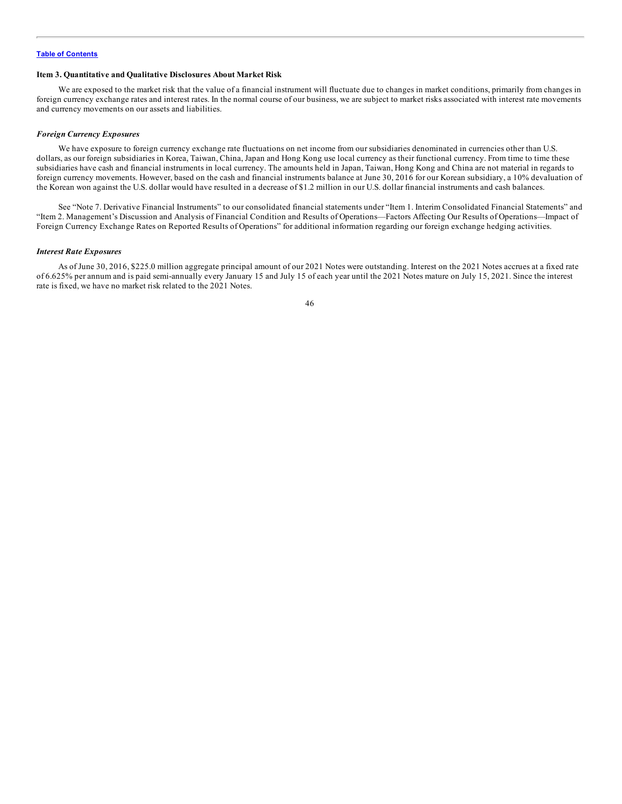#### <span id="page-45-0"></span>**Item 3. Quantitative and Qualitative Disclosures About Market Risk**

We are exposed to the market risk that the value of a financial instrument will fluctuate due to changes in market conditions, primarily from changes in foreign currency exchange rates and interest rates. In the normal course of our business, we are subject to market risks associated with interest rate movements and currency movements on our assets and liabilities.

### *Foreign Currency Exposures*

We have exposure to foreign currency exchange rate fluctuations on net income from our subsidiaries denominated in currencies other than U.S. dollars, as our foreign subsidiaries in Korea, Taiwan, China, Japan and Hong Kong use local currency as their functional currency. From time to time these subsidiaries have cash and financial instruments in local currency. The amounts held in Japan, Taiwan, Hong Kong and China are not material in regards to foreign currency movements. However, based on the cash and financial instruments balance at June 30, 2016 for our Korean subsidiary, a 10% devaluation of the Korean won against the U.S. dollar would have resulted in a decrease of \$1.2 million in our U.S. dollar financial instruments and cash balances.

See "Note 7. Derivative Financial Instruments" to our consolidated financial statements under "Item 1. Interim Consolidated Financial Statements" and "Item 2. Management's Discussion and Analysis of Financial Condition and Results of Operations—Factors Affecting Our Results of Operations—Impact of Foreign Currency Exchange Rates on Reported Results of Operations" for additional information regarding our foreign exchange hedging activities.

#### *Interest Rate Exposures*

As of June 30, 2016, \$225.0 million aggregate principal amount of our 2021 Notes were outstanding. Interest on the 2021 Notes accrues at a fixed rate of 6.625% per annum and is paid semi-annually every January 15 and July 15 of each year until the 2021 Notes mature on July 15, 2021. Since the interest rate is fixed, we have no market risk related to the 2021 Notes.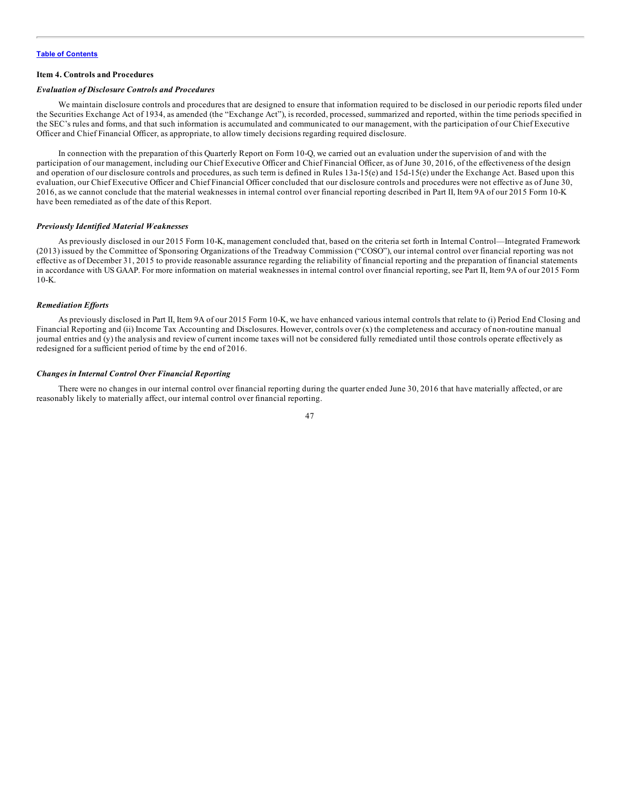#### <span id="page-46-0"></span>**Item 4. Controls and Procedures**

#### *Evaluation of Disclosure Controls and Procedures*

We maintain disclosure controls and procedures that are designed to ensure that information required to be disclosed in our periodic reports filed under the Securities Exchange Act of 1934, as amended (the "Exchange Act"), is recorded, processed, summarized and reported, within the time periods specified in the SEC's rules and forms, and that such information is accumulated and communicated to our management, with the participation of our Chief Executive Officer and Chief Financial Officer, as appropriate, to allow timely decisions regarding required disclosure.

In connection with the preparation of this Quarterly Report on Form 10-Q, we carried out an evaluation under the supervision of and with the participation of our management, including our Chief Executive Officer and Chief Financial Officer, as of June 30, 2016, of the effectiveness of the design and operation of our disclosure controls and procedures, as such term is defined in Rules  $13a-15(e)$  and  $15d-15(e)$  under the Exchange Act. Based upon this evaluation, our Chief Executive Officer and Chief Financial Officer concluded that our disclosure controls and procedures were not effective as of June 30, 2016, as we cannot conclude that the material weaknesses in internal control over financial reporting described in Part II, Item 9A of our 2015 Form 10-K have been remediated as of the date of this Report.

#### *Previously Identified Material Weaknesses*

As previously disclosed in our 2015 Form 10-K, management concluded that, based on the criteria set forth in Internal Control—Integrated Framework (2013) issued by the Committee of Sponsoring Organizations of the Treadway Commission ("COSO"), our internal control over financial reporting was not effective as of December 31, 2015 to provide reasonable assurance regarding the reliability of financial reporting and the preparation of financial statements in accordance with US GAAP. For more information on material weaknesses in internal control over financial reporting, see Part II, Item 9A of our 2015 Form  $10-K$ 

#### *Remediation Ef orts*

As previously disclosed in Part II, Item 9A of our 2015 Form 10-K, we have enhanced various internal controls that relate to (i) Period End Closing and Financial Reporting and (ii) Income Tax Accounting and Disclosures. However, controls over (x) the completeness and accuracy of non-routine manual journal entries and (y) the analysis and review of current income taxes will not be considered fully remediated until those controls operate effectively as redesigned for a sufficient period of time by the end of 2016.

### *Changes in Internal Control Over Financial Reporting*

There were no changes in our internal control over financial reporting during the quarter ended June 30, 2016 that have materially affected, or are reasonably likely to materially affect, our internal control over financial reporting.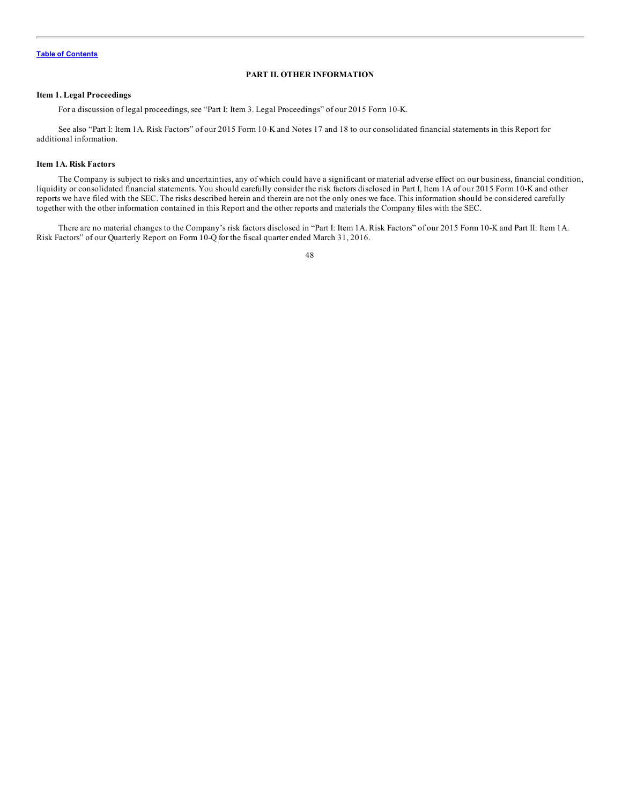### **PART II. OTHER INFORMATION**

# <span id="page-47-0"></span>**Item 1. Legal Proceedings**

For a discussion of legal proceedings, see "Part I: Item 3. Legal Proceedings" of our 2015 Form 10-K.

See also "Part I: Item 1A. Risk Factors" of our 2015 Form 10-K and Notes 17 and 18 to our consolidated financial statements in this Report for additional information.

# **Item 1A. Risk Factors**

The Company is subject to risks and uncertainties, any of which could have a significant or material adverse effect on our business, financial condition, liquidity or consolidated financial statements. You should carefully consider the risk factors disclosed in Part I, Item 1A of our 2015 Form 10-K and other reports we have filed with the SEC. The risks described herein and therein are not the only ones we face. This information should be considered carefully together with the other information contained in this Report and the other reports and materials the Company files with the SEC.

There are no material changes to the Company's risk factors disclosed in "Part I: Item 1A. Risk Factors" of our 2015 Form 10-K and Part II: Item 1A. Risk Factors" of our Quarterly Report on Form 10-Q for the fiscal quarter ended March 31, 2016.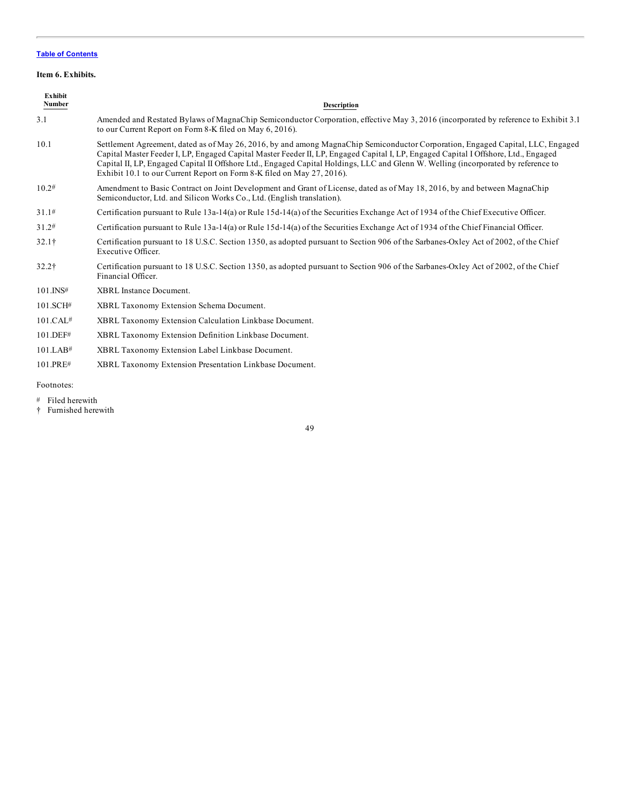# <span id="page-48-0"></span>**Item 6. Exhibits.**

| Exhibit<br><b>Number</b> | <b>Description</b>                                                                                                                                                                                                                                                                                                                                                                                                                                                                     |
|--------------------------|----------------------------------------------------------------------------------------------------------------------------------------------------------------------------------------------------------------------------------------------------------------------------------------------------------------------------------------------------------------------------------------------------------------------------------------------------------------------------------------|
| 3.1                      | Amended and Restated Bylaws of MagnaChip Semiconductor Corporation, effective May 3, 2016 (incorporated by reference to Exhibit 3.1)<br>to our Current Report on Form 8-K filed on May 6, 2016).                                                                                                                                                                                                                                                                                       |
| 10.1                     | Settlement Agreement, dated as of May 26, 2016, by and among MagnaChip Semiconductor Corporation, Engaged Capital, LLC, Engaged<br>Capital Master Feeder I, LP, Engaged Capital Master Feeder II, LP, Engaged Capital I, LP, Engaged Capital I Offshore, Ltd., Engaged<br>Capital II, LP, Engaged Capital II Offshore Ltd., Engaged Capital Holdings, LLC and Glenn W. Welling (incorporated by reference to<br>Exhibit 10.1 to our Current Report on Form 8-K filed on May 27, 2016). |
| 10.2#                    | Amendment to Basic Contract on Joint Development and Grant of License, dated as of May 18, 2016, by and between MagnaChip<br>Semiconductor, Ltd. and Silicon Works Co., Ltd. (English translation).                                                                                                                                                                                                                                                                                    |
| 31.1#                    | Certification pursuant to Rule 13a-14(a) or Rule 15d-14(a) of the Securities Exchange Act of 1934 of the Chief Executive Officer.                                                                                                                                                                                                                                                                                                                                                      |
| 31.2#                    | Certification pursuant to Rule 13a-14(a) or Rule 15d-14(a) of the Securities Exchange Act of 1934 of the Chief Financial Officer.                                                                                                                                                                                                                                                                                                                                                      |
| $32.1\dagger$            | Certification pursuant to 18 U.S.C. Section 1350, as adopted pursuant to Section 906 of the Sarbanes-Oxley Act of 2002, of the Chief<br>Executive Officer.                                                                                                                                                                                                                                                                                                                             |
| $32.2\dagger$            | Certification pursuant to 18 U.S.C. Section 1350, as adopted pursuant to Section 906 of the Sarbanes-Oxley Act of 2002, of the Chief<br>Financial Officer.                                                                                                                                                                                                                                                                                                                             |
| $101$ . INS#             | XBRL Instance Document.                                                                                                                                                                                                                                                                                                                                                                                                                                                                |
| 101.SCH#                 | XBRL Taxonomy Extension Schema Document.                                                                                                                                                                                                                                                                                                                                                                                                                                               |
| 101.CAL#                 | XBRL Taxonomy Extension Calculation Linkbase Document.                                                                                                                                                                                                                                                                                                                                                                                                                                 |
| 101.DEF#                 | XBRL Taxonomy Extension Definition Linkbase Document.                                                                                                                                                                                                                                                                                                                                                                                                                                  |
| 101.LAB#                 | XBRL Taxonomy Extension Label Linkbase Document.                                                                                                                                                                                                                                                                                                                                                                                                                                       |
| 101.PRE#                 | XBRL Taxonomy Extension Presentation Linkbase Document.                                                                                                                                                                                                                                                                                                                                                                                                                                |

# Footnotes:

# Filed herewith

† Furnished herewith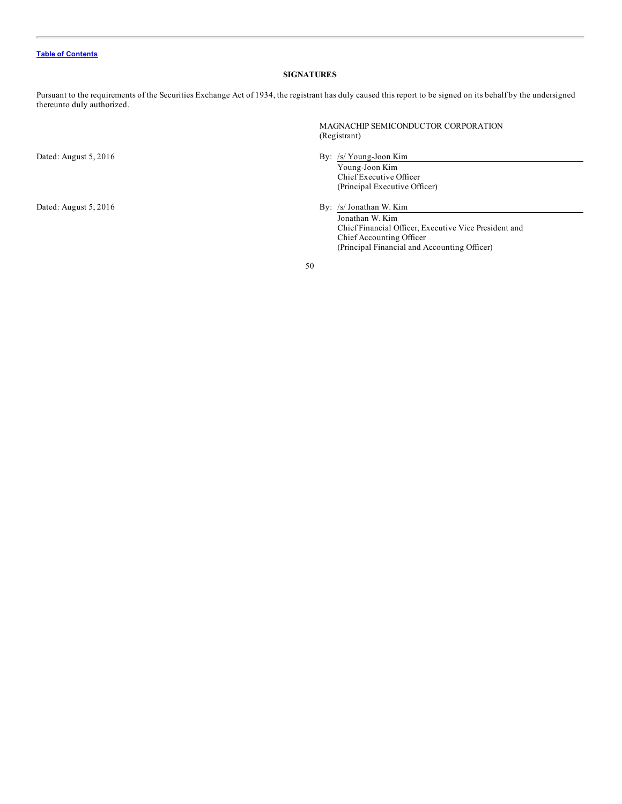# **SIGNATURES**

<span id="page-49-0"></span>Pursuant to the requirements of the Securities Exchange Act of 1934, the registrant has duly caused this report to be signed on its behalf by the undersigned thereunto duly authorized.

Dated: August 5, 2016 By: /s/ Young-Joon Kim

(Registrant)

Young-Joon Kim Chief Executive Officer (Principal Executive Officer)

MAGNACHIP SEMICONDUCTOR CORPORATION

Dated: August 5, 2016 By: /s/ Jonathan W. Kim

Jonathan W. Kim Chief Financial Officer, Executive Vice President and Chief Accounting Officer (Principal Financial and Accounting Officer)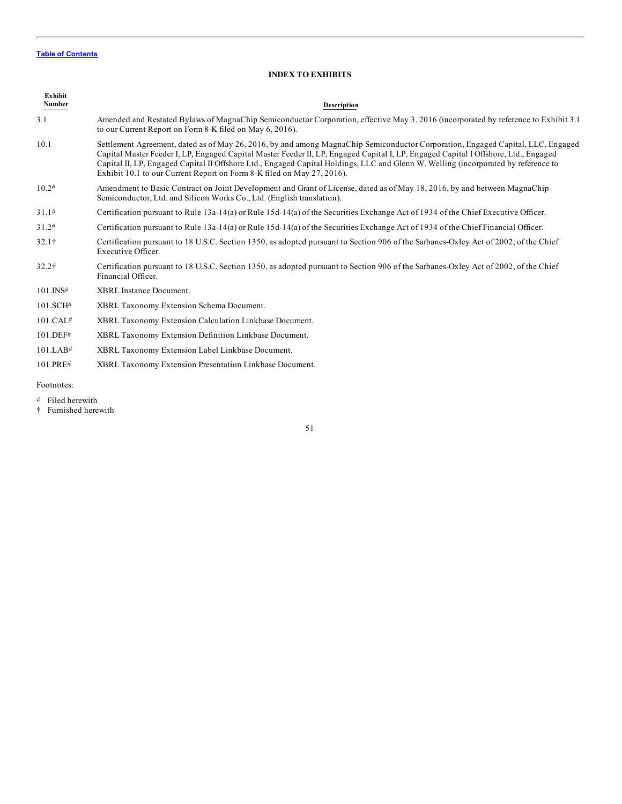# **INDEX TO EXHIBITS**

| Exhibit<br>Number | <b>Description</b>                                                                                                                                                                                                                                                                                                                                                                                                                                                                     |
|-------------------|----------------------------------------------------------------------------------------------------------------------------------------------------------------------------------------------------------------------------------------------------------------------------------------------------------------------------------------------------------------------------------------------------------------------------------------------------------------------------------------|
| 3.1               | Amended and Restated Bylaws of MagnaChip Semiconductor Corporation, effective May 3, 2016 (incorporated by reference to Exhibit 3.1)<br>to our Current Report on Form 8-K filed on May 6, 2016).                                                                                                                                                                                                                                                                                       |
| 10.1              | Settlement Agreement, dated as of May 26, 2016, by and among MagnaChip Semiconductor Corporation, Engaged Capital, LLC, Engaged<br>Capital Master Feeder I, LP, Engaged Capital Master Feeder II, LP, Engaged Capital I, LP, Engaged Capital I Offshore, Ltd., Engaged<br>Capital II, LP, Engaged Capital II Offshore Ltd., Engaged Capital Holdings, LLC and Glenn W. Welling (incorporated by reference to<br>Exhibit 10.1 to our Current Report on Form 8-K filed on May 27, 2016). |
| 10.2#             | Amendment to Basic Contract on Joint Development and Grant of License, dated as of May 18, 2016, by and between MagnaChip<br>Semiconductor, Ltd. and Silicon Works Co., Ltd. (English translation).                                                                                                                                                                                                                                                                                    |
| 31.1#             | Certification pursuant to Rule 13a-14(a) or Rule 15d-14(a) of the Securities Exchange Act of 1934 of the Chief Executive Officer.                                                                                                                                                                                                                                                                                                                                                      |
| 31.2#             | Certification pursuant to Rule 13a-14(a) or Rule 15d-14(a) of the Securities Exchange Act of 1934 of the Chief Financial Officer.                                                                                                                                                                                                                                                                                                                                                      |
| $32.1\dagger$     | Certification pursuant to 18 U.S.C. Section 1350, as adopted pursuant to Section 906 of the Sarbanes-Oxley Act of 2002, of the Chief<br>Executive Officer.                                                                                                                                                                                                                                                                                                                             |
| $32.2\dagger$     | Certification pursuant to 18 U.S.C. Section 1350, as adopted pursuant to Section 906 of the Sarbanes-Oxley Act of 2002, of the Chief<br>Financial Officer.                                                                                                                                                                                                                                                                                                                             |
| $101$ . INS#      | XBRL Instance Document.                                                                                                                                                                                                                                                                                                                                                                                                                                                                |
| 101.SCH#          | XBRL Taxonomy Extension Schema Document.                                                                                                                                                                                                                                                                                                                                                                                                                                               |
| 101.CAL#          | XBRL Taxonomy Extension Calculation Linkbase Document.                                                                                                                                                                                                                                                                                                                                                                                                                                 |
| 101.DEF#          | XBRL Taxonomy Extension Definition Linkbase Document.                                                                                                                                                                                                                                                                                                                                                                                                                                  |
| 101.LAB#          | XBRL Taxonomy Extension Label Linkbase Document.                                                                                                                                                                                                                                                                                                                                                                                                                                       |
| 101.PRE#          | XBRL Taxonomy Extension Presentation Linkbase Document.                                                                                                                                                                                                                                                                                                                                                                                                                                |

# Footnotes:

# Filed herewith

† Furnished herewith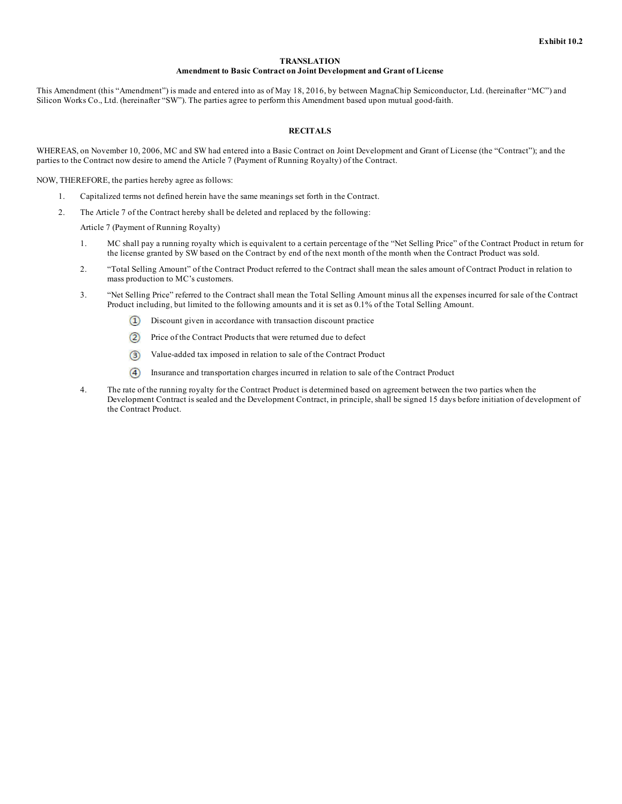# **TRANSLATION Amendment to Basic Contract on Joint Development and Grant of License**

This Amendment (this "Amendment") is made and entered into as of May 18, 2016, by between MagnaChip Semiconductor, Ltd. (hereinafter "MC") and Silicon Works Co., Ltd. (hereinafter "SW"). The parties agree to perform this Amendment based upon mutual good-faith.

## **RECITALS**

WHEREAS, on November 10, 2006, MC and SW had entered into a Basic Contract on Joint Development and Grant of License (the "Contract"); and the parties to the Contract now desire to amend the Article 7 (Payment of Running Royalty) of the Contract.

NOW, THEREFORE, the parties hereby agree as follows:

- 1. Capitalized terms not defined herein have the same meanings set forth in the Contract.
- 2. The Article 7 of the Contract hereby shall be deleted and replaced by the following:

Article 7 (Payment of Running Royalty)

- 1. MC shall pay a running royalty which is equivalent to a certain percentage of the "Net Selling Price" of the Contract Product in return for the license granted by SW based on the Contract by end of the next month of the month when the Contract Product was sold.
- 2. "Total Selling Amount" of the Contract Product referred to the Contract shall mean the sales amount of Contract Product in relation to mass production to MC's customers.
- 3. "Net Selling Price" referred to the Contract shall mean the Total Selling Amount minus all the expenses incurred for sale of the Contract Product including, but limited to the following amounts and it is set as 0.1% of the Total Selling Amount.
	- $\left( 1\right)$ Discount given in accordance with transaction discount practice
	- $^{(2)}$ Price of the Contract Products that were returned due to defect
	- Value-added tax imposed in relation to sale of the Contract Product  $\circled{3}$
	- $\circled{4}$ Insurance and transportation charges incurred in relation to sale of the Contract Product
- 4. The rate of the running royalty for the Contract Product is determined based on agreement between the two parties when the Development Contract is sealed and the Development Contract, in principle, shall be signed 15 days before initiation of development of the Contract Product.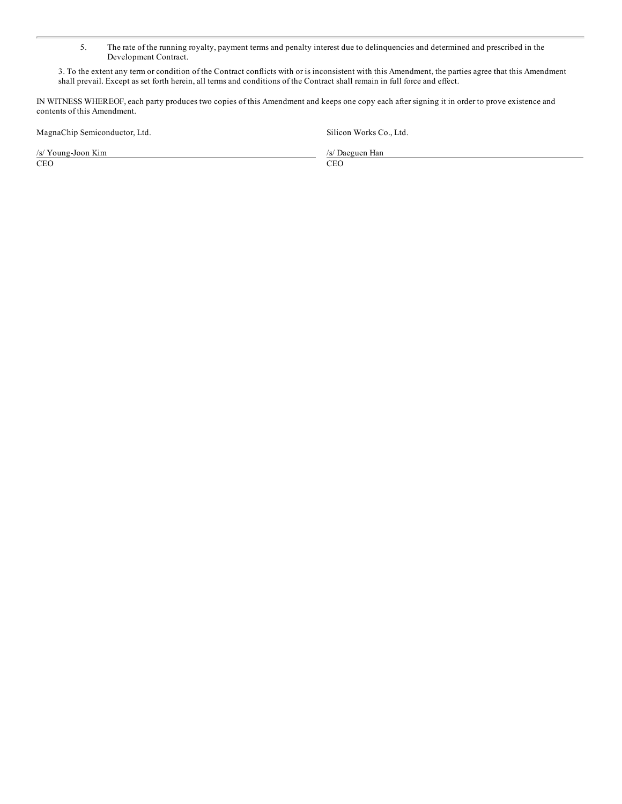[5.](#page-1-0) The rate of the running royalty, payment terms and penalty interest due to delinquencies and determined and prescribed in the Development Contract.

3. To the extent any term or condition of the Contract conflicts with or is inconsistent with this Amendment, the parties agree that this Amendment shall prevail. Except as set forth herein, all terms and conditions of the Contract shall remain in full force and effect.

IN WITNESS WHEREOF, each party produces two copies of this Amendment and keeps one copy each after signing it in order to prove existence and contents of this [Amendment.](#page-2-0)

MagnaChip Semi[conductor,](#page-2-0) Ltd. Silicon Works Co., Ltd. Silicon Works Co., Ltd.

CEO [CEO](#page-3-0)

/s/ Young-Joon Kim /s/ Oaeguen Han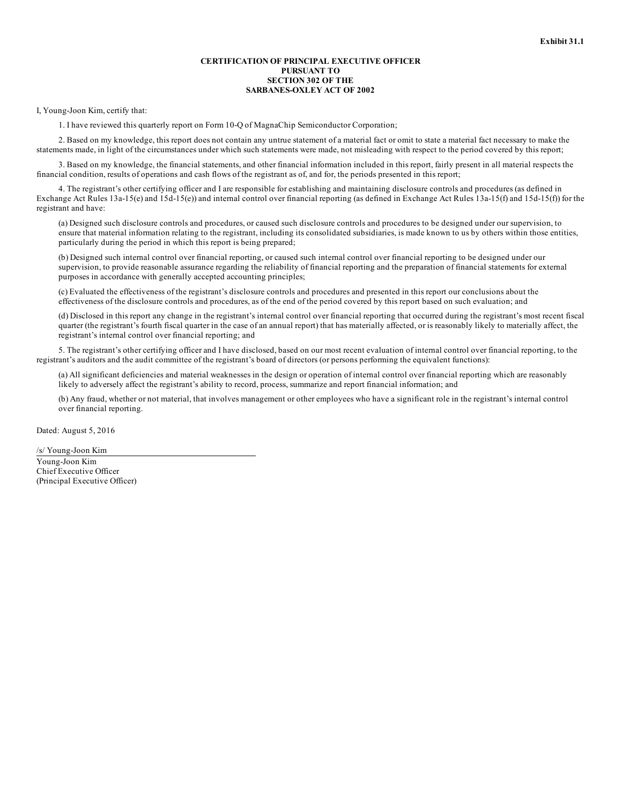### **CERTIFICATION OF PRINCIPAL EXECUTIVE OFFICER PURSUANT TO SECTION 302 OF THE SARBANES-OXLEY ACT OF 2002**

I, Young-Joon Kim, certify that:

1. I have reviewed this quarterly report on Form 10-Q of MagnaChip Semiconductor Corporation;

2. Based on my knowledge, this report does not contain any untrue statement of a material fact or omit to state a material fact necessary to make the statements made, in light of the circumstances under which such statements were made, not misleading with respect to the period covered by this report;

3. Based on my knowledge, the financial statements, and other financial information included in this report, fairly present in all material respects the financial condition, results of operations and cash flows of the registrant as of, and for, the periods presented in this report;

4. The registrant's other certifying officer and I are responsible for establishing and maintaining disclosure controls and procedures (as defined in Exchange Act Rules 13a-15(e) and 15d-15(e)) and internal control over financial reporting (as defined in Exchange Act Rules 13a-15(f) and 15d-15(f)) for the registrant and have:

(a) Designed such disclosure controls and procedures, or caused such disclosure controls and procedures to be designed under our supervision, to ensure that material information relating to the registrant, including its consolidated subsidiaries, is made known to us by others within those entities, particularly during the period in which this report is being prepared;

(b) Designed such internal control over financial reporting, or caused such internal control over financial reporting to be designed under our supervision, to provide reasonable assurance regarding the reliability of financial reporting and the preparation of financial statements for external purposes in accordance with generally accepted accounting principles;

(c) Evaluated the effectiveness of the registrant's disclosure controls and procedures and presented in this report our conclusions about the effectiveness of the disclosure controls and procedures, as of the end of the period covered by this report based on such evaluation; and

(d) Disclosed in this report any change in the registrant's internal control over financial reporting that occurred during the registrant's most recent fiscal quarter (the registrant's fourth fiscal quarter in the case of an annual report) that has materially affected, or is reasonably likely to materially affect, the registrant's internal control over financial reporting; and

5. The registrant's other certifying officer and I have disclosed, based on our most recent evaluation of internal control over financial reporting, to the registrant's auditors and the audit committee of the registrant's board of directors (or persons performing the equivalent functions):

(a) All significant deficiencies and material weaknesses in the design or operation of internal control over financial reporting which are reasonably likely to adversely affect the registrant's ability to record, process, summarize and report financial information; and

(b) Any fraud, whether or not material, that involves management or other employees who have a significant role in the registrant's internal control over financial reporting.

Dated: August 5, 2016

/s/ Young-Joon Kim Young-Joon Kim Chief Executive Officer (Principal Executive Officer)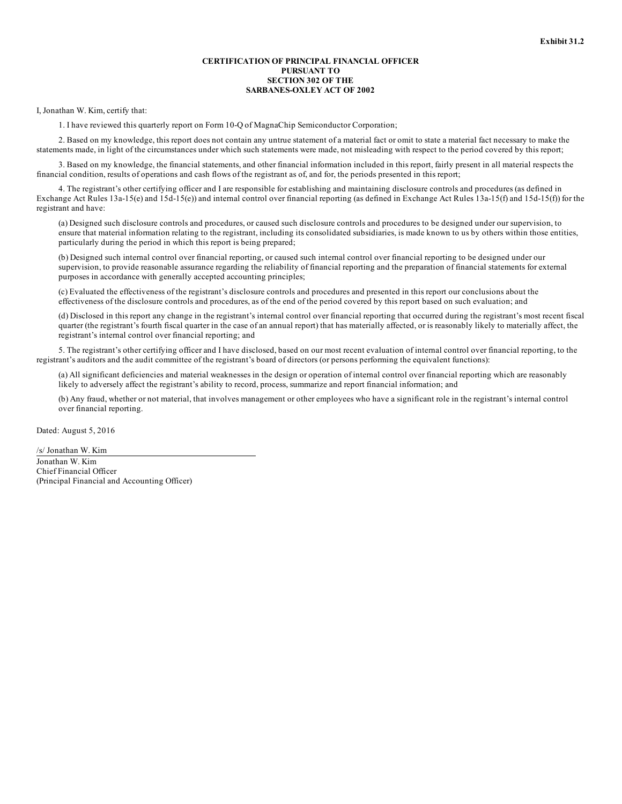### **CERTIFICATION OF PRINCIPAL FINANCIAL OFFICER PURSUANT TO SECTION 302 OF THE SARBANES-OXLEY ACT OF 2002**

I, Jonathan W. Kim, certify that:

1. I have reviewed this quarterly report on Form 10-Q of MagnaChip Semiconductor Corporation;

2. Based on my knowledge, this report does not contain any untrue statement of a material fact or omit to state a material fact necessary to make the statements made, in light of the circumstances under which such statements were made, not misleading with respect to the period covered by this report;

3. Based on my knowledge, the financial statements, and other financial information included in this report, fairly present in all material respects the financial condition, results of operations and cash flows of the registrant as of, and for, the periods presented in this report;

4. The registrant's other certifying officer and I are responsible for establishing and maintaining disclosure controls and procedures (as defined in Exchange Act Rules 13a-15(e) and 15d-15(e)) and internal control over financial reporting (as defined in Exchange Act Rules 13a-15(f) and 15d-15(f)) for the registrant and have:

(a) Designed such disclosure controls and procedures, or caused such disclosure controls and procedures to be designed under our supervision, to ensure that material information relating to the registrant, including its consolidated subsidiaries, is made known to us by others within those entities, particularly during the period in which this report is being prepared;

(b) Designed such internal control over financial reporting, or caused such internal control over financial reporting to be designed under our supervision, to provide reasonable assurance regarding the reliability of financial reporting and the preparation of financial statements for external purposes in accordance with generally accepted accounting principles;

(c) Evaluated the effectiveness of the registrant's disclosure controls and procedures and presented in this report our conclusions about the effectiveness of the disclosure controls and procedures, as of the end of the period covered by this report based on such evaluation; and

(d) Disclosed in this report any change in the registrant's internal control over financial reporting that occurred during the registrant's most recent fiscal quarter (the registrant's fourth fiscal quarter in the case of an annual report) that has materially affected, or is reasonably likely to materially affect, the registrant's internal control over financial reporting; and

5. The registrant's other certifying officer and I have disclosed, based on our most recent evaluation of internal control over financial reporting, to the registrant's auditors and the audit committee of the registrant's board of directors (or persons performing the equivalent functions):

(a) All significant deficiencies and material weaknesses in the design or operation of internal control over financial reporting which are reasonably likely to adversely affect the registrant's ability to record, process, summarize and report financial information; and

(b) Any fraud, whether or not material, that involves management or other employees who have a significant role in the registrant's internal control over financial reporting.

Dated: August 5, 2016

/s/ Jonathan W. Kim Jonathan W. Kim Chief Financial Officer (Principal Financial and Accounting Officer)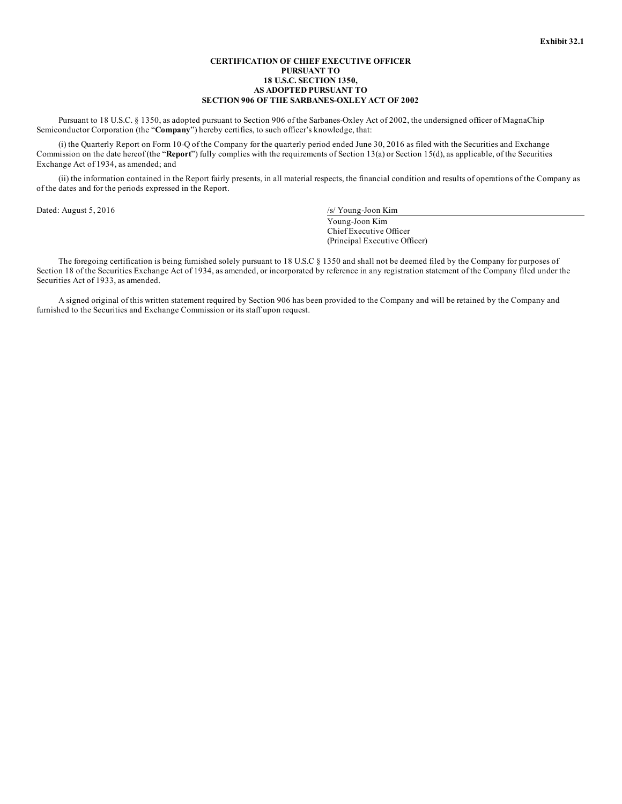### **CERTIFICATION OF CHIEF EXECUTIVE OFFICER PURSUANT TO 18 U.S.C. SECTION 1350, AS ADOPTED PURSUANT TO SECTION 906 OF THE SARBANES-OXLEY ACT OF 2002**

Pursuant to 18 U.S.C. § 1350, as adopted pursuant to Section 906 of the Sarbanes-Oxley Act of 2002, the undersigned officer of MagnaChip Semiconductor Corporation (the "**Company**") hereby certifies, to such officer's knowledge, that:

(i) the Quarterly Report on Form 10-Q of the Company for the quarterly period ended June 30, 2016 as filed with the Securities and Exchange Commission on the date hereof (the "**Report**") fully complies with the requirements of Section 13(a) or Section 15(d), as applicable, of the Securities Exchange Act of 1934, as amended; and

(ii) the information contained in the Report fairly presents, in all material respects, the financial condition and results of operations of the Company as of the dates and for the periods expressed in the Report.

Dated: August 5, 2016 /s/ Young-Joon Kim Young-Joon Kim Chief Executive Officer (Principal Executive Officer)

The foregoing certification is being furnished solely pursuant to 18 U.S.C § 1350 and shall not be deemed filed by the Company for purposes of Section 18 of the Securities Exchange Act of 1934, as amended, or incorporated by reference in any registration statement of the Company filed under the Securities Act of 1933, as amended.

A signed original of this written statement required by Section 906 has been provided to the Company and will be retained by the Company and furnished to the Securities and Exchange Commission or its staff upon request.